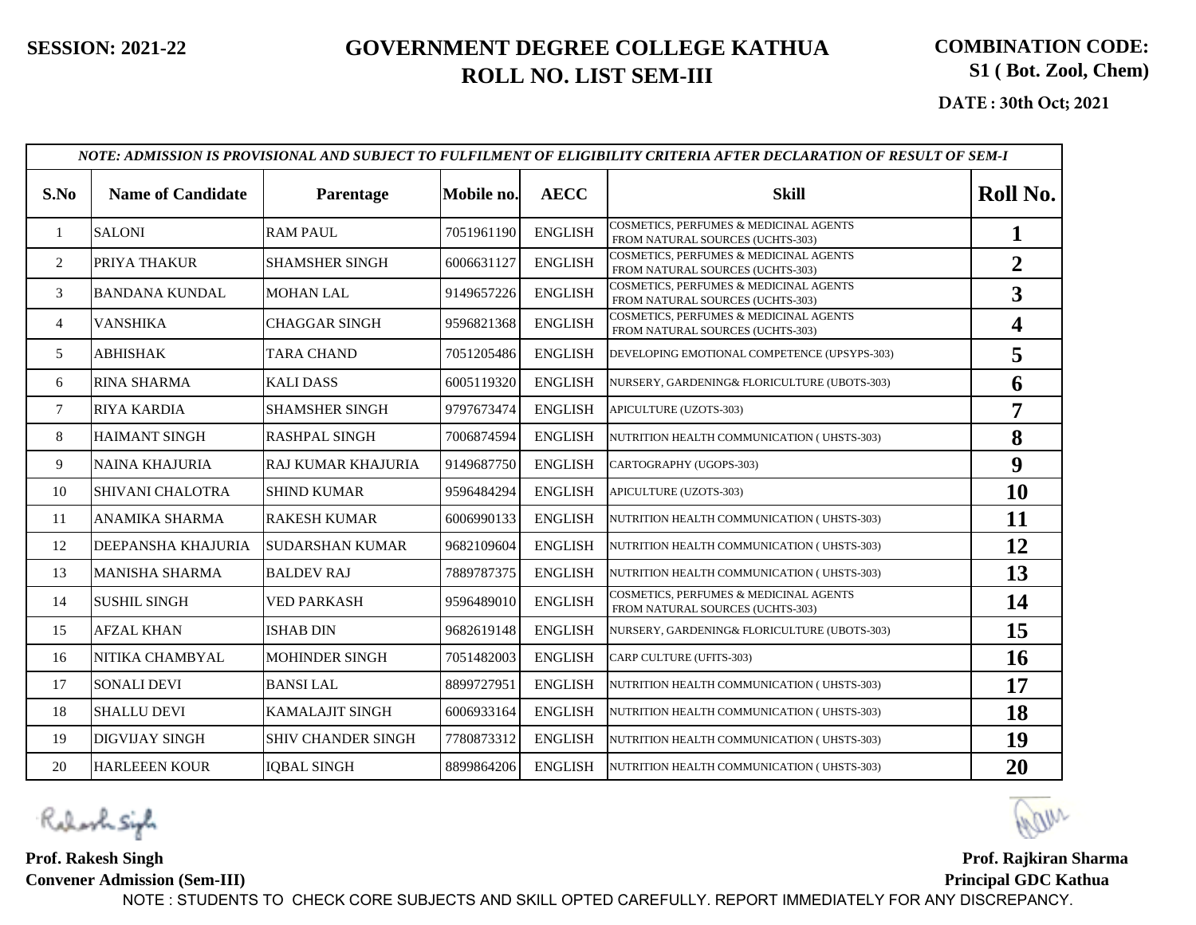**DATE : 30th Oct; 2021**

|                | NOTE: ADMISSION IS PROVISIONAL AND SUBJECT TO FULFILMENT OF ELIGIBILITY CRITERIA AFTER DECLARATION OF RESULT OF SEM-I |                           |            |                |                                                                            |                |  |  |  |  |
|----------------|-----------------------------------------------------------------------------------------------------------------------|---------------------------|------------|----------------|----------------------------------------------------------------------------|----------------|--|--|--|--|
| S.No           | <b>Name of Candidate</b>                                                                                              | Parentage                 | Mobile no. | <b>AECC</b>    | <b>Skill</b>                                                               | Roll No.       |  |  |  |  |
| 1              | <b>SALONI</b>                                                                                                         | <b>RAM PAUL</b>           | 7051961190 | <b>ENGLISH</b> | COSMETICS, PERFUMES & MEDICINAL AGENTS<br>FROM NATURAL SOURCES (UCHTS-303) |                |  |  |  |  |
| 2              | PRIYA THAKUR                                                                                                          | <b>SHAMSHER SINGH</b>     | 6006631127 | <b>ENGLISH</b> | COSMETICS, PERFUMES & MEDICINAL AGENTS<br>FROM NATURAL SOURCES (UCHTS-303) | $\overline{2}$ |  |  |  |  |
| 3              | <b>BANDANA KUNDAL</b>                                                                                                 | <b>MOHAN LAL</b>          | 9149657226 | <b>ENGLISH</b> | COSMETICS, PERFUMES & MEDICINAL AGENTS<br>FROM NATURAL SOURCES (UCHTS-303) | 3              |  |  |  |  |
| $\overline{4}$ | <b>VANSHIKA</b>                                                                                                       | <b>CHAGGAR SINGH</b>      | 9596821368 | <b>ENGLISH</b> | COSMETICS, PERFUMES & MEDICINAL AGENTS<br>FROM NATURAL SOURCES (UCHTS-303) | 4              |  |  |  |  |
| 5              | ABHISHAK                                                                                                              | <b>TARA CHAND</b>         | 7051205486 | <b>ENGLISH</b> | DEVELOPING EMOTIONAL COMPETENCE (UPSYPS-303)                               | 5              |  |  |  |  |
| 6              | <b>RINA SHARMA</b>                                                                                                    | <b>KALIDASS</b>           | 6005119320 | <b>ENGLISH</b> | NURSERY, GARDENING& FLORICULTURE (UBOTS-303)                               | 6              |  |  |  |  |
| $\overline{7}$ | <b>RIYA KARDIA</b>                                                                                                    | <b>SHAMSHER SINGH</b>     | 9797673474 | <b>ENGLISH</b> | APICULTURE (UZOTS-303)                                                     | 7              |  |  |  |  |
| 8              | <b>HAIMANT SINGH</b>                                                                                                  | <b>RASHPAL SINGH</b>      | 7006874594 | <b>ENGLISH</b> | NUTRITION HEALTH COMMUNICATION (UHSTS-303)                                 | 8              |  |  |  |  |
| 9              | <b>NAINA KHAJURIA</b>                                                                                                 | RAJ KUMAR KHAJURIA        | 9149687750 | <b>ENGLISH</b> | CARTOGRAPHY (UGOPS-303)                                                    | 9              |  |  |  |  |
| 10             | SHIVANI CHALOTRA                                                                                                      | <b>SHIND KUMAR</b>        | 9596484294 | <b>ENGLISH</b> | APICULTURE (UZOTS-303)                                                     | 10             |  |  |  |  |
| 11             | ANAMIKA SHARMA                                                                                                        | <b>RAKESH KUMAR</b>       | 6006990133 | <b>ENGLISH</b> | NUTRITION HEALTH COMMUNICATION (UHSTS-303)                                 | 11             |  |  |  |  |
| 12             | DEEPANSHA KHAJURIA                                                                                                    | <b>SUDARSHAN KUMAR</b>    | 9682109604 | <b>ENGLISH</b> | NUTRITION HEALTH COMMUNICATION (UHSTS-303)                                 | 12             |  |  |  |  |
| 13             | <b>MANISHA SHARMA</b>                                                                                                 | <b>BALDEV RAJ</b>         | 7889787375 | <b>ENGLISH</b> | NUTRITION HEALTH COMMUNICATION (UHSTS-303)                                 | 13             |  |  |  |  |
| 14             | <b>SUSHIL SINGH</b>                                                                                                   | <b>VED PARKASH</b>        | 9596489010 | <b>ENGLISH</b> | COSMETICS, PERFUMES & MEDICINAL AGENTS<br>FROM NATURAL SOURCES (UCHTS-303) | 14             |  |  |  |  |
| 15             | <b>AFZAL KHAN</b>                                                                                                     | <b>ISHAB DIN</b>          | 9682619148 | <b>ENGLISH</b> | NURSERY, GARDENING& FLORICULTURE (UBOTS-303)                               | 15             |  |  |  |  |
| 16             | NITIKA CHAMBYAL                                                                                                       | <b>MOHINDER SINGH</b>     | 7051482003 | <b>ENGLISH</b> | CARP CULTURE (UFITS-303)                                                   | 16             |  |  |  |  |
| 17             | <b>SONALI DEVI</b>                                                                                                    | <b>BANSILAL</b>           | 8899727951 | <b>ENGLISH</b> | NUTRITION HEALTH COMMUNICATION (UHSTS-303)                                 | 17             |  |  |  |  |
| 18             | <b>SHALLU DEVI</b>                                                                                                    | <b>KAMALAJIT SINGH</b>    | 6006933164 | <b>ENGLISH</b> | NUTRITION HEALTH COMMUNICATION (UHSTS-303)                                 | 18             |  |  |  |  |
| 19             | <b>DIGVIJAY SINGH</b>                                                                                                 | <b>SHIV CHANDER SINGH</b> | 7780873312 | <b>ENGLISH</b> | NUTRITION HEALTH COMMUNICATION (UHSTS-303)                                 | 19             |  |  |  |  |
| 20             | <b>HARLEEEN KOUR</b>                                                                                                  | <b>IQBAL SINGH</b>        | 8899864206 | <b>ENGLISH</b> | NUTRITION HEALTH COMMUNICATION (UHSTS-303)                                 | 20             |  |  |  |  |

Robert Siph

**Prof. Rakesh Singh Convener Admission (Sem-III)**

**Prof. Rajkiran Sharma Principal GDC Kathua...**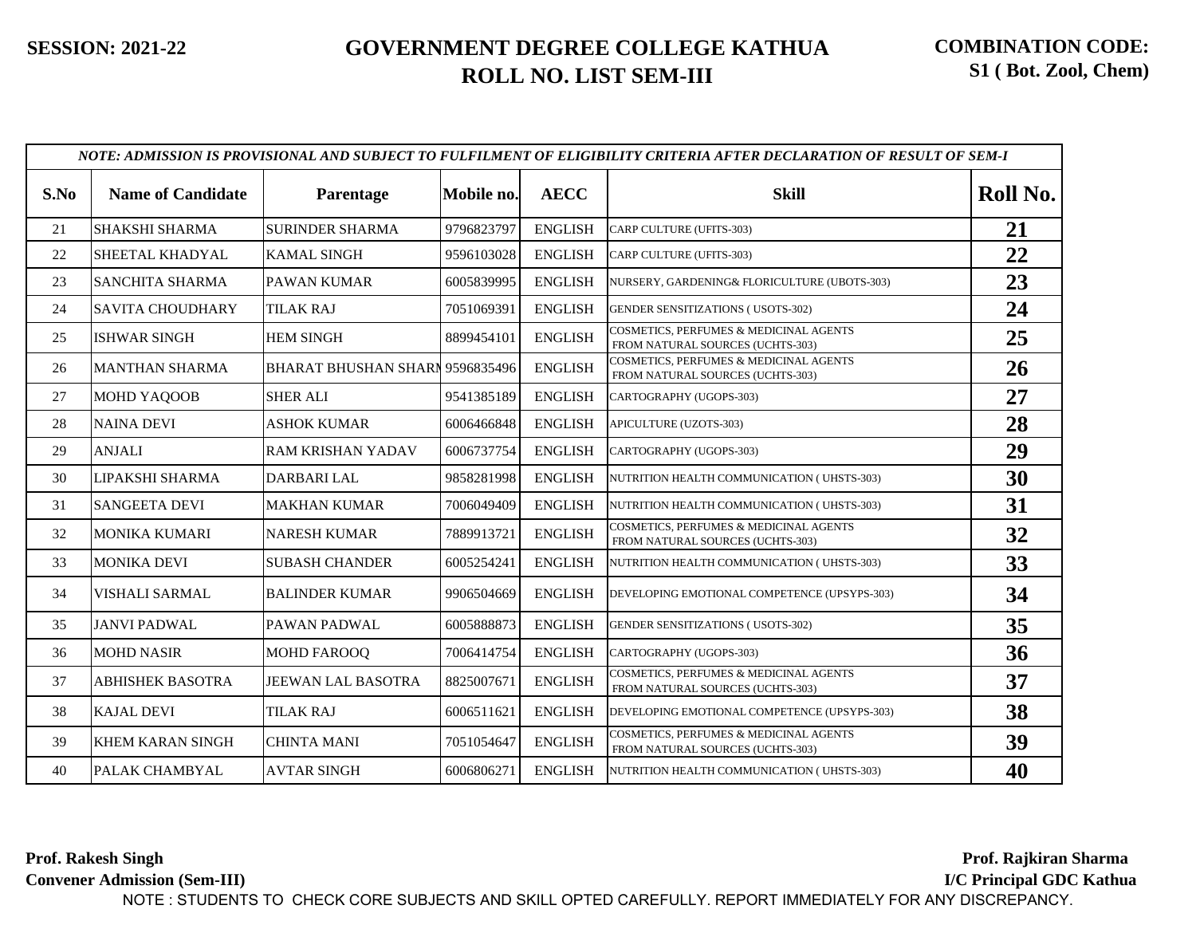| S.No | <b>Name of Candidate</b> | Parentage                              | Mobile no. | <b>AECC</b>    | <b>Skill</b>                                                               | Roll No. |
|------|--------------------------|----------------------------------------|------------|----------------|----------------------------------------------------------------------------|----------|
| 21   | SHAKSHI SHARMA           | <b>SURINDER SHARMA</b>                 | 9796823797 | <b>ENGLISH</b> | CARP CULTURE (UFITS-303)                                                   | 21       |
| 22   | SHEETAL KHADYAL          | <b>KAMAL SINGH</b>                     | 9596103028 | <b>ENGLISH</b> | CARP CULTURE (UFITS-303)                                                   | 22       |
| 23   | SANCHITA SHARMA          | <b>PAWAN KUMAR</b>                     | 6005839995 | <b>ENGLISH</b> | NURSERY, GARDENING& FLORICULTURE (UBOTS-303)                               | 23       |
| 24   | <b>SAVITA CHOUDHARY</b>  | <b>TILAK RAJ</b>                       | 7051069391 | <b>ENGLISH</b> | <b>GENDER SENSITIZATIONS (USOTS-302)</b>                                   | 24       |
| 25   | <b>ISHWAR SINGH</b>      | <b>HEM SINGH</b>                       | 8899454101 | <b>ENGLISH</b> | COSMETICS, PERFUMES & MEDICINAL AGENTS<br>FROM NATURAL SOURCES (UCHTS-303) | 25       |
| 26   | <b>MANTHAN SHARMA</b>    | <b>BHARAT BHUSHAN SHARI 9596835496</b> |            | <b>ENGLISH</b> | COSMETICS, PERFUMES & MEDICINAL AGENTS<br>FROM NATURAL SOURCES (UCHTS-303) | 26       |
| 27   | MOHD YAQOOB              | <b>SHER ALI</b>                        | 9541385189 | <b>ENGLISH</b> | CARTOGRAPHY (UGOPS-303)                                                    | 27       |
| 28   | <b>NAINA DEVI</b>        | <b>ASHOK KUMAR</b>                     | 6006466848 | <b>ENGLISH</b> | APICULTURE (UZOTS-303)                                                     | 28       |
| 29   | <b>ANJALI</b>            | <b>RAM KRISHAN YADAV</b>               | 6006737754 | <b>ENGLISH</b> | CARTOGRAPHY (UGOPS-303)                                                    | 29       |
| 30   | LIPAKSHI SHARMA          | DARBARI LAL                            | 9858281998 | <b>ENGLISH</b> | NUTRITION HEALTH COMMUNICATION (UHSTS-303)                                 | 30       |
| 31   | <b>SANGEETA DEVI</b>     | <b>MAKHAN KUMAR</b>                    | 7006049409 | <b>ENGLISH</b> | NUTRITION HEALTH COMMUNICATION (UHSTS-303)                                 | 31       |
| 32   | <b>MONIKA KUMARI</b>     | <b>NARESH KUMAR</b>                    | 7889913721 | <b>ENGLISH</b> | COSMETICS, PERFUMES & MEDICINAL AGENTS<br>FROM NATURAL SOURCES (UCHTS-303) | 32       |
| 33   | <b>MONIKA DEVI</b>       | <b>SUBASH CHANDER</b>                  | 6005254241 | <b>ENGLISH</b> | NUTRITION HEALTH COMMUNICATION (UHSTS-303)                                 | 33       |
| 34   | <b>VISHALI SARMAL</b>    | <b>BALINDER KUMAR</b>                  | 9906504669 | <b>ENGLISH</b> | DEVELOPING EMOTIONAL COMPETENCE (UPSYPS-303)                               | 34       |
| 35   | <b>JANVI PADWAL</b>      | PAWAN PADWAL                           | 6005888873 | <b>ENGLISH</b> | <b>GENDER SENSITIZATIONS (USOTS-302)</b>                                   | 35       |
| 36   | <b>MOHD NASIR</b>        | <b>MOHD FAROOQ</b>                     | 7006414754 | <b>ENGLISH</b> | CARTOGRAPHY (UGOPS-303)                                                    | 36       |
| 37   | <b>ABHISHEK BASOTRA</b>  | <b>JEEWAN LAL BASOTRA</b>              | 8825007671 | <b>ENGLISH</b> | COSMETICS, PERFUMES & MEDICINAL AGENTS<br>FROM NATURAL SOURCES (UCHTS-303) | 37       |
| 38   | <b>KAJAL DEVI</b>        | <b>TILAK RAJ</b>                       | 6006511621 | <b>ENGLISH</b> | DEVELOPING EMOTIONAL COMPETENCE (UPSYPS-303)                               | 38       |
| 39   | KHEM KARAN SINGH         | <b>CHINTA MANI</b>                     | 7051054647 | <b>ENGLISH</b> | COSMETICS, PERFUMES & MEDICINAL AGENTS<br>FROM NATURAL SOURCES (UCHTS-303) | 39       |
| 40   | PALAK CHAMBYAL           | <b>AVTAR SINGH</b>                     | 6006806271 | <b>ENGLISH</b> | NUTRITION HEALTH COMMUNICATION ( UHSTS-303)                                | 40       |

**Prof. Rakesh Singh Convener Admission (Sem-III) Prof. Rajkiran Sharma..... I/C Principal GDC Kathua** NOTE : STUDENTS TO CHECK CORE SUBJECTS AND SKILL OPTED CAREFULLY. REPORT IMMEDIATELY FOR ANY DISCREPANCY.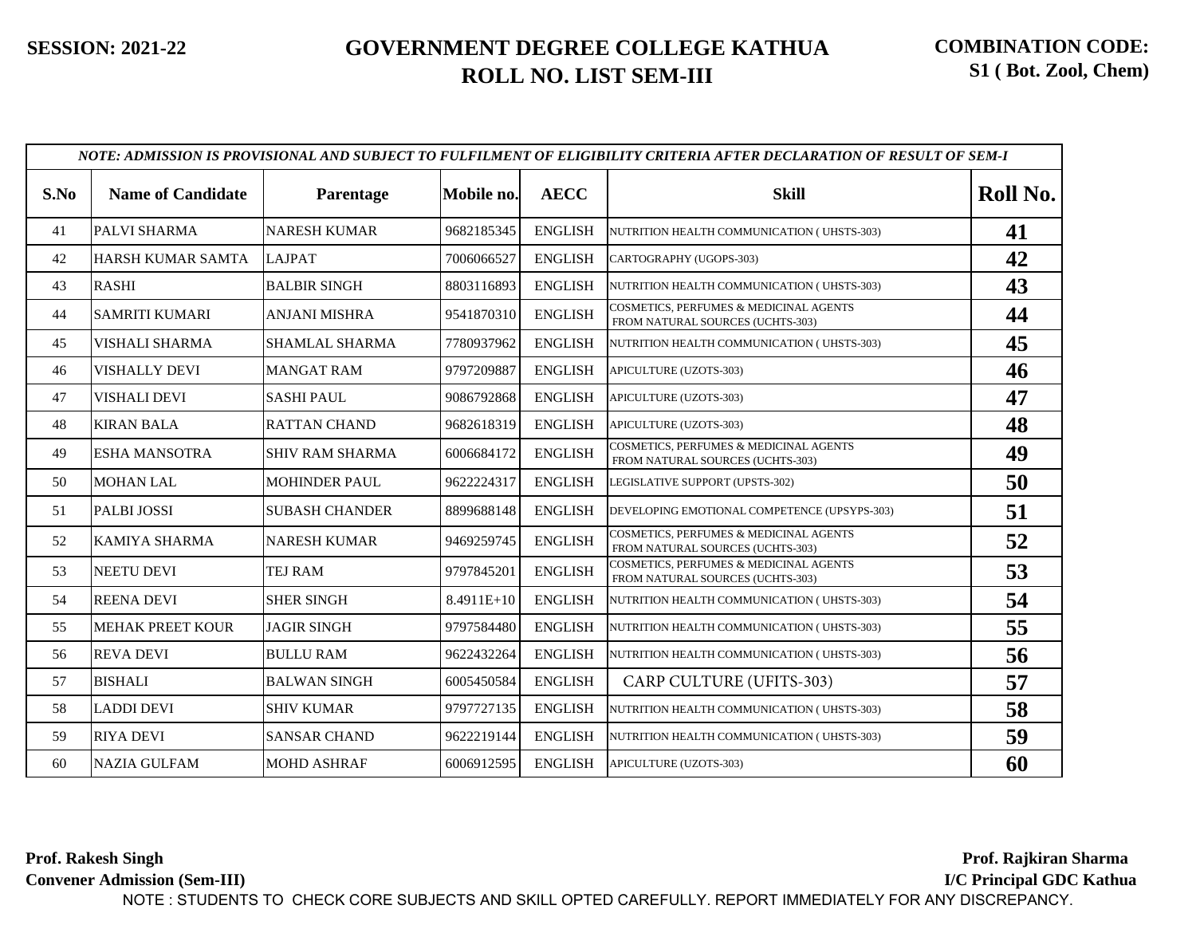|      |                          |                        |            |                | NOTE: ADMISSION IS PROVISIONAL AND SUBJECT TO FULFILMENT OF ELIGIBILITY CRITERIA AFTER DECLARATION OF RESULT OF SEM-I |          |
|------|--------------------------|------------------------|------------|----------------|-----------------------------------------------------------------------------------------------------------------------|----------|
| S.No | <b>Name of Candidate</b> | Parentage              | Mobile no. | <b>AECC</b>    | <b>Skill</b>                                                                                                          | Roll No. |
| 41   | PALVI SHARMA             | <b>NARESH KUMAR</b>    | 9682185345 | <b>ENGLISH</b> | NUTRITION HEALTH COMMUNICATION (UHSTS-303)                                                                            | 41       |
| 42   | HARSH KUMAR SAMTA        | <b>LAJPAT</b>          | 7006066527 | <b>ENGLISH</b> | CARTOGRAPHY (UGOPS-303)                                                                                               | 42       |
| 43   | <b>RASHI</b>             | <b>BALBIR SINGH</b>    | 8803116893 | <b>ENGLISH</b> | NUTRITION HEALTH COMMUNICATION (UHSTS-303)                                                                            | 43       |
| 44   | <b>SAMRITI KUMARI</b>    | <b>ANJANI MISHRA</b>   | 9541870310 | <b>ENGLISH</b> | COSMETICS, PERFUMES & MEDICINAL AGENTS<br>FROM NATURAL SOURCES (UCHTS-303)                                            | 44       |
| 45   | VISHALI SHARMA           | SHAMLAL SHARMA         | 7780937962 | <b>ENGLISH</b> | NUTRITION HEALTH COMMUNICATION (UHSTS-303)                                                                            | 45       |
| 46   | <b>VISHALLY DEVI</b>     | <b>MANGAT RAM</b>      | 9797209887 | <b>ENGLISH</b> | APICULTURE (UZOTS-303)                                                                                                | 46       |
| 47   | VISHALI DEVI             | <b>SASHI PAUL</b>      | 9086792868 | <b>ENGLISH</b> | APICULTURE (UZOTS-303)                                                                                                | 47       |
| 48   | <b>KIRAN BALA</b>        | <b>RATTAN CHAND</b>    | 9682618319 | <b>ENGLISH</b> | APICULTURE (UZOTS-303)                                                                                                | 48       |
| 49   | <b>ESHA MANSOTRA</b>     | <b>SHIV RAM SHARMA</b> | 6006684172 | <b>ENGLISH</b> | COSMETICS, PERFUMES & MEDICINAL AGENTS<br>FROM NATURAL SOURCES (UCHTS-303)                                            | 49       |
| 50   | <b>MOHAN LAL</b>         | <b>MOHINDER PAUL</b>   | 9622224317 | <b>ENGLISH</b> | LEGISLATIVE SUPPORT (UPSTS-302)                                                                                       | 50       |
| 51   | <b>PALBIJOSSI</b>        | <b>SUBASH CHANDER</b>  | 8899688148 | <b>ENGLISH</b> | DEVELOPING EMOTIONAL COMPETENCE (UPSYPS-303)                                                                          | 51       |
| 52   | KAMIYA SHARMA            | <b>NARESH KUMAR</b>    | 9469259745 | <b>ENGLISH</b> | COSMETICS, PERFUMES & MEDICINAL AGENTS<br>FROM NATURAL SOURCES (UCHTS-303)                                            | 52       |
| 53   | <b>NEETU DEVI</b>        | TEJ RAM                | 9797845201 | <b>ENGLISH</b> | COSMETICS, PERFUMES & MEDICINAL AGENTS<br>FROM NATURAL SOURCES (UCHTS-303)                                            | 53       |
| 54   | <b>REENA DEVI</b>        | <b>SHER SINGH</b>      | 8.4911E+10 | <b>ENGLISH</b> | NUTRITION HEALTH COMMUNICATION (UHSTS-303)                                                                            | 54       |
| 55   | <b>MEHAK PREET KOUR</b>  | <b>JAGIR SINGH</b>     | 9797584480 | <b>ENGLISH</b> | NUTRITION HEALTH COMMUNICATION (UHSTS-303)                                                                            | 55       |
| 56   | <b>REVA DEVI</b>         | <b>BULLU RAM</b>       | 9622432264 | <b>ENGLISH</b> | NUTRITION HEALTH COMMUNICATION (UHSTS-303)                                                                            | 56       |
| 57   | <b>BISHALI</b>           | <b>BALWAN SINGH</b>    | 6005450584 | <b>ENGLISH</b> | CARP CULTURE (UFITS-303)                                                                                              | 57       |
| 58   | <b>LADDI DEVI</b>        | <b>SHIV KUMAR</b>      | 9797727135 | <b>ENGLISH</b> | NUTRITION HEALTH COMMUNICATION (UHSTS-303)                                                                            | 58       |
| 59   | <b>RIYA DEVI</b>         | <b>SANSAR CHAND</b>    | 9622219144 | <b>ENGLISH</b> | NUTRITION HEALTH COMMUNICATION (UHSTS-303)                                                                            | 59       |
| 60   | <b>NAZIA GULFAM</b>      | <b>MOHD ASHRAF</b>     | 6006912595 | <b>ENGLISH</b> | APICULTURE (UZOTS-303)                                                                                                | 60       |

**Prof. Rakesh Singh Convener Admission (Sem-III) Prof. Rajkiran Sharma..... I/C Principal GDC Kathua** NOTE : STUDENTS TO CHECK CORE SUBJECTS AND SKILL OPTED CAREFULLY. REPORT IMMEDIATELY FOR ANY DISCREPANCY.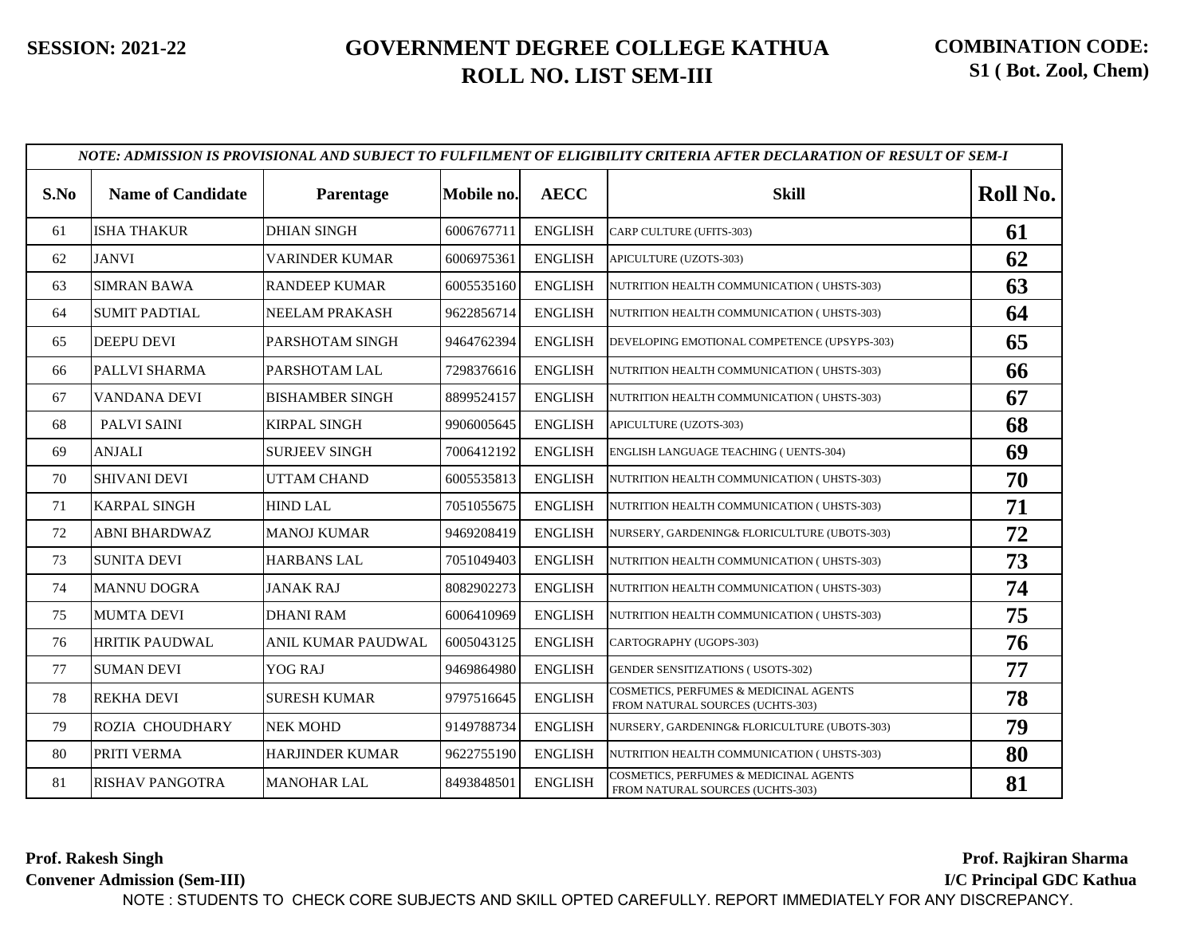| S.No | <b>Name of Candidate</b> | Parentage              | Mobile no. | <b>AECC</b>    | <b>Skill</b>                                                               | Roll No. |
|------|--------------------------|------------------------|------------|----------------|----------------------------------------------------------------------------|----------|
| 61   | <b>ISHA THAKUR</b>       | <b>DHIAN SINGH</b>     | 6006767711 | <b>ENGLISH</b> | CARP CULTURE (UFITS-303)                                                   | 61       |
| 62   | <b>JANVI</b>             | VARINDER KUMAR         | 6006975361 | <b>ENGLISH</b> | APICULTURE (UZOTS-303)                                                     | 62       |
| 63   | <b>SIMRAN BAWA</b>       | <b>RANDEEP KUMAR</b>   | 6005535160 | <b>ENGLISH</b> | NUTRITION HEALTH COMMUNICATION (UHSTS-303)                                 | 63       |
| 64   | <b>SUMIT PADTIAL</b>     | <b>NEELAM PRAKASH</b>  | 9622856714 | <b>ENGLISH</b> | NUTRITION HEALTH COMMUNICATION (UHSTS-303)                                 | 64       |
| 65   | <b>DEEPU DEVI</b>        | PARSHOTAM SINGH        | 9464762394 | <b>ENGLISH</b> | DEVELOPING EMOTIONAL COMPETENCE (UPSYPS-303)                               | 65       |
| 66   | PALLVI SHARMA            | PARSHOTAM LAL          | 7298376616 | <b>ENGLISH</b> | NUTRITION HEALTH COMMUNICATION (UHSTS-303)                                 | 66       |
| 67   | VANDANA DEVI             | <b>BISHAMBER SINGH</b> | 8899524157 | <b>ENGLISH</b> | NUTRITION HEALTH COMMUNICATION (UHSTS-303)                                 | 67       |
| 68   | PALVI SAINI              | <b>KIRPAL SINGH</b>    | 9906005645 | <b>ENGLISH</b> | APICULTURE (UZOTS-303)                                                     | 68       |
| 69   | <b>ANJALI</b>            | <b>SURJEEV SINGH</b>   | 7006412192 | <b>ENGLISH</b> | ENGLISH LANGUAGE TEACHING (UENTS-304)                                      | 69       |
| 70   | <b>SHIVANI DEVI</b>      | <b>UTTAM CHAND</b>     | 6005535813 | <b>ENGLISH</b> | NUTRITION HEALTH COMMUNICATION (UHSTS-303)                                 | 70       |
| 71   | <b>KARPAL SINGH</b>      | <b>HIND LAL</b>        | 7051055675 | <b>ENGLISH</b> | NUTRITION HEALTH COMMUNICATION (UHSTS-303)                                 | 71       |
| 72   | <b>ABNI BHARDWAZ</b>     | <b>MANOJ KUMAR</b>     | 9469208419 | <b>ENGLISH</b> | NURSERY, GARDENING& FLORICULTURE (UBOTS-303)                               | 72       |
| 73   | <b>SUNITA DEVI</b>       | <b>HARBANS LAL</b>     | 7051049403 | <b>ENGLISH</b> | NUTRITION HEALTH COMMUNICATION (UHSTS-303)                                 | 73       |
| 74   | <b>MANNU DOGRA</b>       | <b>JANAK RAJ</b>       | 8082902273 | <b>ENGLISH</b> | NUTRITION HEALTH COMMUNICATION (UHSTS-303)                                 | 74       |
| 75   | <b>MUMTA DEVI</b>        | <b>DHANI RAM</b>       | 6006410969 | <b>ENGLISH</b> | NUTRITION HEALTH COMMUNICATION (UHSTS-303)                                 | 75       |
| 76   | <b>HRITIK PAUDWAL</b>    | ANIL KUMAR PAUDWAL     | 6005043125 | <b>ENGLISH</b> | CARTOGRAPHY (UGOPS-303)                                                    | 76       |
| 77   | <b>SUMAN DEVI</b>        | <b>YOG RAJ</b>         | 9469864980 | <b>ENGLISH</b> | GENDER SENSITIZATIONS (USOTS-302)                                          | 77       |
| 78   | <b>REKHA DEVI</b>        | <b>SURESH KUMAR</b>    | 9797516645 | <b>ENGLISH</b> | COSMETICS, PERFUMES & MEDICINAL AGENTS<br>FROM NATURAL SOURCES (UCHTS-303) | 78       |
| 79   | <b>ROZIA CHOUDHARY</b>   | <b>NEK MOHD</b>        | 9149788734 | <b>ENGLISH</b> | NURSERY, GARDENING& FLORICULTURE (UBOTS-303)                               | 79       |
| 80   | PRITI VERMA              | <b>HARJINDER KUMAR</b> | 9622755190 | <b>ENGLISH</b> | NUTRITION HEALTH COMMUNICATION ( UHSTS-303)                                | 80       |
| 81   | <b>RISHAV PANGOTRA</b>   | <b>MANOHAR LAL</b>     | 8493848501 | <b>ENGLISH</b> | COSMETICS, PERFUMES & MEDICINAL AGENTS<br>FROM NATURAL SOURCES (UCHTS-303) | 81       |

**Prof. Rakesh Singh**

**Convener Admission (Sem-III)**

**Prof. Rajkiran Sharma.....**

**I/C Principal GDC Kathua**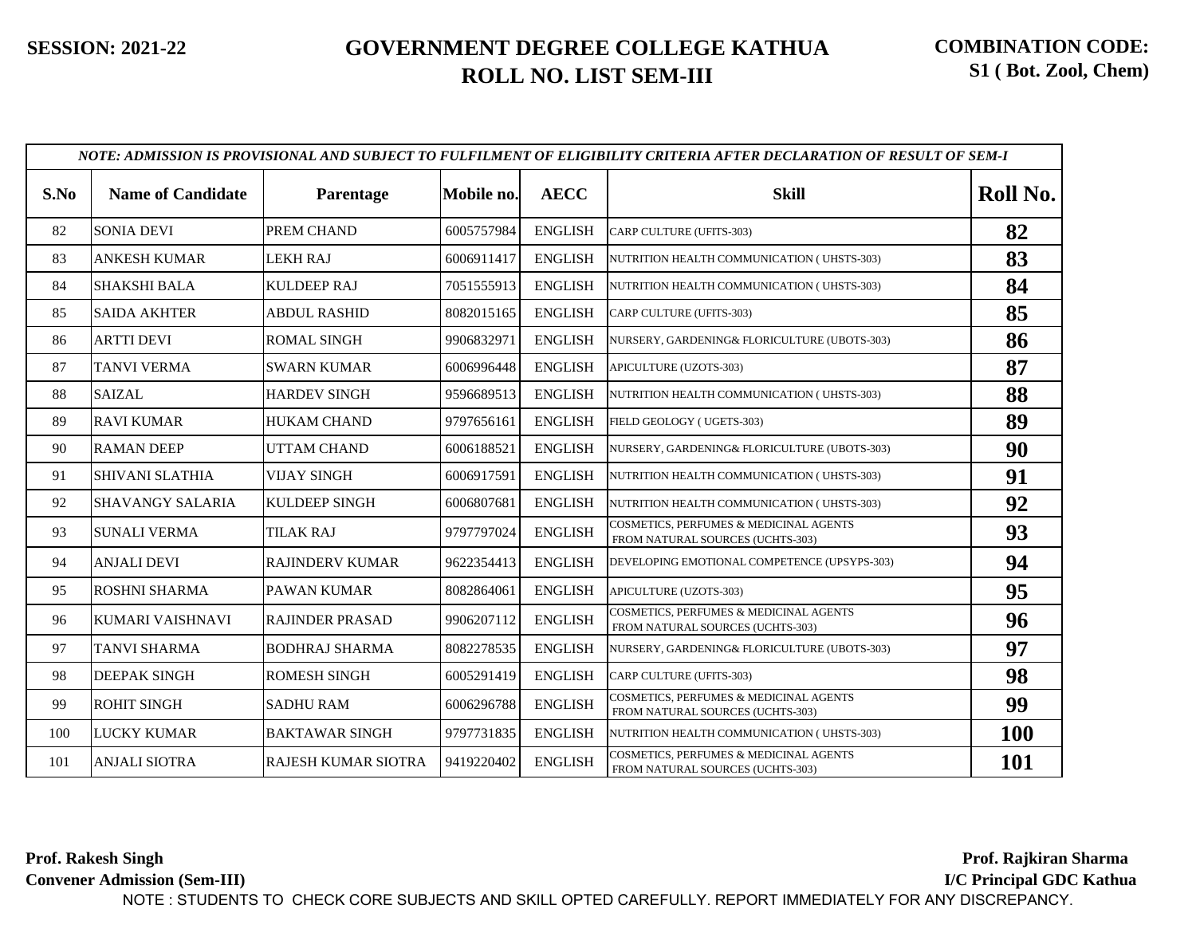|      |                          |                        |            |                | NOTE: ADMISSION IS PROVISIONAL AND SUBJECT TO FULFILMENT OF ELIGIBILITY CRITERIA AFTER DECLARATION OF RESULT OF SEM-I |            |
|------|--------------------------|------------------------|------------|----------------|-----------------------------------------------------------------------------------------------------------------------|------------|
| S.No | <b>Name of Candidate</b> | Parentage              | Mobile no. | <b>AECC</b>    | <b>Skill</b>                                                                                                          | Roll No.   |
| 82   | <b>SONIA DEVI</b>        | PREM CHAND             | 6005757984 | <b>ENGLISH</b> | CARP CULTURE (UFITS-303)                                                                                              | 82         |
| 83   | ANKESH KUMAR             | <b>LEKH RAJ</b>        | 6006911417 | <b>ENGLISH</b> | NUTRITION HEALTH COMMUNICATION (UHSTS-303)                                                                            | 83         |
| 84   | <b>SHAKSHI BALA</b>      | <b>KULDEEP RAJ</b>     | 7051555913 | <b>ENGLISH</b> | NUTRITION HEALTH COMMUNICATION (UHSTS-303)                                                                            | 84         |
| 85   | <b>SAIDA AKHTER</b>      | <b>ABDUL RASHID</b>    | 8082015165 | <b>ENGLISH</b> | CARP CULTURE (UFITS-303)                                                                                              | 85         |
| 86   | <b>ARTTI DEVI</b>        | <b>ROMAL SINGH</b>     | 9906832971 | <b>ENGLISH</b> | NURSERY, GARDENING& FLORICULTURE (UBOTS-303)                                                                          | 86         |
| 87   | <b>TANVI VERMA</b>       | <b>SWARN KUMAR</b>     | 6006996448 | <b>ENGLISH</b> | APICULTURE (UZOTS-303)                                                                                                | 87         |
| 88   | <b>SAIZAL</b>            | HARDEV SINGH           | 9596689513 | <b>ENGLISH</b> | NUTRITION HEALTH COMMUNICATION (UHSTS-303)                                                                            | 88         |
| 89   | <b>RAVI KUMAR</b>        | <b>HUKAM CHAND</b>     | 9797656161 | <b>ENGLISH</b> | FIELD GEOLOGY (UGETS-303)                                                                                             | 89         |
| 90   | <b>RAMAN DEEP</b>        | <b>UTTAM CHAND</b>     | 6006188521 | <b>ENGLISH</b> | NURSERY, GARDENING& FLORICULTURE (UBOTS-303)                                                                          | 90         |
| 91   | <b>SHIVANI SLATHIA</b>   | <b>VIJAY SINGH</b>     | 6006917591 | <b>ENGLISH</b> | NUTRITION HEALTH COMMUNICATION (UHSTS-303)                                                                            | 91         |
| 92   | <b>SHAVANGY SALARIA</b>  | KULDEEP SINGH          | 6006807681 | <b>ENGLISH</b> | NUTRITION HEALTH COMMUNICATION (UHSTS-303)                                                                            | 92         |
| 93   | <b>SUNALI VERMA</b>      | <b>TILAK RAJ</b>       | 9797797024 | <b>ENGLISH</b> | COSMETICS, PERFUMES & MEDICINAL AGENTS<br>FROM NATURAL SOURCES (UCHTS-303)                                            | 93         |
| 94   | <b>ANJALI DEVI</b>       | <b>RAJINDERV KUMAR</b> | 9622354413 | <b>ENGLISH</b> | DEVELOPING EMOTIONAL COMPETENCE (UPSYPS-303)                                                                          | 94         |
| 95   | <b>ROSHNI SHARMA</b>     | <b>PAWAN KUMAR</b>     | 8082864061 | <b>ENGLISH</b> | APICULTURE (UZOTS-303)                                                                                                | 95         |
| 96   | KUMARI VAISHNAVI         | <b>RAJINDER PRASAD</b> | 9906207112 | <b>ENGLISH</b> | COSMETICS, PERFUMES & MEDICINAL AGENTS<br>FROM NATURAL SOURCES (UCHTS-303)                                            | 96         |
| 97   | <b>TANVI SHARMA</b>      | <b>BODHRAJ SHARMA</b>  | 8082278535 | <b>ENGLISH</b> | NURSERY, GARDENING& FLORICULTURE (UBOTS-303)                                                                          | 97         |
| 98   | <b>DEEPAK SINGH</b>      | <b>ROMESH SINGH</b>    | 6005291419 | <b>ENGLISH</b> | CARP CULTURE (UFITS-303)                                                                                              | 98         |
| 99   | <b>ROHIT SINGH</b>       | <b>SADHU RAM</b>       | 6006296788 | <b>ENGLISH</b> | COSMETICS, PERFUMES & MEDICINAL AGENTS<br>FROM NATURAL SOURCES (UCHTS-303)                                            | 99         |
| 100  | <b>LUCKY KUMAR</b>       | <b>BAKTAWAR SINGH</b>  | 9797731835 | <b>ENGLISH</b> | NUTRITION HEALTH COMMUNICATION (UHSTS-303)                                                                            | <b>100</b> |
| 101  | <b>ANJALI SIOTRA</b>     | RAJESH KUMAR SIOTRA    | 9419220402 | <b>ENGLISH</b> | COSMETICS, PERFUMES & MEDICINAL AGENTS<br>FROM NATURAL SOURCES (UCHTS-303)                                            | 101        |

**Prof. Rakesh Singh Convener Admission (Sem-III) Prof. Rajkiran Sharma..... I/C Principal GDC Kathua** NOTE : STUDENTS TO CHECK CORE SUBJECTS AND SKILL OPTED CAREFULLY. REPORT IMMEDIATELY FOR ANY DISCREPANCY.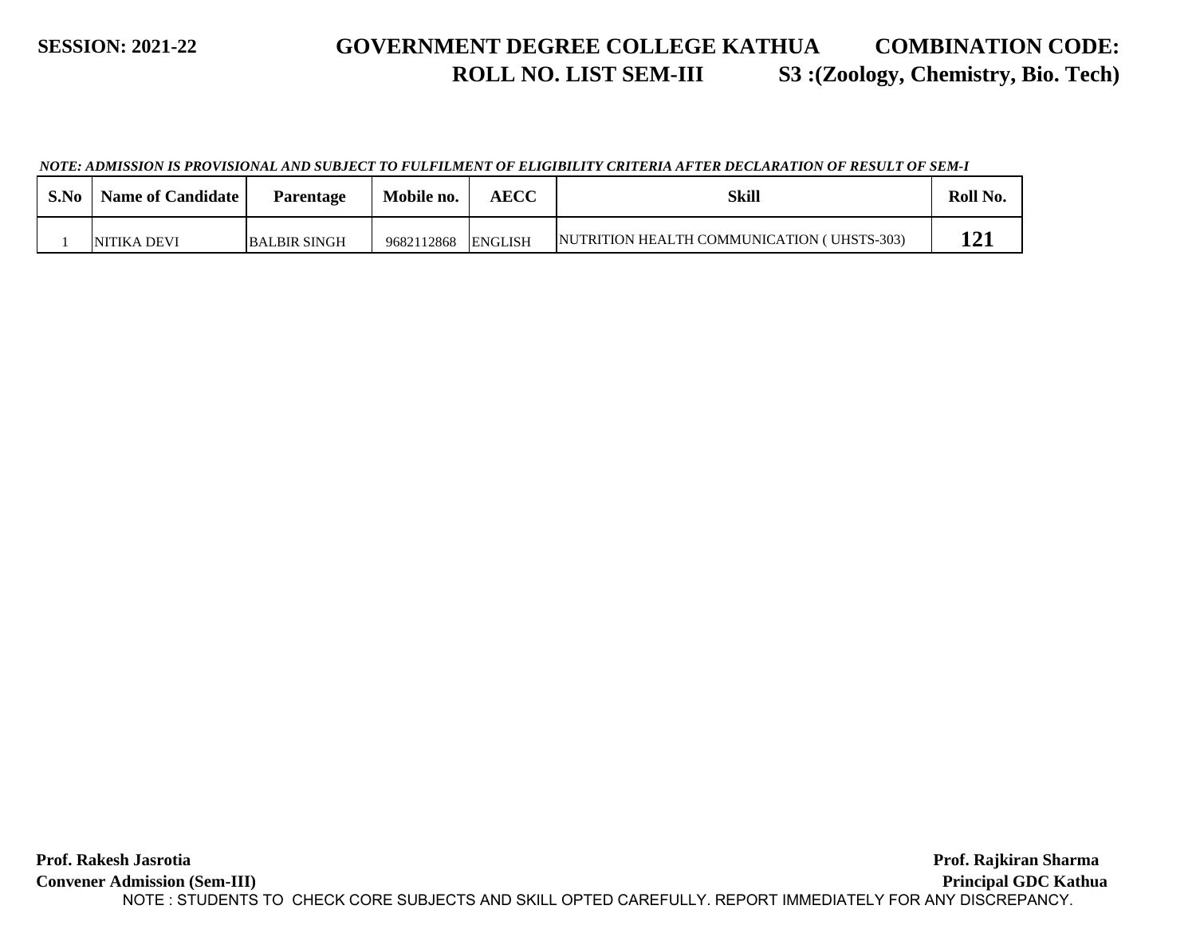#### **SESSION: 2021-22 GOVERNMENT DEGREE COLLEGE KATHUA ROLL NO. LIST SEM-III COMBINATION CODE: S3 :(Zoology, Chemistry, Bio. Tech)**

*NOTE: ADMISSION IS PROVISIONAL AND SUBJECT TO FULFILMENT OF ELIGIBILITY CRITERIA AFTER DECLARATION OF RESULT OF SEM-I*

| S.No | <b>Name of Candidate</b> | Parentage           | Mobile no. | AECC           | Skill                                       | Roll No. |
|------|--------------------------|---------------------|------------|----------------|---------------------------------------------|----------|
|      | NITIKA DEVI              | <b>BALBIR SINGH</b> | 9682112868 | <b>ENGLISH</b> | INUTRITION HEALTH COMMUNICATION (UHSTS-303) |          |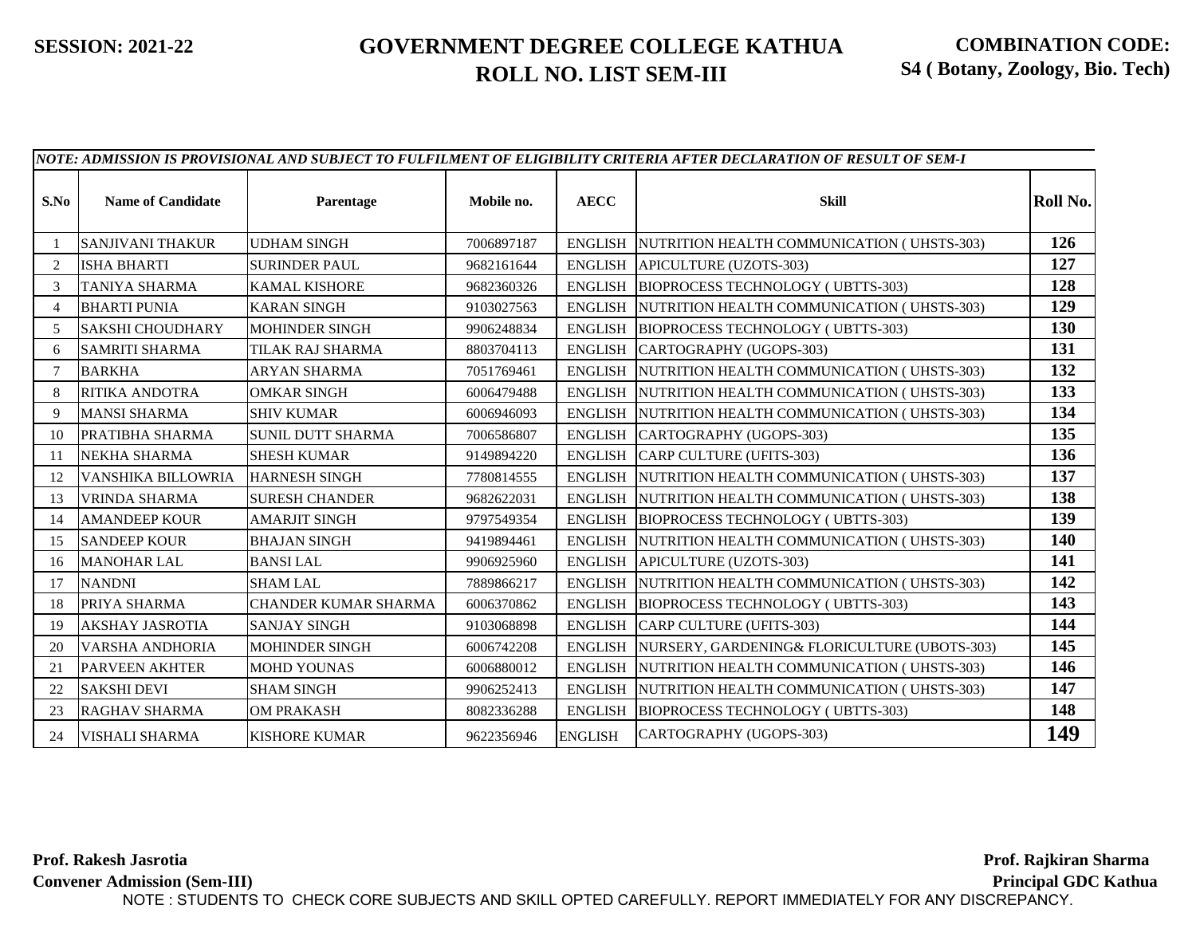|                |                           |                          |            |                | NOTE: ADMISSION IS PROVISIONAL AND SUBJECT TO FULFILMENT OF ELIGIBILITY CRITERIA AFTER DECLARATION OF RESULT OF SEM-I |            |
|----------------|---------------------------|--------------------------|------------|----------------|-----------------------------------------------------------------------------------------------------------------------|------------|
| S.No           | <b>Name of Candidate</b>  | Parentage                | Mobile no. | <b>AECC</b>    | <b>Skill</b>                                                                                                          | Roll No.   |
|                | <b>SANJIVANI THAKUR</b>   | <b>UDHAM SINGH</b>       | 7006897187 | <b>ENGLISH</b> | NUTRITION HEALTH COMMUNICATION (UHSTS-303)                                                                            | 126        |
| $\overline{2}$ | <b>ISHA BHARTI</b>        | <b>SURINDER PAUL</b>     | 9682161644 | <b>ENGLISH</b> | APICULTURE (UZOTS-303)                                                                                                | 127        |
| 3              | TANIYA SHARMA             | <b>KAMAL KISHORE</b>     | 9682360326 | <b>ENGLISH</b> | BIOPROCESS TECHNOLOGY (UBTTS-303)                                                                                     | 128        |
| $\overline{4}$ | <b>BHARTI PUNIA</b>       | <b>KARAN SINGH</b>       | 9103027563 | <b>ENGLISH</b> | NUTRITION HEALTH COMMUNICATION (UHSTS-303)                                                                            | 129        |
| 5              | <b>SAKSHI CHOUDHARY</b>   | <b>MOHINDER SINGH</b>    | 9906248834 | <b>ENGLISH</b> | BIOPROCESS TECHNOLOGY (UBTTS-303)                                                                                     | <b>130</b> |
| 6              | <b>SAMRITI SHARMA</b>     | TILAK RAJ SHARMA         | 8803704113 | <b>ENGLISH</b> | CARTOGRAPHY (UGOPS-303)                                                                                               | 131        |
|                | <b>BARKHA</b>             | <b>ARYAN SHARMA</b>      | 7051769461 | <b>ENGLISH</b> | NUTRITION HEALTH COMMUNICATION (UHSTS-303)                                                                            | 132        |
| 8              | RITIKA ANDOTRA            | <b>OMKAR SINGH</b>       | 6006479488 | ENGLISH        | NUTRITION HEALTH COMMUNICATION (UHSTS-303)                                                                            | 133        |
| 9              | <b>MANSI SHARMA</b>       | <b>SHIV KUMAR</b>        | 6006946093 | ENGLISH        | NUTRITION HEALTH COMMUNICATION (UHSTS-303)                                                                            | 134        |
| 10             | PRATIBHA SHARMA           | <b>SUNIL DUTT SHARMA</b> | 7006586807 | <b>ENGLISH</b> | CARTOGRAPHY (UGOPS-303)                                                                                               | 135        |
| -11            | NEKHA SHARMA              | <b>SHESH KUMAR</b>       | 9149894220 | <b>ENGLISH</b> | CARP CULTURE (UFITS-303)                                                                                              | 136        |
| 12             | <b>VANSHIKA BILLOWRIA</b> | <b>HARNESH SINGH</b>     | 7780814555 | <b>ENGLISH</b> | NUTRITION HEALTH COMMUNICATION (UHSTS-303)                                                                            | 137        |
| 13             | <b>VRINDA SHARMA</b>      | <b>SURESH CHANDER</b>    | 9682622031 | <b>ENGLISH</b> | NUTRITION HEALTH COMMUNICATION (UHSTS-303)                                                                            | 138        |
| 14             | <b>AMANDEEP KOUR</b>      | <b>AMARJIT SINGH</b>     | 9797549354 | ENGLISH        | BIOPROCESS TECHNOLOGY (UBTTS-303)                                                                                     | 139        |
| 15             | <b>SANDEEP KOUR</b>       | <b>BHAJAN SINGH</b>      | 9419894461 | <b>ENGLISH</b> | NUTRITION HEALTH COMMUNICATION (UHSTS-303)                                                                            | 140        |
| 16             | <b>MANOHAR LAL</b>        | <b>BANSI LAL</b>         | 9906925960 | <b>ENGLISH</b> | APICULTURE (UZOTS-303)                                                                                                | 141        |
| 17             | <b>NANDNI</b>             | <b>SHAM LAL</b>          | 7889866217 | <b>ENGLISH</b> | NUTRITION HEALTH COMMUNICATION (UHSTS-303)                                                                            | 142        |
| 18             | PRIYA SHARMA              | CHANDER KUMAR SHARMA     | 6006370862 | <b>ENGLISH</b> | <b>BIOPROCESS TECHNOLOGY (UBTTS-303)</b>                                                                              | 143        |
| 19             | <b>AKSHAY JASROTIA</b>    | <b>SANJAY SINGH</b>      | 9103068898 | <b>ENGLISH</b> | CARP CULTURE (UFITS-303)                                                                                              | 144        |
| 20             | VARSHA ANDHORIA           | <b>MOHINDER SINGH</b>    | 6006742208 | <b>ENGLISH</b> | NURSERY, GARDENING& FLORICULTURE (UBOTS-303)                                                                          | 145        |
| 21             | <b>PARVEEN AKHTER</b>     | <b>MOHD YOUNAS</b>       | 6006880012 | <b>ENGLISH</b> | NUTRITION HEALTH COMMUNICATION (UHSTS-303)                                                                            | 146        |
| 22             | <b>SAKSHI DEVI</b>        | <b>SHAM SINGH</b>        | 9906252413 | <b>ENGLISH</b> | NUTRITION HEALTH COMMUNICATION (UHSTS-303)                                                                            | 147        |
| 23             | <b>RAGHAV SHARMA</b>      | <b>OM PRAKASH</b>        | 8082336288 | <b>ENGLISH</b> | <b>BIOPROCESS TECHNOLOGY (UBTTS-303)</b>                                                                              | 148        |
| 24             | <b>VISHALI SHARMA</b>     | <b>KISHORE KUMAR</b>     | 9622356946 | <b>ENGLISH</b> | CARTOGRAPHY (UGOPS-303)                                                                                               | 149        |

**Prof. Rakesh Jasrotia Convener Admission (Sem-III) Prof. Rajkiran Sharma..... Principal GDC Kathua...** NOTE : STUDENTS TO CHECK CORE SUBJECTS AND SKILL OPTED CAREFULLY. REPORT IMMEDIATELY FOR ANY DISCREPANCY.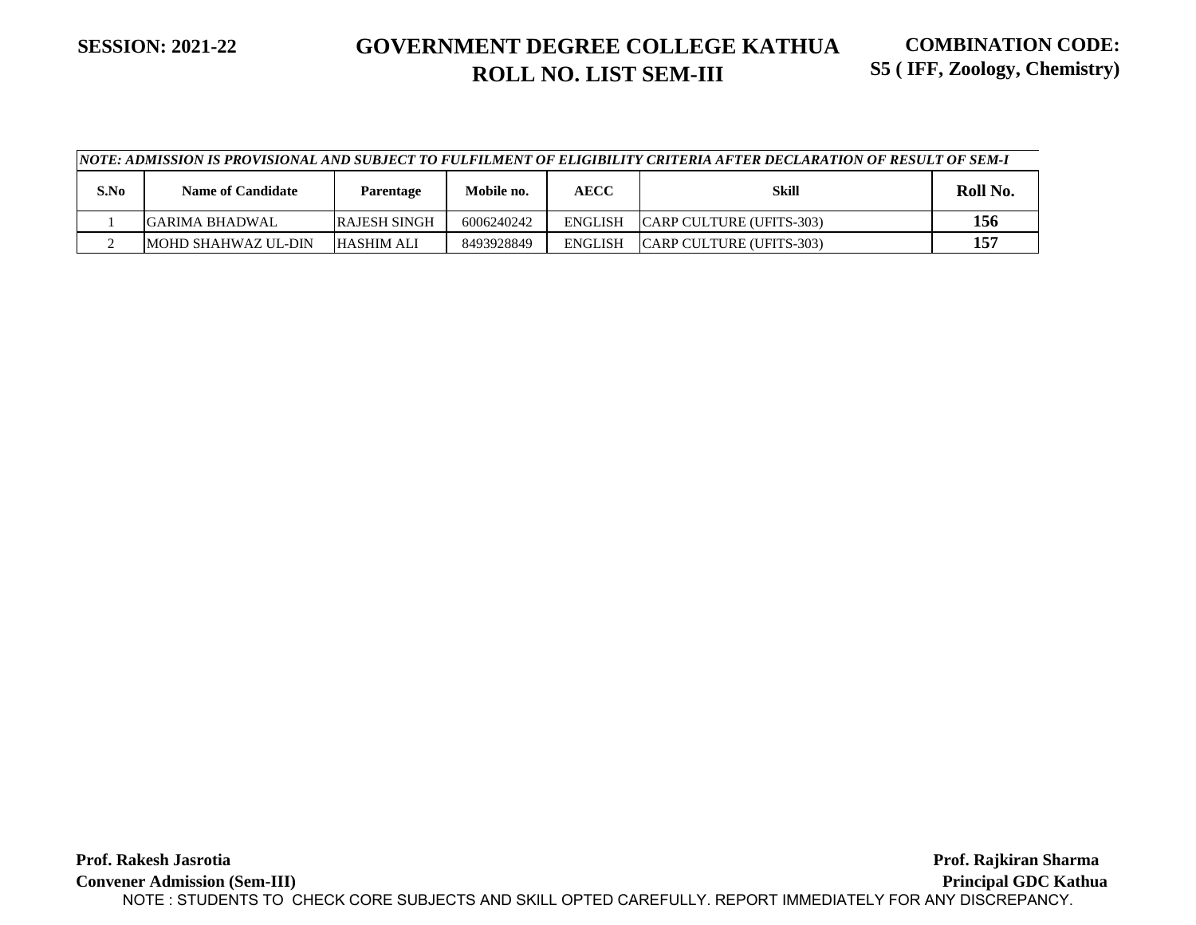|      | \NOTE: ADMISSION IS PROVISIONAL AND SUBJECT TO FULFILMENT OF ELIGIBILITY CRITERIA AFTER DECLARATION OF RESULT OF SEM-I |                     |            |                |                           |          |  |  |  |
|------|------------------------------------------------------------------------------------------------------------------------|---------------------|------------|----------------|---------------------------|----------|--|--|--|
| S.No | <b>Name of Candidate</b>                                                                                               | <b>Parentage</b>    | Mobile no. | <b>AECC</b>    | Skill                     | Roll No. |  |  |  |
|      | IGARIMA BHADWAL                                                                                                        | <b>RAJESH SINGH</b> | 6006240242 | <b>ENGLISH</b> | ICARP CULTURE (UFITS-303) | 156      |  |  |  |
|      | <b>IMOHD SHAHWAZ UL-DIN</b>                                                                                            | <b>HASHIM ALI</b>   | 8493928849 | ENGLISH        | ICARP CULTURE (UFITS-303) | 157      |  |  |  |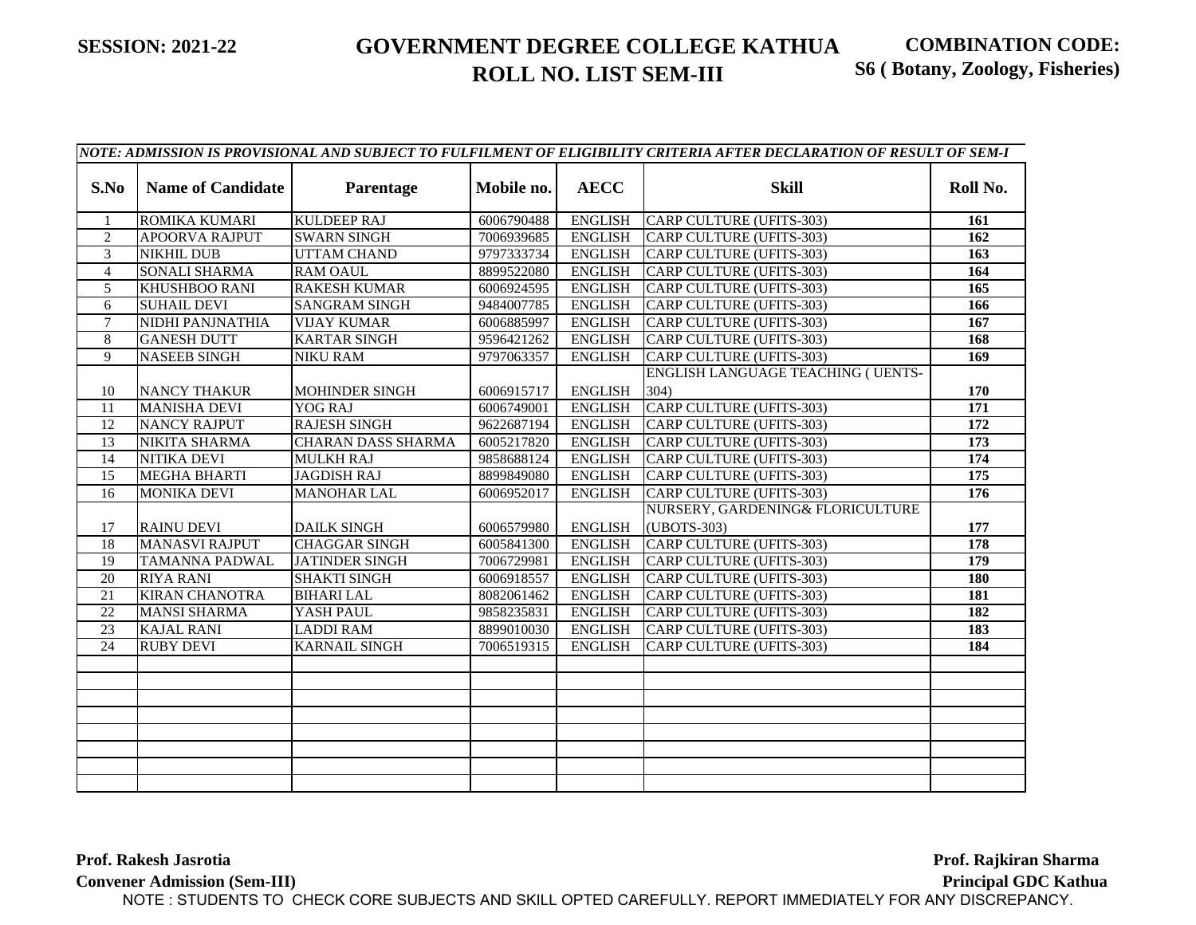|                 |                          |                           |            |                | NOTE: ADMISSION IS PROVISIONAL AND SUBJECT TO FULFILMENT OF ELIGIBILITY CRITERIA AFTER DECLARATION OF RESULT OF SEM-I |                  |
|-----------------|--------------------------|---------------------------|------------|----------------|-----------------------------------------------------------------------------------------------------------------------|------------------|
| S.No            | <b>Name of Candidate</b> | Parentage                 | Mobile no. | <b>AECC</b>    | <b>Skill</b>                                                                                                          | Roll No.         |
| $\mathbf{1}$    | ROMIKA KUMARI            | <b>KULDEEP RAJ</b>        | 6006790488 | <b>ENGLISH</b> | CARP CULTURE (UFITS-303)                                                                                              | 161              |
| $\overline{2}$  | <b>APOORVA RAJPUT</b>    | <b>SWARN SINGH</b>        | 7006939685 | ENGLISH        | <b>CARP CULTURE (UFITS-303)</b>                                                                                       | 162              |
| 3               | <b>NIKHIL DUB</b>        | <b>UTTAM CHAND</b>        | 9797333734 | <b>ENGLISH</b> | <b>CARP CULTURE (UFITS-303)</b>                                                                                       | 163              |
| $\overline{4}$  | <b>SONALI SHARMA</b>     | <b>RAM OAUL</b>           | 8899522080 | <b>ENGLISH</b> | <b>CARP CULTURE (UFITS-303)</b>                                                                                       | 164              |
| 5               | <b>KHUSHBOO RANI</b>     | <b>RAKESH KUMAR</b>       | 6006924595 | <b>ENGLISH</b> | <b>CARP CULTURE (UFITS-303)</b>                                                                                       | 165              |
| 6               | <b>SUHAIL DEVI</b>       | <b>SANGRAM SINGH</b>      | 9484007785 | <b>ENGLISH</b> | <b>CARP CULTURE (UFITS-303)</b>                                                                                       | 166              |
| $\overline{7}$  | <b>NIDHI PANJNATHIA</b>  | <b>VIJAY KUMAR</b>        | 6006885997 | <b>ENGLISH</b> | CARP CULTURE (UFITS-303)                                                                                              | 167              |
| 8               | <b>GANESH DUTT</b>       | <b>KARTAR SINGH</b>       | 9596421262 | <b>ENGLISH</b> | CARP CULTURE (UFITS-303)                                                                                              | 168              |
| 9               | <b>NASEEB SINGH</b>      | <b>NIKU RAM</b>           | 9797063357 | <b>ENGLISH</b> | <b>CARP CULTURE (UFITS-303)</b>                                                                                       | 169              |
|                 |                          |                           |            |                | <b>ENGLISH LANGUAGE TEACHING ( UENTS-</b>                                                                             |                  |
| 10              | <b>NANCY THAKUR</b>      | <b>MOHINDER SINGH</b>     | 6006915717 | <b>ENGLISH</b> | 304)                                                                                                                  | 170              |
| 11              | <b>MANISHA DEVI</b>      | YOG RAJ                   | 6006749001 | <b>ENGLISH</b> | CARP CULTURE (UFITS-303)                                                                                              | 171              |
| 12              | <b>NANCY RAJPUT</b>      | <b>RAJESH SINGH</b>       | 9622687194 | <b>ENGLISH</b> | CARP CULTURE (UFITS-303)                                                                                              | 172              |
| 13              | <b>NIKITA SHARMA</b>     | <b>CHARAN DASS SHARMA</b> | 6005217820 | <b>ENGLISH</b> | CARP CULTURE (UFITS-303)                                                                                              | 173              |
| 14              | <b>NITIKA DEVI</b>       | <b>MULKH RAJ</b>          | 9858688124 | ENGLISH        | CARP CULTURE (UFITS-303)                                                                                              | 174              |
| $\overline{15}$ | <b>MEGHA BHARTI</b>      | <b>JAGDISH RAJ</b>        | 8899849080 | <b>ENGLISH</b> | CARP CULTURE (UFITS-303)                                                                                              | $\overline{175}$ |
| 16              | <b>MONIKA DEVI</b>       | <b>MANOHAR LAL</b>        | 6006952017 | <b>ENGLISH</b> | CARP CULTURE (UFITS-303)                                                                                              | 176              |
| 17              | <b>RAINU DEVI</b>        | <b>DAILK SINGH</b>        | 6006579980 | <b>ENGLISH</b> | NURSERY, GARDENING& FLORICULTURE<br>(UBOTS-303)                                                                       | 177              |
| 18              | <b>MANASVI RAJPUT</b>    | <b>CHAGGAR SINGH</b>      | 6005841300 | <b>ENGLISH</b> | CARP CULTURE (UFITS-303)                                                                                              | 178              |
| 19              | <b>TAMANNA PADWAL</b>    | <b>JATINDER SINGH</b>     | 7006729981 | <b>ENGLISH</b> | CARP CULTURE (UFITS-303)                                                                                              | $\overline{179}$ |
| 20              | <b>RIYA RANI</b>         | <b>SHAKTI SINGH</b>       | 6006918557 | <b>ENGLISH</b> | CARP CULTURE (UFITS-303)                                                                                              | 180              |
| 21              | <b>KIRAN CHANOTRA</b>    | <b>BIHARI LAL</b>         | 8082061462 | <b>ENGLISH</b> | CARP CULTURE (UFITS-303)                                                                                              | 181              |
| 22              | <b>MANSI SHARMA</b>      | YASH PAUL                 | 9858235831 | <b>ENGLISH</b> | CARP CULTURE (UFITS-303)                                                                                              | 182              |
| $\overline{23}$ | <b>KAJAL RANI</b>        | <b>LADDI RAM</b>          | 8899010030 | <b>ENGLISH</b> | CARP CULTURE (UFITS-303)                                                                                              | 183              |
| 24              | <b>RUBY DEVI</b>         | <b>KARNAIL SINGH</b>      | 7006519315 | <b>ENGLISH</b> | CARP CULTURE (UFITS-303)                                                                                              | 184              |
|                 |                          |                           |            |                |                                                                                                                       |                  |
|                 |                          |                           |            |                |                                                                                                                       |                  |
|                 |                          |                           |            |                |                                                                                                                       |                  |
|                 |                          |                           |            |                |                                                                                                                       |                  |
|                 |                          |                           |            |                |                                                                                                                       |                  |
|                 |                          |                           |            |                |                                                                                                                       |                  |
|                 |                          |                           |            |                |                                                                                                                       |                  |
|                 |                          |                           |            |                |                                                                                                                       |                  |

**Prof. Rakesh Jasrotia Convener Admission (Sem-III)** Prof. Rajkiran Sharma **Principal GDC Kathua** NOTE : STUDENTS TO CHECK CORE SUBJECTS AND SKILL OPTED CAREFULLY. REPORT IMMEDIATELY FOR ANY DISCREPANCY.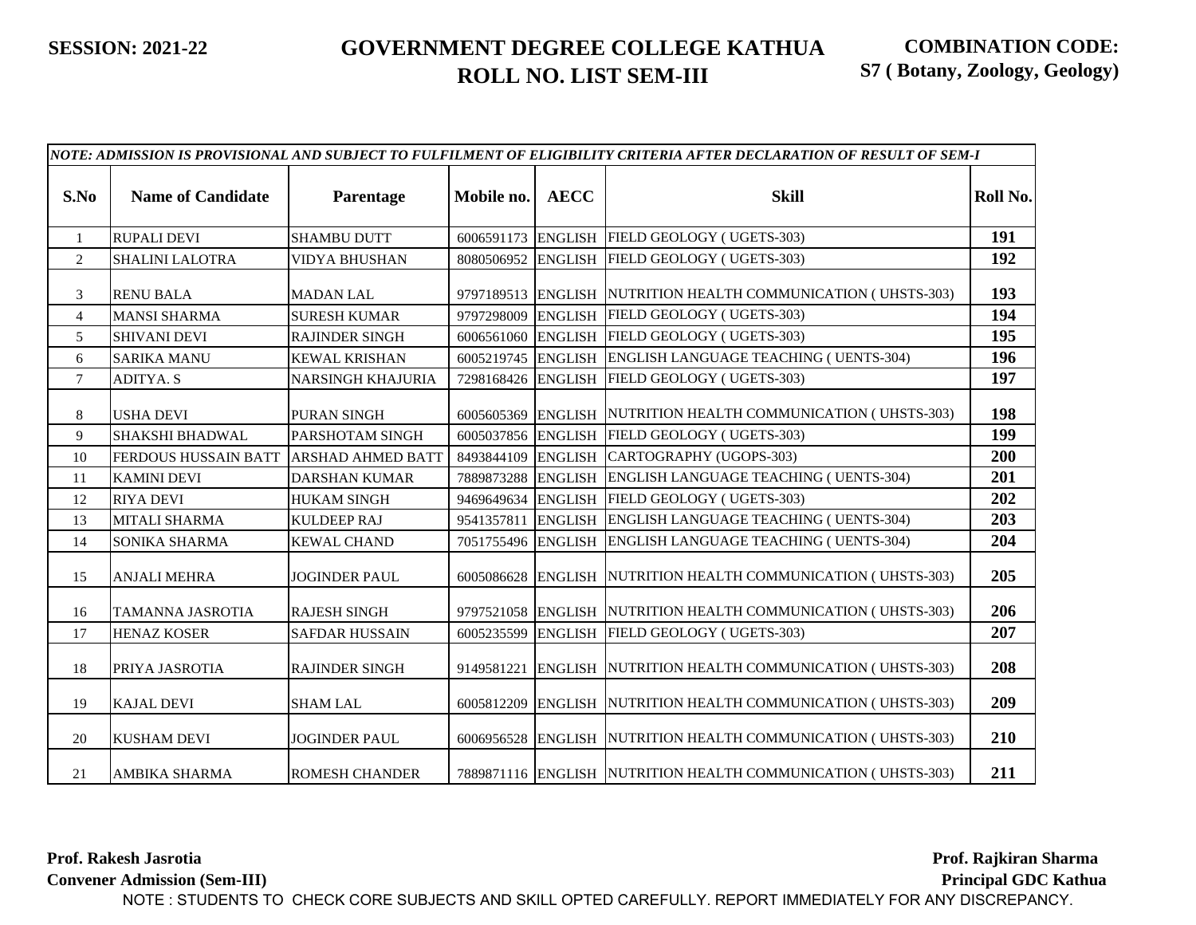|                |                             |                          |                    |                | NOTE: ADMISSION IS PROVISIONAL AND SUBJECT TO FULFILMENT OF ELIGIBILITY CRITERIA AFTER DECLARATION OF RESULT OF SEM-I |          |
|----------------|-----------------------------|--------------------------|--------------------|----------------|-----------------------------------------------------------------------------------------------------------------------|----------|
| S.No           | <b>Name of Candidate</b>    | Parentage                | Mobile no.         | <b>AECC</b>    | <b>Skill</b>                                                                                                          | Roll No. |
| $\mathbf{1}$   | <b>RUPALI DEVI</b>          | <b>SHAMBU DUTT</b>       | 6006591173 ENGLISH |                | FIELD GEOLOGY (UGETS-303)                                                                                             | 191      |
| $\overline{2}$ | <b>SHALINI LALOTRA</b>      | VIDYA BHUSHAN            | 8080506952 ENGLISH |                | FIELD GEOLOGY (UGETS-303)                                                                                             | 192      |
| 3              | <b>RENU BALA</b>            | <b>MADAN LAL</b>         |                    |                | 9797189513 ENGLISH NUTRITION HEALTH COMMUNICATION (UHSTS-303)                                                         | 193      |
| $\overline{4}$ | <b>MANSI SHARMA</b>         | <b>SURESH KUMAR</b>      | 9797298009         |                | ENGLISH FIELD GEOLOGY (UGETS-303)                                                                                     | 194      |
| 5              | <b>SHIVANI DEVI</b>         | <b>RAJINDER SINGH</b>    | 6006561060         |                | ENGLISH FIELD GEOLOGY (UGETS-303)                                                                                     | 195      |
| 6              | <b>SARIKA MANU</b>          | <b>KEWAL KRISHAN</b>     |                    |                | 6005219745 ENGLISH ENGLISH LANGUAGE TEACHING (UENTS-304)                                                              | 196      |
| $\tau$         | <b>ADITYA. S</b>            | NARSINGH KHAJURIA        | 7298168426 ENGLISH |                | FIELD GEOLOGY (UGETS-303)                                                                                             | 197      |
| 8              | <b>USHA DEVI</b>            | PURAN SINGH              |                    |                | 6005605369 ENGLISH NUTRITION HEALTH COMMUNICATION (UHSTS-303)                                                         | 198      |
| 9              | <b>SHAKSHI BHADWAL</b>      | PARSHOTAM SINGH          |                    |                | 6005037856 ENGLISH FIELD GEOLOGY (UGETS-303)                                                                          | 199      |
| 10             | <b>FERDOUS HUSSAIN BATT</b> | <b>ARSHAD AHMED BATT</b> | 8493844109         |                | ENGLISH CARTOGRAPHY (UGOPS-303)                                                                                       | 200      |
| 11             | <b>KAMINI DEVI</b>          | <b>DARSHAN KUMAR</b>     | 7889873288         |                | ENGLISH ENGLISH LANGUAGE TEACHING (UENTS-304)                                                                         | 201      |
| 12             | <b>RIYA DEVI</b>            | <b>HUKAM SINGH</b>       | 9469649634         | <b>ENGLISH</b> | FIELD GEOLOGY (UGETS-303)                                                                                             | 202      |
| 13             | <b>MITALI SHARMA</b>        | <b>KULDEEP RAJ</b>       | 9541357811         |                | ENGLISH ENGLISH LANGUAGE TEACHING (UENTS-304)                                                                         | 203      |
| 14             | SONIKA SHARMA               | <b>KEWAL CHAND</b>       | 7051755496 ENGLISH |                | ENGLISH LANGUAGE TEACHING ( UENTS-304)                                                                                | 204      |
| 15             | <b>ANJALI MEHRA</b>         | <b>JOGINDER PAUL</b>     |                    |                | 6005086628 ENGLISH NUTRITION HEALTH COMMUNICATION (UHSTS-303)                                                         | 205      |
| 16             | TAMANNA JASROTIA            | <b>RAJESH SINGH</b>      | 9797521058         |                | ENGLISH NUTRITION HEALTH COMMUNICATION (UHSTS-303)                                                                    | 206      |
| 17             | <b>HENAZ KOSER</b>          | <b>SAFDAR HUSSAIN</b>    | 6005235599         |                | ENGLISH FIELD GEOLOGY (UGETS-303)                                                                                     | 207      |
| 18             | PRIYA JASROTIA              | <b>RAJINDER SINGH</b>    | 9149581221         |                | ENGLISH NUTRITION HEALTH COMMUNICATION (UHSTS-303)                                                                    | 208      |
| 19             | <b>KAJAL DEVI</b>           | <b>SHAM LAL</b>          |                    |                | 6005812209 ENGLISH NUTRITION HEALTH COMMUNICATION (UHSTS-303)                                                         | 209      |
| 20             | <b>KUSHAM DEVI</b>          | <b>JOGINDER PAUL</b>     |                    |                | 6006956528 ENGLISH NUTRITION HEALTH COMMUNICATION (UHSTS-303)                                                         | 210      |
| 21             | <b>AMBIKA SHARMA</b>        | <b>ROMESH CHANDER</b>    |                    |                | 7889871116 ENGLISH NUTRITION HEALTH COMMUNICATION (UHSTS-303)                                                         | 211      |

**Prof. Rakesh Jasrotia**

**Convener Admission (Sem-III)**

**Prof. Rajkiran Sharma.....**

**Principal GDC Kathua...**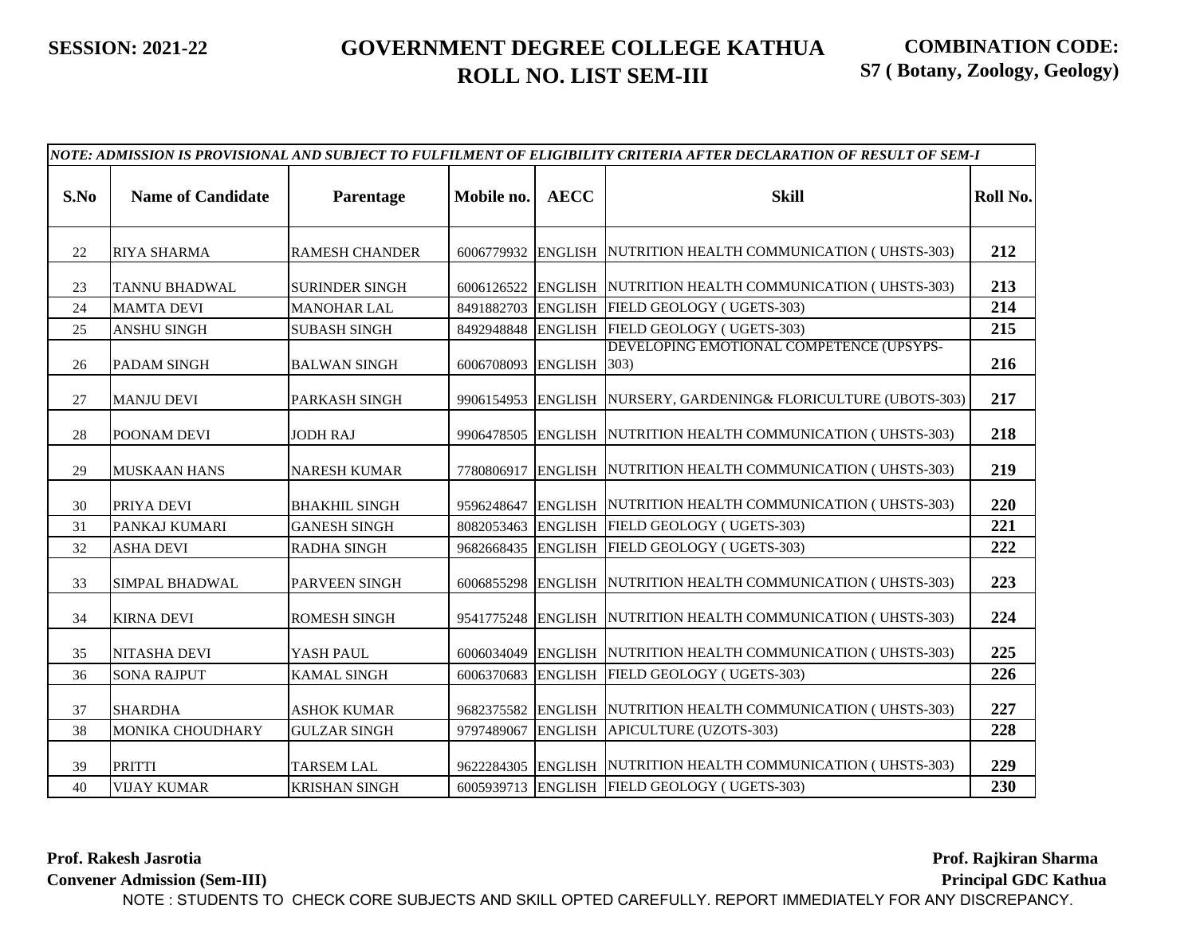|    | NOTE: ADMISSION IS PROVISIONAL AND SUBJECT TO FULFILMENT OF ELIGIBILITY CRITERIA AFTER DECLARATION OF RESULT OF SEM-I<br>S.No<br><b>Name of Candidate</b><br><b>AECC</b><br><b>Skill</b><br>Parentage<br>Mobile no.<br>212<br>6006779932 ENGLISH NUTRITION HEALTH COMMUNICATION (UHSTS-303)<br><b>RAMESH CHANDER</b><br>22<br><b>RIYA SHARMA</b><br>213<br>6006126522 ENGLISH NUTRITION HEALTH COMMUNICATION (UHSTS-303)<br><b>TANNU BHADWAL</b><br><b>SURINDER SINGH</b><br>23<br>214<br><b>ENGLISH</b><br>FIELD GEOLOGY (UGETS-303)<br><b>MAMTA DEVI</b><br><b>MANOHAR LAL</b><br>8491882703<br>24<br>8492948848 ENGLISH FIELD GEOLOGY (UGETS-303)<br>215<br>25<br><b>SUBASH SINGH</b><br><b>ANSHU SINGH</b><br>DEVELOPING EMOTIONAL COMPETENCE (UPSYPS-<br>216<br>6006708093 ENGLISH 303)<br>26<br><b>PADAM SINGH</b><br><b>BALWAN SINGH</b><br>217<br>9906154953 ENGLISH NURSERY, GARDENING& FLORICULTURE (UBOTS-303)<br>27<br><b>MANJU DEVI</b><br>PARKASH SINGH<br>218<br>9906478505 ENGLISH NUTRITION HEALTH COMMUNICATION (UHSTS-303)<br>28<br>POONAM DEVI<br><b>JODH RAJ</b><br>219<br>7780806917 ENGLISH NUTRITION HEALTH COMMUNICATION (UHSTS-303)<br>29<br><b>MUSKAAN HANS</b><br><b>NARESH KUMAR</b><br>220<br>9596248647 ENGLISH NUTRITION HEALTH COMMUNICATION (UHSTS-303)<br>PRIYA DEVI<br><b>BHAKHIL SINGH</b><br>30<br>ENGLISH FIELD GEOLOGY (UGETS-303)<br>221<br>PANKAJ KUMARI<br><b>GANESH SINGH</b><br>8082053463<br>31<br>222<br>FIELD GEOLOGY (UGETS-303)<br>32<br><b>ENGLISH</b><br><b>ASHA DEVI</b><br><b>RADHA SINGH</b><br>9682668435<br>223<br>6006855298 ENGLISH NUTRITION HEALTH COMMUNICATION (UHSTS-303)<br>33<br><b>SIMPAL BHADWAL</b><br><b>PARVEEN SINGH</b><br>224<br>9541775248 ENGLISH NUTRITION HEALTH COMMUNICATION (UHSTS-303)<br>34<br><b>KIRNA DEVI</b><br><b>ROMESH SINGH</b> |                      |            |                |                                                               |          |
|----|----------------------------------------------------------------------------------------------------------------------------------------------------------------------------------------------------------------------------------------------------------------------------------------------------------------------------------------------------------------------------------------------------------------------------------------------------------------------------------------------------------------------------------------------------------------------------------------------------------------------------------------------------------------------------------------------------------------------------------------------------------------------------------------------------------------------------------------------------------------------------------------------------------------------------------------------------------------------------------------------------------------------------------------------------------------------------------------------------------------------------------------------------------------------------------------------------------------------------------------------------------------------------------------------------------------------------------------------------------------------------------------------------------------------------------------------------------------------------------------------------------------------------------------------------------------------------------------------------------------------------------------------------------------------------------------------------------------------------------------------------------------------------------------------------------------------------|----------------------|------------|----------------|---------------------------------------------------------------|----------|
|    |                                                                                                                                                                                                                                                                                                                                                                                                                                                                                                                                                                                                                                                                                                                                                                                                                                                                                                                                                                                                                                                                                                                                                                                                                                                                                                                                                                                                                                                                                                                                                                                                                                                                                                                                                                                                                            |                      |            |                |                                                               | Roll No. |
|    |                                                                                                                                                                                                                                                                                                                                                                                                                                                                                                                                                                                                                                                                                                                                                                                                                                                                                                                                                                                                                                                                                                                                                                                                                                                                                                                                                                                                                                                                                                                                                                                                                                                                                                                                                                                                                            |                      |            |                |                                                               |          |
|    |                                                                                                                                                                                                                                                                                                                                                                                                                                                                                                                                                                                                                                                                                                                                                                                                                                                                                                                                                                                                                                                                                                                                                                                                                                                                                                                                                                                                                                                                                                                                                                                                                                                                                                                                                                                                                            |                      |            |                |                                                               |          |
|    |                                                                                                                                                                                                                                                                                                                                                                                                                                                                                                                                                                                                                                                                                                                                                                                                                                                                                                                                                                                                                                                                                                                                                                                                                                                                                                                                                                                                                                                                                                                                                                                                                                                                                                                                                                                                                            |                      |            |                |                                                               |          |
|    |                                                                                                                                                                                                                                                                                                                                                                                                                                                                                                                                                                                                                                                                                                                                                                                                                                                                                                                                                                                                                                                                                                                                                                                                                                                                                                                                                                                                                                                                                                                                                                                                                                                                                                                                                                                                                            |                      |            |                |                                                               |          |
|    |                                                                                                                                                                                                                                                                                                                                                                                                                                                                                                                                                                                                                                                                                                                                                                                                                                                                                                                                                                                                                                                                                                                                                                                                                                                                                                                                                                                                                                                                                                                                                                                                                                                                                                                                                                                                                            |                      |            |                |                                                               |          |
|    |                                                                                                                                                                                                                                                                                                                                                                                                                                                                                                                                                                                                                                                                                                                                                                                                                                                                                                                                                                                                                                                                                                                                                                                                                                                                                                                                                                                                                                                                                                                                                                                                                                                                                                                                                                                                                            |                      |            |                |                                                               |          |
|    |                                                                                                                                                                                                                                                                                                                                                                                                                                                                                                                                                                                                                                                                                                                                                                                                                                                                                                                                                                                                                                                                                                                                                                                                                                                                                                                                                                                                                                                                                                                                                                                                                                                                                                                                                                                                                            |                      |            |                |                                                               |          |
|    |                                                                                                                                                                                                                                                                                                                                                                                                                                                                                                                                                                                                                                                                                                                                                                                                                                                                                                                                                                                                                                                                                                                                                                                                                                                                                                                                                                                                                                                                                                                                                                                                                                                                                                                                                                                                                            |                      |            |                |                                                               |          |
|    |                                                                                                                                                                                                                                                                                                                                                                                                                                                                                                                                                                                                                                                                                                                                                                                                                                                                                                                                                                                                                                                                                                                                                                                                                                                                                                                                                                                                                                                                                                                                                                                                                                                                                                                                                                                                                            |                      |            |                |                                                               |          |
|    |                                                                                                                                                                                                                                                                                                                                                                                                                                                                                                                                                                                                                                                                                                                                                                                                                                                                                                                                                                                                                                                                                                                                                                                                                                                                                                                                                                                                                                                                                                                                                                                                                                                                                                                                                                                                                            |                      |            |                |                                                               |          |
|    |                                                                                                                                                                                                                                                                                                                                                                                                                                                                                                                                                                                                                                                                                                                                                                                                                                                                                                                                                                                                                                                                                                                                                                                                                                                                                                                                                                                                                                                                                                                                                                                                                                                                                                                                                                                                                            |                      |            |                |                                                               |          |
|    |                                                                                                                                                                                                                                                                                                                                                                                                                                                                                                                                                                                                                                                                                                                                                                                                                                                                                                                                                                                                                                                                                                                                                                                                                                                                                                                                                                                                                                                                                                                                                                                                                                                                                                                                                                                                                            |                      |            |                |                                                               |          |
|    |                                                                                                                                                                                                                                                                                                                                                                                                                                                                                                                                                                                                                                                                                                                                                                                                                                                                                                                                                                                                                                                                                                                                                                                                                                                                                                                                                                                                                                                                                                                                                                                                                                                                                                                                                                                                                            |                      |            |                |                                                               |          |
| 35 | <b>NITASHA DEVI</b>                                                                                                                                                                                                                                                                                                                                                                                                                                                                                                                                                                                                                                                                                                                                                                                                                                                                                                                                                                                                                                                                                                                                                                                                                                                                                                                                                                                                                                                                                                                                                                                                                                                                                                                                                                                                        | YASH PAUL            | 6006034049 | <b>ENGLISH</b> | NUTRITION HEALTH COMMUNICATION (UHSTS-303)                    | 225      |
| 36 | <b>SONA RAJPUT</b>                                                                                                                                                                                                                                                                                                                                                                                                                                                                                                                                                                                                                                                                                                                                                                                                                                                                                                                                                                                                                                                                                                                                                                                                                                                                                                                                                                                                                                                                                                                                                                                                                                                                                                                                                                                                         | <b>KAMAL SINGH</b>   | 6006370683 | <b>ENGLISH</b> | FIELD GEOLOGY (UGETS-303)                                     | 226      |
| 37 | <b>SHARDHA</b>                                                                                                                                                                                                                                                                                                                                                                                                                                                                                                                                                                                                                                                                                                                                                                                                                                                                                                                                                                                                                                                                                                                                                                                                                                                                                                                                                                                                                                                                                                                                                                                                                                                                                                                                                                                                             | <b>ASHOK KUMAR</b>   |            |                | 9682375582 ENGLISH NUTRITION HEALTH COMMUNICATION (UHSTS-303) | 227      |
| 38 | <b>MONIKA CHOUDHARY</b>                                                                                                                                                                                                                                                                                                                                                                                                                                                                                                                                                                                                                                                                                                                                                                                                                                                                                                                                                                                                                                                                                                                                                                                                                                                                                                                                                                                                                                                                                                                                                                                                                                                                                                                                                                                                    | <b>GULZAR SINGH</b>  | 9797489067 | <b>ENGLISH</b> | APICULTURE (UZOTS-303)                                        | 228      |
| 39 | <b>PRITTI</b>                                                                                                                                                                                                                                                                                                                                                                                                                                                                                                                                                                                                                                                                                                                                                                                                                                                                                                                                                                                                                                                                                                                                                                                                                                                                                                                                                                                                                                                                                                                                                                                                                                                                                                                                                                                                              | <b>TARSEM LAL</b>    |            |                | 9622284305 ENGLISH NUTRITION HEALTH COMMUNICATION (UHSTS-303) | 229      |
| 40 | <b>VIJAY KUMAR</b>                                                                                                                                                                                                                                                                                                                                                                                                                                                                                                                                                                                                                                                                                                                                                                                                                                                                                                                                                                                                                                                                                                                                                                                                                                                                                                                                                                                                                                                                                                                                                                                                                                                                                                                                                                                                         | <b>KRISHAN SINGH</b> |            |                | 6005939713 ENGLISH FIELD GEOLOGY (UGETS-303)                  | 230      |

**Prof. Rakesh Jasrotia**

**Convener Admission (Sem-III)**

**Prof. Rajkiran Sharma.....**

**Principal GDC Kathua...**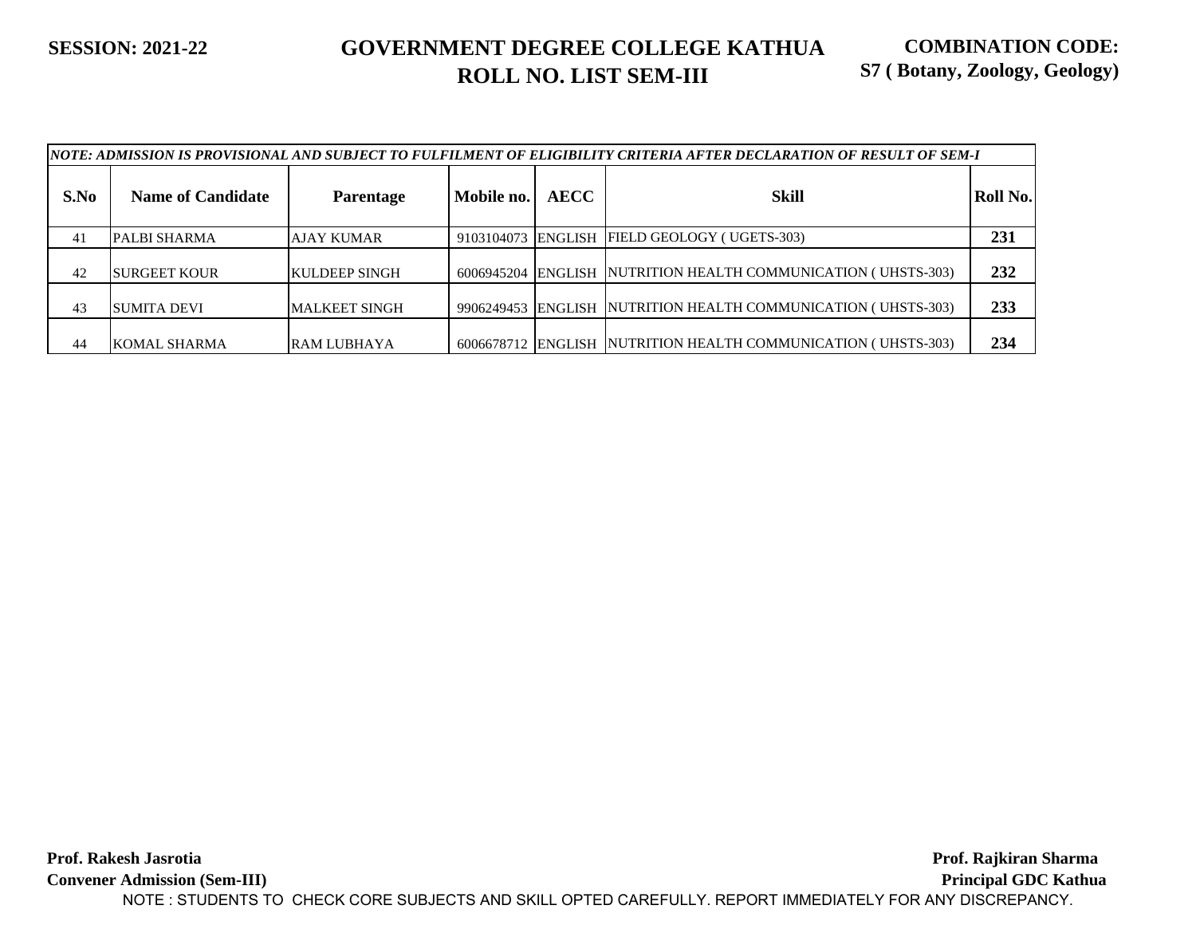|      |                          |                       |                    |             | NOTE: ADMISSION IS PROVISIONAL AND SUBJECT TO FULFILMENT OF ELIGIBILITY CRITERIA AFTER DECLARATION OF RESULT OF SEM-I |          |
|------|--------------------------|-----------------------|--------------------|-------------|-----------------------------------------------------------------------------------------------------------------------|----------|
| S.No | <b>Name of Candidate</b> | <b>Parentage</b>      | Mobile no.         | <b>AECC</b> | <b>Skill</b>                                                                                                          | Roll No. |
| 41   | PALBI SHARMA             | AJAY KUMAR            | 9103104073 ENGLISH |             | FIELD GEOLOGY (UGETS-303)                                                                                             | 231      |
| 42   | <b>ISURGEET KOUR</b>     | <b>IKULDEEP SINGH</b> |                    |             | 6006945204 ENGLISH NUTRITION HEALTH COMMUNICATION (UHSTS-303)                                                         | 232      |
| 43   | SUMITA DEVI              | <b>MALKEET SINGH</b>  |                    |             | 9906249453 ENGLISH NUTRITION HEALTH COMMUNICATION (UHSTS-303)                                                         | 233      |
| 44   | KOMAL SHARMA             | <b>RAM LUBHAYA</b>    |                    |             | 6006678712 ENGLISH NUTRITION HEALTH COMMUNICATION (UHSTS-303)                                                         | 234      |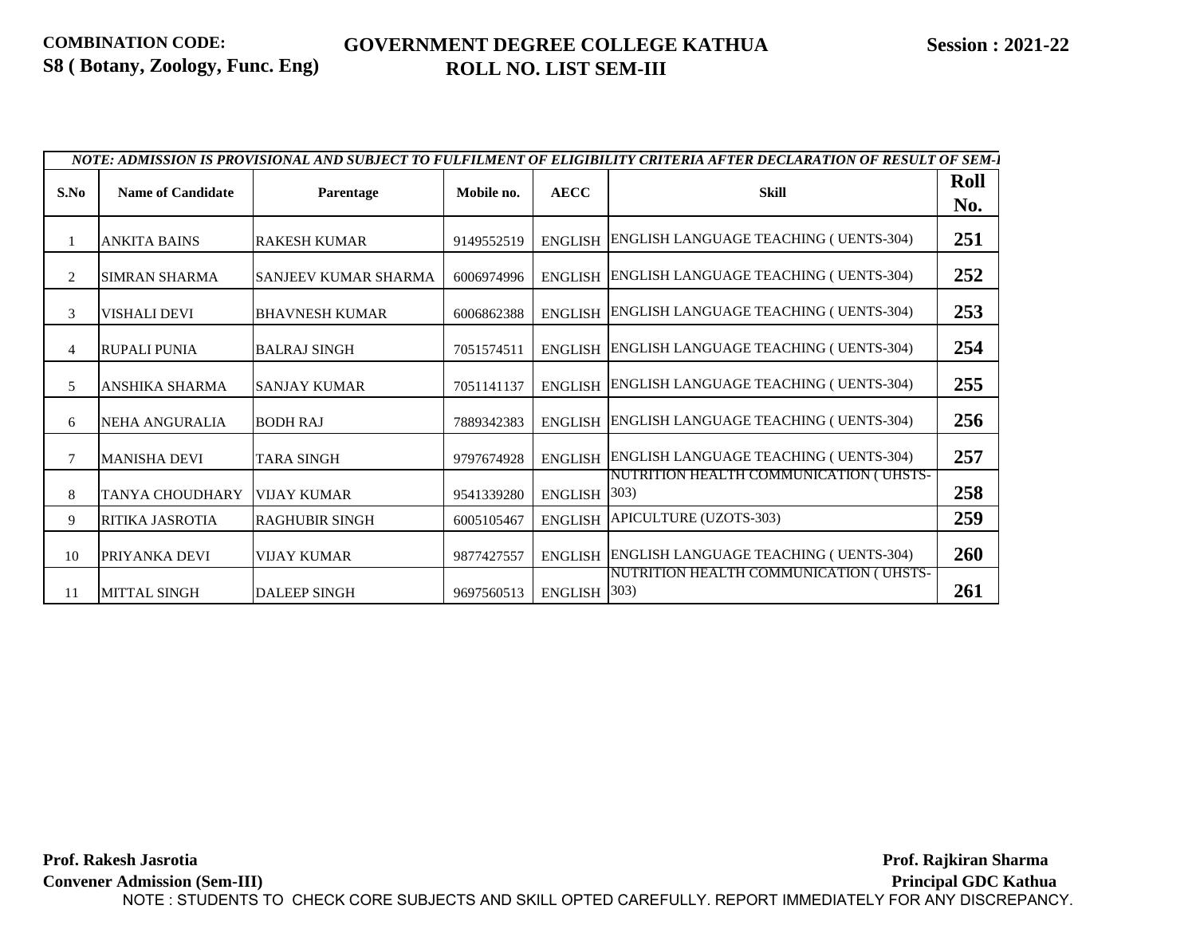### **GOVERNMENT DEGREE COLLEGE KATHUA ROLL NO. LIST SEM-III**

|               |                          |                       |            |                       | NOTE: ADMISSION IS PROVISIONAL AND SUBJECT TO FULFILMENT OF ELIGIBILITY CRITERIA AFTER DECLARATION OF RESULT OF SEM-1 |             |
|---------------|--------------------------|-----------------------|------------|-----------------------|-----------------------------------------------------------------------------------------------------------------------|-------------|
| S.No          | <b>Name of Candidate</b> | Parentage             | Mobile no. | <b>AECC</b>           | Skill                                                                                                                 | Roll<br>No. |
|               | <b>ANKITA BAINS</b>      | <b>RAKESH KUMAR</b>   | 9149552519 |                       | ENGLISH ENGLISH LANGUAGE TEACHING (UENTS-304)                                                                         | 251         |
|               | <b>SIMRAN SHARMA</b>     | SANJEEV KUMAR SHARMA  | 6006974996 |                       | ENGLISH ENGLISH LANGUAGE TEACHING (UENTS-304)                                                                         | 252         |
| $\mathcal{R}$ | <b>VISHALI DEVI</b>      | <b>BHAVNESH KUMAR</b> | 6006862388 |                       | ENGLISH ENGLISH LANGUAGE TEACHING (UENTS-304)                                                                         | 253         |
|               | <b>RUPALI PUNIA</b>      | <b>BALRAJ SINGH</b>   | 7051574511 |                       | ENGLISH ENGLISH LANGUAGE TEACHING (UENTS-304)                                                                         | 254         |
| -5            | ANSHIKA SHARMA           | <b>SANJAY KUMAR</b>   | 7051141137 |                       | ENGLISH ENGLISH LANGUAGE TEACHING (UENTS-304)                                                                         | 255         |
| 6             | <b>NEHA ANGURALIA</b>    | <b>BODH RAJ</b>       | 7889342383 |                       | ENGLISH ENGLISH LANGUAGE TEACHING (UENTS-304)                                                                         | 256         |
|               | <b>MANISHA DEVI</b>      | <b>TARA SINGH</b>     | 9797674928 |                       | ENGLISH ENGLISH LANGUAGE TEACHING (UENTS-304)                                                                         | 257         |
| 8             | TANYA CHOUDHARY          | <b>VIJAY KUMAR</b>    | 9541339280 | ENGLISH 303)          | NUTRITION HEALTH COMMUNICATION (UHSTS-                                                                                | 258         |
| -9            | RITIKA JASROTIA          | <b>RAGHUBIR SINGH</b> | 6005105467 |                       | ENGLISH APICULTURE (UZOTS-303)                                                                                        | 259         |
| 10            | PRIYANKA DEVI            | <b>VIJAY KUMAR</b>    | 9877427557 |                       | ENGLISH ENGLISH LANGUAGE TEACHING (UENTS-304)                                                                         | <b>260</b>  |
| 11            | <b>MITTAL SINGH</b>      | <b>DALEEP SINGH</b>   | 9697560513 | ENGLISH $ 303\rangle$ | <b>NUTRITION HEALTH COMMUNICATION ( UHSTS-</b>                                                                        | 261         |

**Prof. Rakesh Jasrotia Convener Admission (Sem-III) Prof. Rajkiran Sharma..... Principal GDC Kathua...** NOTE : STUDENTS TO CHECK CORE SUBJECTS AND SKILL OPTED CAREFULLY. REPORT IMMEDIATELY FOR ANY DISCREPANCY.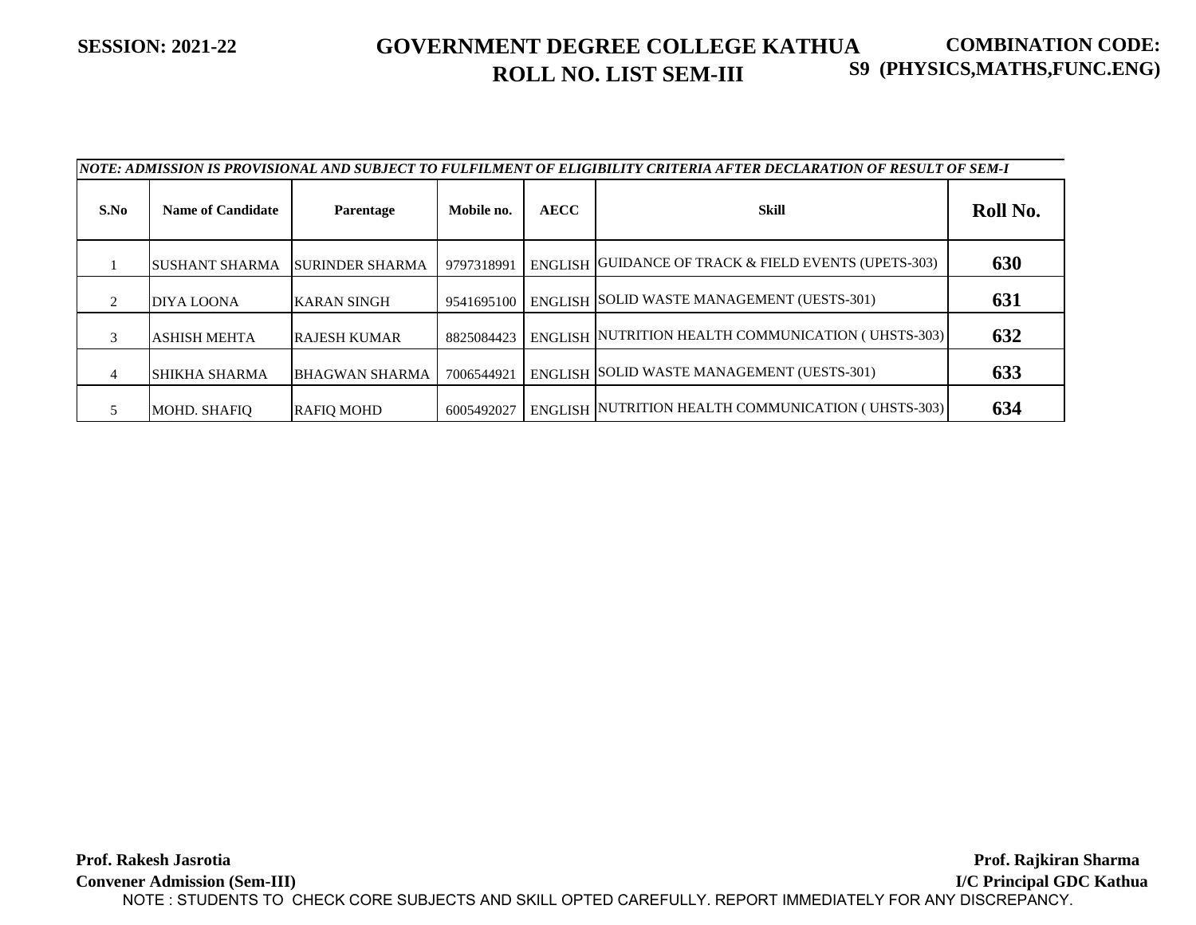#### **SESSION: 2021-22 GOVERNMENT DEGREE COLLEGE KATHUA ROLL NO. LIST SEM-III COMBINATION CODE: S9 (PHYSICS,MATHS,FUNC.ENG)**

|      | NOTE: ADMISSION IS PROVISIONAL AND SUBJECT TO FULFILMENT OF ELIGIBILITY CRITERIA AFTER DECLARATION OF RESULT OF SEM-I |                         |            |             |                                                      |          |  |  |  |
|------|-----------------------------------------------------------------------------------------------------------------------|-------------------------|------------|-------------|------------------------------------------------------|----------|--|--|--|
| S.No | <b>Name of Candidate</b>                                                                                              | <b>Parentage</b>        | Mobile no. | <b>AECC</b> | Skill                                                | Roll No. |  |  |  |
|      | <b>SUSHANT SHARMA</b>                                                                                                 | <b>ISURINDER SHARMA</b> | 9797318991 |             | ENGLISH GUIDANCE OF TRACK & FIELD EVENTS (UPETS-303) | 630      |  |  |  |
|      | DIYA LOONA                                                                                                            | <b>KARAN SINGH</b>      | 9541695100 |             | ENGLISH SOLID WASTE MANAGEMENT (UESTS-301)           | 631      |  |  |  |
| 3    | <b>ASHISH MEHTA</b>                                                                                                   | <b>RAJESH KUMAR</b>     | 8825084423 |             | ENGLISH NUTRITION HEALTH COMMUNICATION (UHSTS-303)   | 632      |  |  |  |
| 4    | SHIKHA SHARMA                                                                                                         | <b>BHAGWAN SHARMA</b>   | 7006544921 |             | ENGLISH SOLID WASTE MANAGEMENT (UESTS-301)           | 633      |  |  |  |
|      | <b>MOHD. SHAFIO</b>                                                                                                   | <b>RAFIO MOHD</b>       | 6005492027 |             | ENGLISH NUTRITION HEALTH COMMUNICATION (UHSTS-303)   | 634      |  |  |  |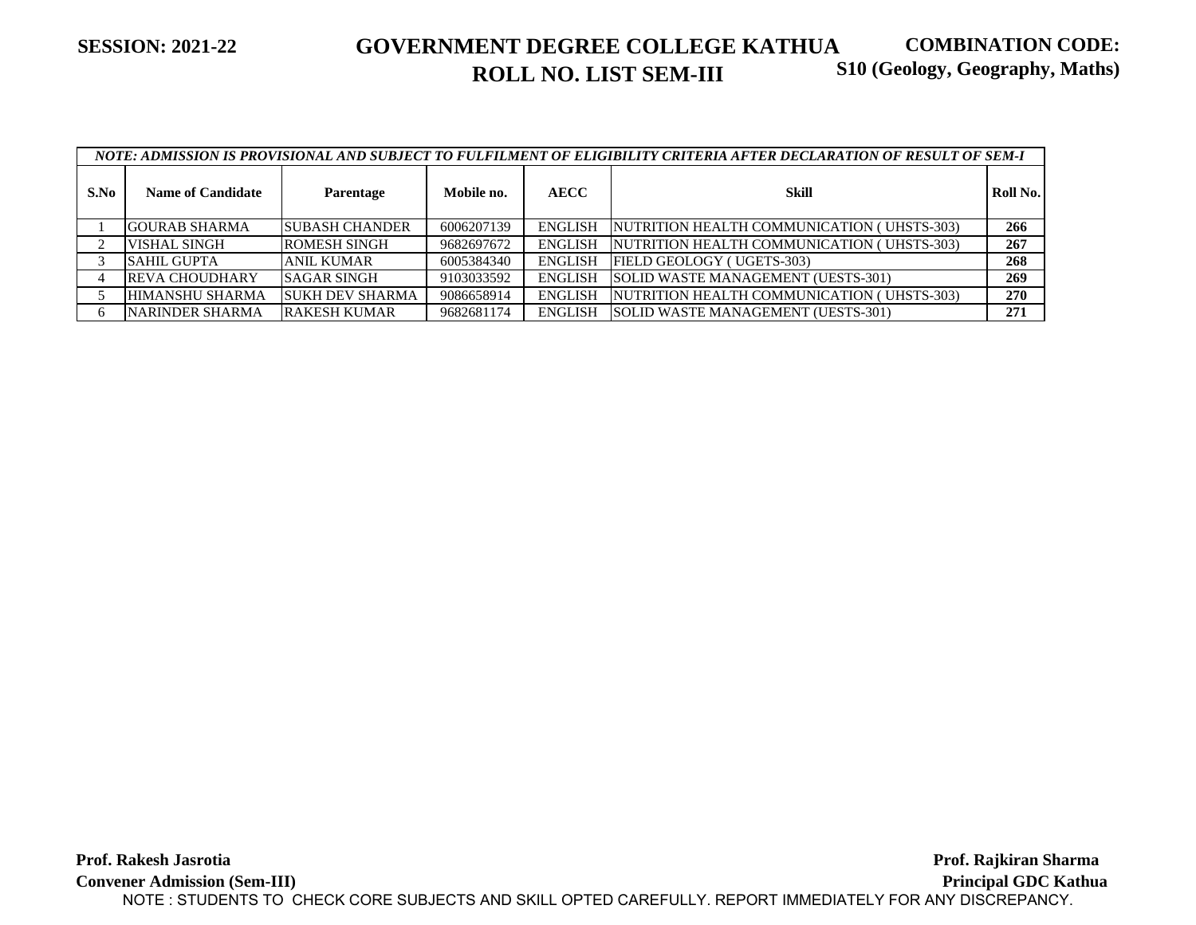#### **SESSION: 2021-22 GOVERNMENT DEGREE COLLEGE KATHUA ROLL NO. LIST SEM-III COMBINATION CODE: S10 (Geology, Geography, Maths)**

|      | NOTE: ADMISSION IS PROVISIONAL AND SUBJECT TO FULFILMENT OF ELIGIBILITY CRITERIA AFTER DECLARATION OF RESULT OF SEM-I |                        |            |                |                                            |          |  |  |  |
|------|-----------------------------------------------------------------------------------------------------------------------|------------------------|------------|----------------|--------------------------------------------|----------|--|--|--|
| S.No | <b>Name of Candidate</b>                                                                                              | Parentage              | Mobile no. | <b>AECC</b>    | Skill                                      | Roll No. |  |  |  |
|      | <b>GOURAB SHARMA</b>                                                                                                  | <b>SUBASH CHANDER</b>  | 6006207139 | <b>ENGLISH</b> | NUTRITION HEALTH COMMUNICATION (UHSTS-303) | 266      |  |  |  |
|      | VISHAL SINGH                                                                                                          | <b>ROMESH SINGH</b>    | 9682697672 | <b>ENGLISH</b> | NUTRITION HEALTH COMMUNICATION (UHSTS-303) | 267      |  |  |  |
|      | <b>SAHIL GUPTA</b>                                                                                                    | <b>ANIL KUMAR</b>      | 6005384340 | <b>ENGLISH</b> | FIELD GEOLOGY (UGETS-303)                  | 268      |  |  |  |
|      | <b>REVA CHOUDHARY</b>                                                                                                 | <b>SAGAR SINGH</b>     | 9103033592 | <b>ENGLISH</b> | SOLID WASTE MANAGEMENT (UESTS-301)         | 269      |  |  |  |
|      | <b>HIMANSHU SHARMA</b>                                                                                                | <b>SUKH DEV SHARMA</b> | 9086658914 | <b>ENGLISH</b> | NUTRITION HEALTH COMMUNICATION (UHSTS-303) | 270      |  |  |  |
|      | <b>NARINDER SHARMA</b>                                                                                                | <b>RAKESH KUMAR</b>    | 9682681174 | <b>ENGLISH</b> | SOLID WASTE MANAGEMENT (UESTS-301)         | 271      |  |  |  |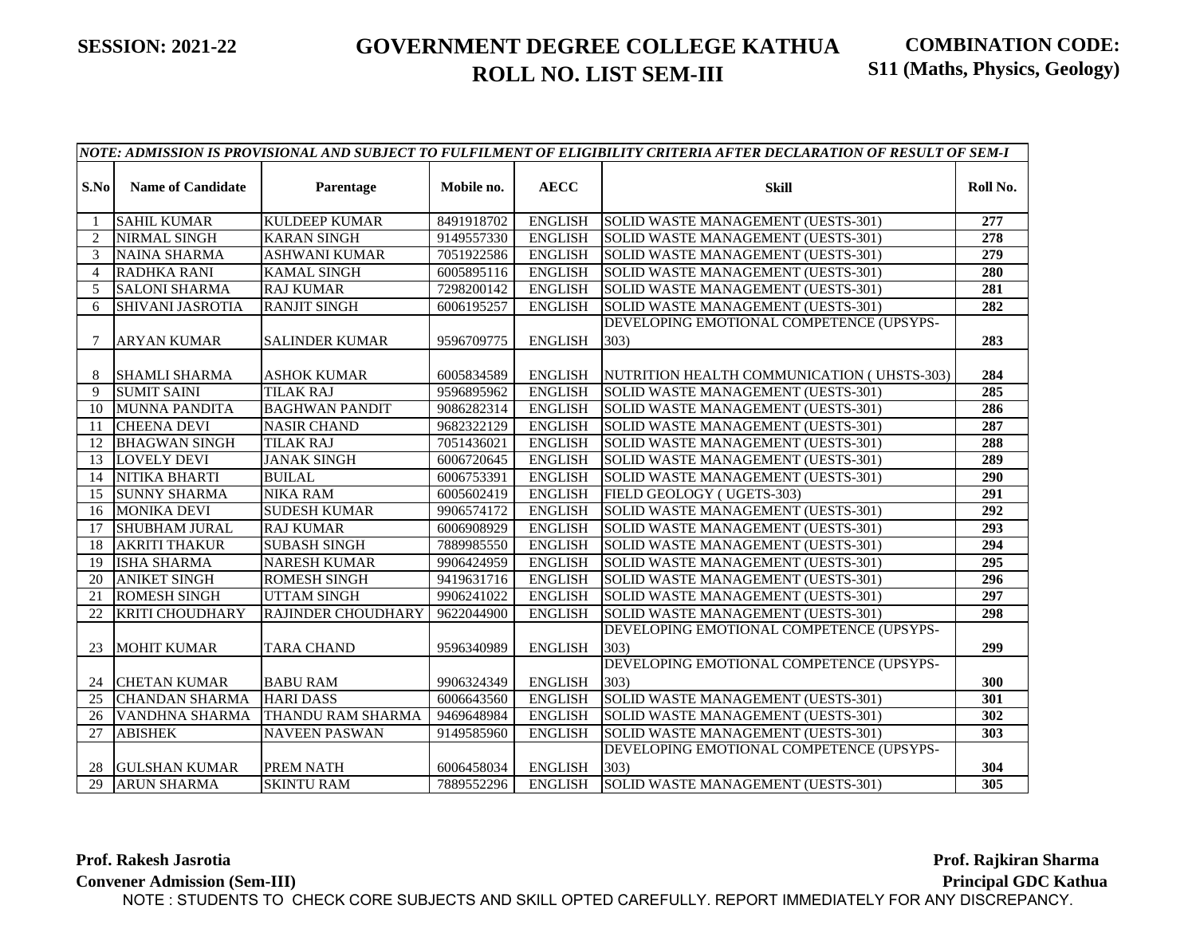|                | NOTE: ADMISSION IS PROVISIONAL AND SUBJECT TO FULFILMENT OF ELIGIBILITY CRITERIA AFTER DECLARATION OF RESULT OF SEM-I |                                        |                          |                                  |                                                                                  |            |  |  |
|----------------|-----------------------------------------------------------------------------------------------------------------------|----------------------------------------|--------------------------|----------------------------------|----------------------------------------------------------------------------------|------------|--|--|
| S.No           | <b>Name of Candidate</b>                                                                                              | Parentage                              | Mobile no.               | <b>AECC</b>                      | <b>Skill</b>                                                                     | Roll No.   |  |  |
|                | <b>SAHIL KUMAR</b>                                                                                                    | <b>KULDEEP KUMAR</b>                   | 8491918702               | <b>ENGLISH</b>                   | SOLID WASTE MANAGEMENT (UESTS-301)                                               | 277        |  |  |
| 2              | <b>NIRMAL SINGH</b>                                                                                                   | <b>KARAN SINGH</b>                     | 9149557330               | <b>ENGLISH</b>                   | SOLID WASTE MANAGEMENT (UESTS-301)                                               | 278        |  |  |
| 3              | <b>NAINA SHARMA</b>                                                                                                   | <b>ASHWANI KUMAR</b>                   | 7051922586               | <b>ENGLISH</b>                   | SOLID WASTE MANAGEMENT (UESTS-301)                                               | 279        |  |  |
| $\overline{4}$ | <b>RADHKA RANI</b>                                                                                                    | <b>KAMAL SINGH</b>                     | 6005895116               | <b>ENGLISH</b>                   | SOLID WASTE MANAGEMENT (UESTS-301)                                               | 280        |  |  |
| 5              | <b>SALONI SHARMA</b>                                                                                                  | <b>RAJ KUMAR</b>                       | 7298200142               | <b>ENGLISH</b>                   | SOLID WASTE MANAGEMENT (UESTS-301)                                               | 281        |  |  |
| 6              | <b>SHIVANI JASROTIA</b>                                                                                               | <b>RANJIT SINGH</b>                    | 6006195257               | <b>ENGLISH</b>                   | SOLID WASTE MANAGEMENT (UESTS-301)                                               | 282        |  |  |
| 7              | <b>ARYAN KUMAR</b>                                                                                                    | <b>SALINDER KUMAR</b>                  | 9596709775               | <b>ENGLISH</b>                   | DEVELOPING EMOTIONAL COMPETENCE (UPSYPS-<br>303)                                 | 283        |  |  |
| 8<br>9         | <b>SHAMLI SHARMA</b><br><b>SUMIT SAINI</b>                                                                            | <b>ASHOK KUMAR</b><br><b>TILAK RAJ</b> | 6005834589<br>9596895962 | <b>ENGLISH</b><br><b>ENGLISH</b> | NUTRITION HEALTH COMMUNICATION (UHSTS-303)<br>SOLID WASTE MANAGEMENT (UESTS-301) | 284<br>285 |  |  |
| 10             | <b>MUNNA PANDITA</b>                                                                                                  | <b>BAGHWAN PANDIT</b>                  | 9086282314               | <b>ENGLISH</b>                   | SOLID WASTE MANAGEMENT (UESTS-301)                                               | 286        |  |  |
| -11            | <b>CHEENA DEVI</b>                                                                                                    | <b>NASIR CHAND</b>                     | 9682322129               | <b>ENGLISH</b>                   | SOLID WASTE MANAGEMENT (UESTS-301)                                               | 287        |  |  |
| 12             | <b>BHAGWAN SINGH</b>                                                                                                  | <b>TILAK RAJ</b>                       | 7051436021               | <b>ENGLISH</b>                   | SOLID WASTE MANAGEMENT (UESTS-301)                                               | 288        |  |  |
| 13             | <b>LOVELY DEVI</b>                                                                                                    | <b>JANAK SINGH</b>                     | 6006720645               | <b>ENGLISH</b>                   | SOLID WASTE MANAGEMENT (UESTS-301)                                               | 289        |  |  |
| 14             | NITIKA BHARTI                                                                                                         | <b>BUILAL</b>                          | 6006753391               | <b>ENGLISH</b>                   | SOLID WASTE MANAGEMENT (UESTS-301)                                               | 290        |  |  |
| 15             | <b>SUNNY SHARMA</b>                                                                                                   | <b>NIKA RAM</b>                        | 6005602419               | <b>ENGLISH</b>                   | FIELD GEOLOGY (UGETS-303)                                                        | 291        |  |  |
| 16             | <b>MONIKA DEVI</b>                                                                                                    | <b>SUDESH KUMAR</b>                    | 9906574172               | <b>ENGLISH</b>                   | SOLID WASTE MANAGEMENT (UESTS-301)                                               | 292        |  |  |
| 17             | <b>SHUBHAM JURAL</b>                                                                                                  | <b>RAJ KUMAR</b>                       | 6006908929               | <b>ENGLISH</b>                   | SOLID WASTE MANAGEMENT (UESTS-301)                                               | 293        |  |  |
| 18             | <b>AKRITI THAKUR</b>                                                                                                  | <b>SUBASH SINGH</b>                    | 7889985550               | <b>ENGLISH</b>                   | SOLID WASTE MANAGEMENT (UESTS-301)                                               | 294        |  |  |
| 19             | <b>ISHA SHARMA</b>                                                                                                    | <b>NARESH KUMAR</b>                    | 9906424959               | <b>ENGLISH</b>                   | SOLID WASTE MANAGEMENT (UESTS-301)                                               | 295        |  |  |
| 20             | <b>ANIKET SINGH</b>                                                                                                   | <b>ROMESH SINGH</b>                    | 9419631716               | <b>ENGLISH</b>                   | SOLID WASTE MANAGEMENT (UESTS-301)                                               | 296        |  |  |
| 21             | <b>ROMESH SINGH</b>                                                                                                   | <b>UTTAM SINGH</b>                     | 9906241022               | <b>ENGLISH</b>                   | SOLID WASTE MANAGEMENT (UESTS-301)                                               | 297        |  |  |
| 22             | <b>KRITI CHOUDHARY</b>                                                                                                | <b>RAJINDER CHOUDHARY</b>              | 9622044900               | <b>ENGLISH</b>                   | SOLID WASTE MANAGEMENT (UESTS-301)                                               | 298        |  |  |
| 23             | <b>MOHIT KUMAR</b>                                                                                                    | <b>TARA CHAND</b>                      | 9596340989               | <b>ENGLISH</b>                   | DEVELOPING EMOTIONAL COMPETENCE (UPSYPS-<br>303)                                 | 299        |  |  |
| 24             | <b>CHETAN KUMAR</b>                                                                                                   | <b>BABU RAM</b>                        | 9906324349               | <b>ENGLISH</b>                   | DEVELOPING EMOTIONAL COMPETENCE (UPSYPS-<br>303)                                 | 300        |  |  |
| 25             | <b>CHANDAN SHARMA</b>                                                                                                 | <b>HARI DASS</b>                       | 6006643560               | <b>ENGLISH</b>                   | SOLID WASTE MANAGEMENT (UESTS-301)                                               | 301        |  |  |
| 26             | VANDHNA SHARMA                                                                                                        | THANDU RAM SHARMA                      | 9469648984               | <b>ENGLISH</b>                   | SOLID WASTE MANAGEMENT (UESTS-301)                                               | 302        |  |  |
| 27             | <b>ABISHEK</b>                                                                                                        | <b>NAVEEN PASWAN</b>                   | 9149585960               | <b>ENGLISH</b>                   | SOLID WASTE MANAGEMENT (UESTS-301)                                               | 303        |  |  |
| 28             | <b>GULSHAN KUMAR</b>                                                                                                  | PREM NATH                              | 6006458034               | <b>ENGLISH</b>                   | DEVELOPING EMOTIONAL COMPETENCE (UPSYPS-<br>303)                                 | 304        |  |  |
| 29             | <b>ARUN SHARMA</b>                                                                                                    | <b>SKINTU RAM</b>                      | 7889552296               | <b>ENGLISH</b>                   | SOLID WASTE MANAGEMENT (UESTS-301)                                               | 305        |  |  |

**Prof. Rakesh Jasrotia**

Prof. Rajkiran Sharma

**Convener Admission (Sem-III)**

**Principal GDC Kathua**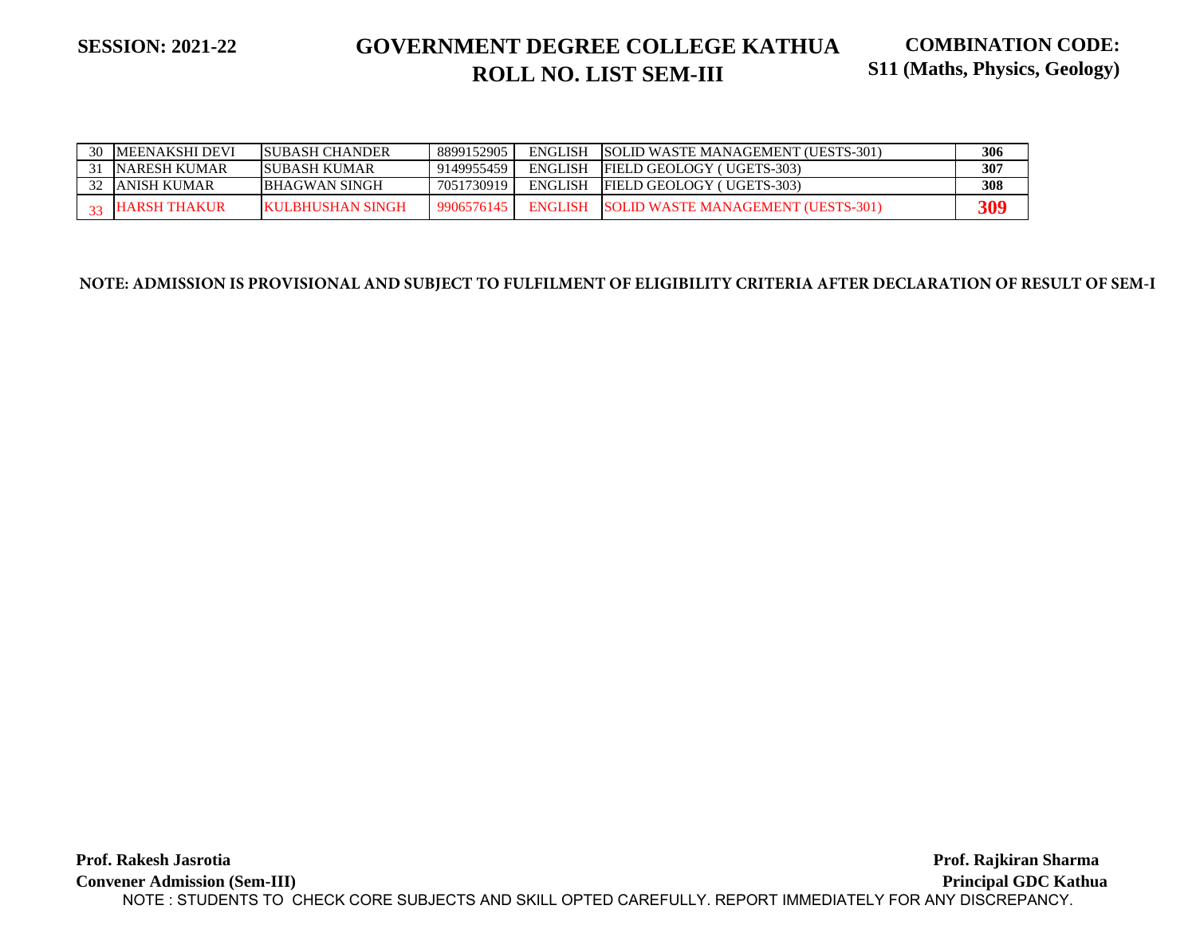| 30 | MEENAKSHI DEVI      | ISUBASH CHANDER  | 8899152905 | <b>ENGLISH</b> | <b>SOLID WASTE MANAGEMENT (UESTS-301)</b> | 306 |
|----|---------------------|------------------|------------|----------------|-------------------------------------------|-----|
|    | NARESH KUMAR        | ISUBASH KUMAR    | 9149955459 | <b>ENGLISH</b> | <b>FIELD GEOLOGY ( UGETS-303)</b>         | 307 |
|    | ANISH KUMAR         | BHAGWAN SINGH    | 7051730919 | ENGLISH        | <b>FIELD GEOLOGY ( UGETS-303)</b>         | 308 |
|    | $\sim$ HARSH THAKUR | KULBHUSHAN SINGH | 9906576145 | <b>ENGLISH</b> | SOLID WASTE MANAGEMENT (UESTS-301)        | 309 |

**NOTE: ADMISSION IS PROVISIONAL AND SUBJECT TO FULFILMENT OF ELIGIBILITY CRITERIA AFTER DECLARATION OF RESULT OF SEM-I**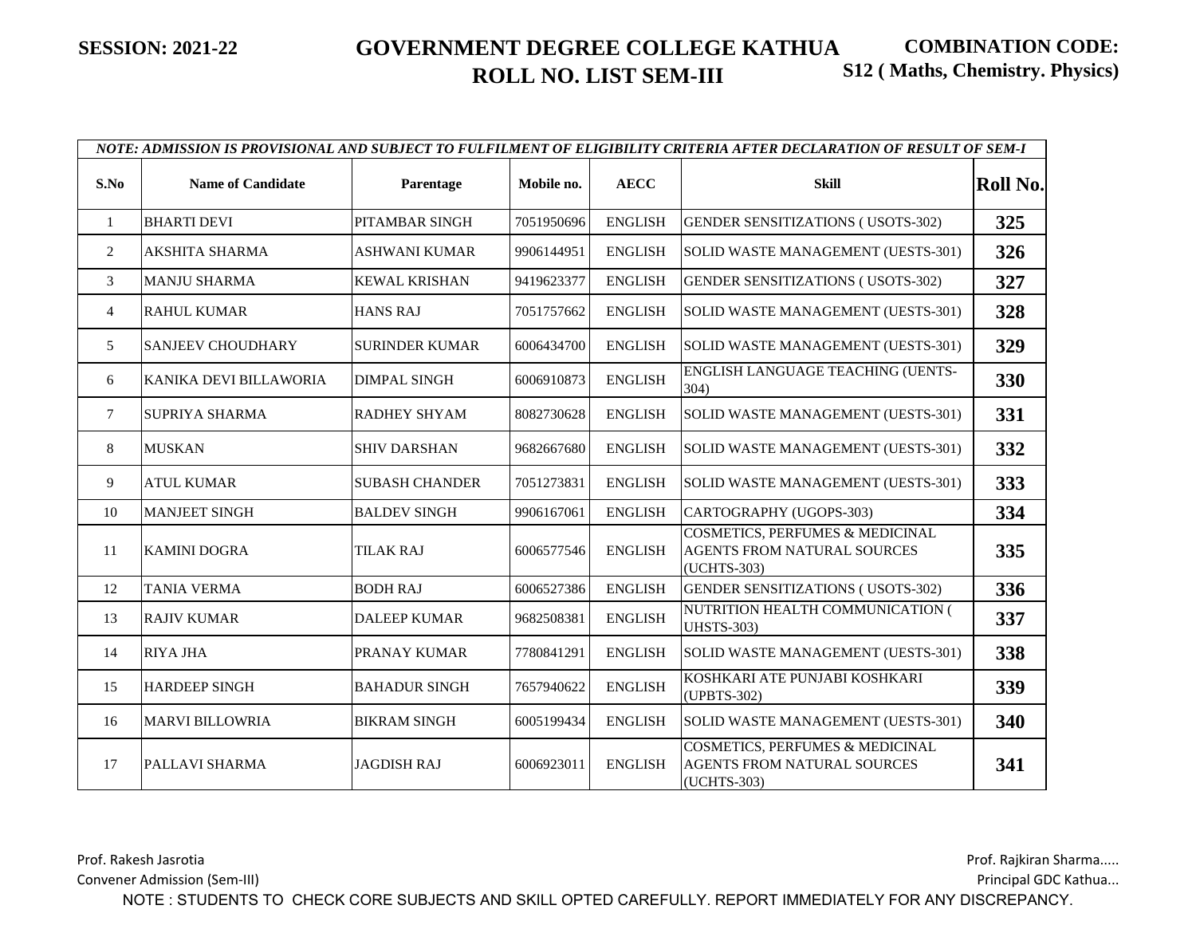|                |                          |                       |            |                | NOTE: ADMISSION IS PROVISIONAL AND SUBJECT TO FULFILMENT OF ELIGIBILITY CRITERIA AFTER DECLARATION OF RESULT OF SEM-I |                 |
|----------------|--------------------------|-----------------------|------------|----------------|-----------------------------------------------------------------------------------------------------------------------|-----------------|
| S.No           | <b>Name of Candidate</b> | Parentage             | Mobile no. | <b>AECC</b>    | <b>Skill</b>                                                                                                          | <b>Roll No.</b> |
| $\mathbf{1}$   | <b>BHARTI DEVI</b>       | PITAMBAR SINGH        | 7051950696 | <b>ENGLISH</b> | <b>GENDER SENSITIZATIONS (USOTS-302)</b>                                                                              | 325             |
| 2              | AKSHITA SHARMA           | <b>ASHWANI KUMAR</b>  | 9906144951 | <b>ENGLISH</b> | SOLID WASTE MANAGEMENT (UESTS-301)                                                                                    | 326             |
| 3              | <b>MANJU SHARMA</b>      | <b>KEWAL KRISHAN</b>  | 9419623377 | <b>ENGLISH</b> | <b>GENDER SENSITIZATIONS (USOTS-302)</b>                                                                              | 327             |
| $\overline{4}$ | <b>RAHUL KUMAR</b>       | <b>HANS RAJ</b>       | 7051757662 | <b>ENGLISH</b> | SOLID WASTE MANAGEMENT (UESTS-301)                                                                                    | 328             |
| 5              | <b>SANJEEV CHOUDHARY</b> | <b>SURINDER KUMAR</b> | 6006434700 | <b>ENGLISH</b> | SOLID WASTE MANAGEMENT (UESTS-301)                                                                                    | 329             |
| 6              | KANIKA DEVI BILLAWORIA   | <b>DIMPAL SINGH</b>   | 6006910873 | <b>ENGLISH</b> | ENGLISH LANGUAGE TEACHING (UENTS-<br>304)                                                                             | 330             |
| 7              | <b>SUPRIYA SHARMA</b>    | <b>RADHEY SHYAM</b>   | 8082730628 | <b>ENGLISH</b> | SOLID WASTE MANAGEMENT (UESTS-301)                                                                                    | 331             |
| 8              | <b>MUSKAN</b>            | <b>SHIV DARSHAN</b>   | 9682667680 | <b>ENGLISH</b> | SOLID WASTE MANAGEMENT (UESTS-301)                                                                                    | 332             |
| 9              | <b>ATUL KUMAR</b>        | <b>SUBASH CHANDER</b> | 7051273831 | <b>ENGLISH</b> | SOLID WASTE MANAGEMENT (UESTS-301)                                                                                    | 333             |
| 10             | <b>MANJEET SINGH</b>     | <b>BALDEV SINGH</b>   | 9906167061 | <b>ENGLISH</b> | CARTOGRAPHY (UGOPS-303)                                                                                               | 334             |
| 11             | <b>KAMINI DOGRA</b>      | <b>TILAK RAJ</b>      | 6006577546 | <b>ENGLISH</b> | <b>COSMETICS, PERFUMES &amp; MEDICINAL</b><br><b>AGENTS FROM NATURAL SOURCES</b><br>(UCHTS-303)                       | 335             |
| 12             | <b>TANIA VERMA</b>       | <b>BODH RAJ</b>       | 6006527386 | <b>ENGLISH</b> | <b>GENDER SENSITIZATIONS (USOTS-302)</b>                                                                              | 336             |
| 13             | <b>RAJIV KUMAR</b>       | <b>DALEEP KUMAR</b>   | 9682508381 | <b>ENGLISH</b> | NUTRITION HEALTH COMMUNICATION (<br><b>UHSTS-303)</b>                                                                 | 337             |
| 14             | <b>RIYA JHA</b>          | PRANAY KUMAR          | 7780841291 | <b>ENGLISH</b> | SOLID WASTE MANAGEMENT (UESTS-301)                                                                                    | 338             |
| 15             | <b>HARDEEP SINGH</b>     | <b>BAHADUR SINGH</b>  | 7657940622 | <b>ENGLISH</b> | KOSHKARI ATE PUNJABI KOSHKARI<br>(UPBTS-302)                                                                          | 339             |
| 16             | <b>MARVI BILLOWRIA</b>   | <b>BIKRAM SINGH</b>   | 6005199434 | <b>ENGLISH</b> | SOLID WASTE MANAGEMENT (UESTS-301)                                                                                    | 340             |
| 17             | PALLAVI SHARMA           | <b>JAGDISH RAJ</b>    | 6006923011 | <b>ENGLISH</b> | <b>COSMETICS, PERFUMES &amp; MEDICINAL</b><br><b>AGENTS FROM NATURAL SOURCES</b><br>(UCHTS-303)                       | 341             |

Prof. Rakesh Jasrotia

Convener Admission (Sem-III)

Prof. Rajkiran Sharma.....

Principal GDC Kathua...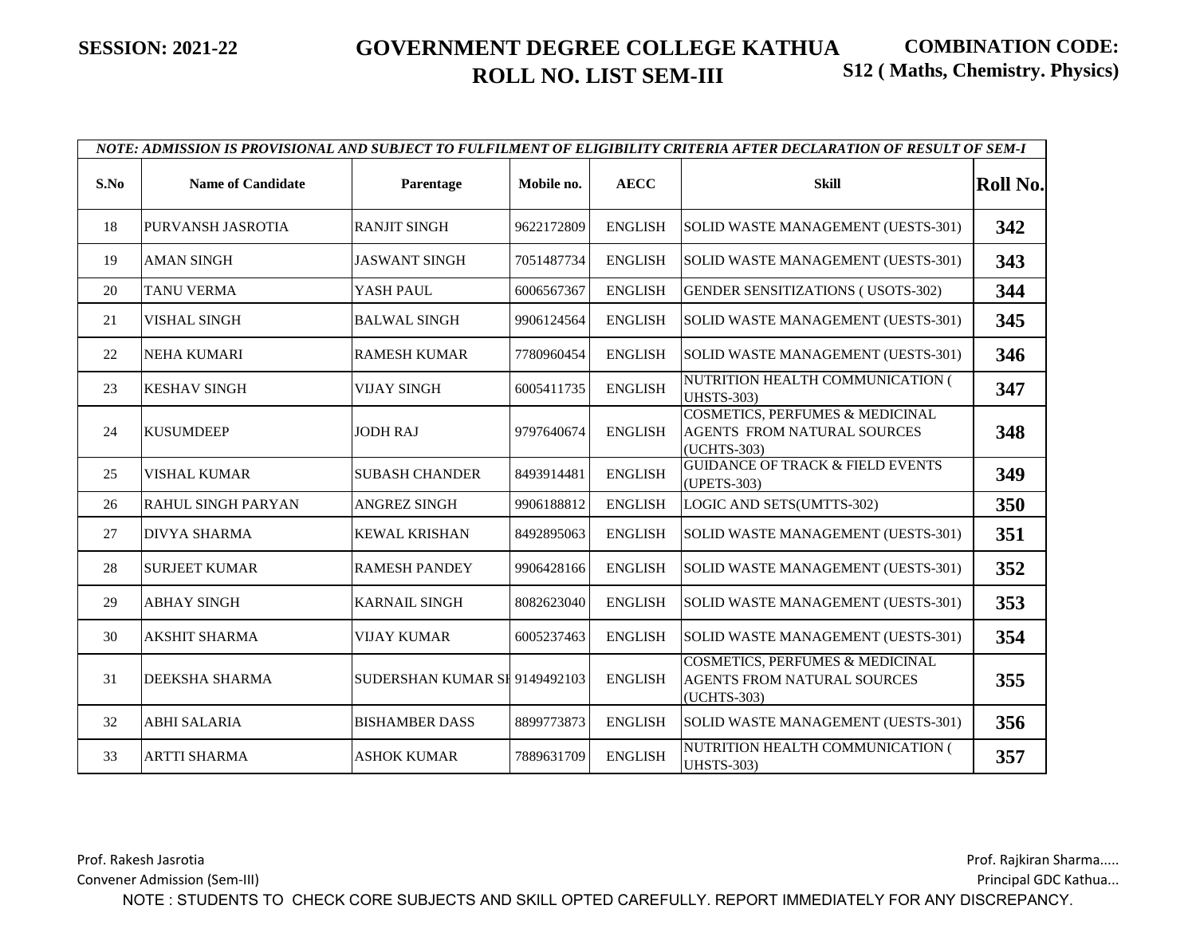|      | NOTE: ADMISSION IS PROVISIONAL AND SUBJECT TO FULFILMENT OF ELIGIBILITY CRITERIA AFTER DECLARATION OF RESULT OF SEM-I |                               |            |                |                                                                                          |                 |  |  |  |  |
|------|-----------------------------------------------------------------------------------------------------------------------|-------------------------------|------------|----------------|------------------------------------------------------------------------------------------|-----------------|--|--|--|--|
| S.No | <b>Name of Candidate</b>                                                                                              | Parentage                     | Mobile no. | <b>AECC</b>    | <b>Skill</b>                                                                             | <b>Roll No.</b> |  |  |  |  |
| 18   | PURVANSH JASROTIA                                                                                                     | <b>RANJIT SINGH</b>           | 9622172809 | <b>ENGLISH</b> | SOLID WASTE MANAGEMENT (UESTS-301)                                                       | 342             |  |  |  |  |
| 19   | <b>AMAN SINGH</b>                                                                                                     | <b>JASWANT SINGH</b>          | 7051487734 | <b>ENGLISH</b> | SOLID WASTE MANAGEMENT (UESTS-301)                                                       | 343             |  |  |  |  |
| 20   | <b>TANU VERMA</b>                                                                                                     | YASH PAUL                     | 6006567367 | <b>ENGLISH</b> | <b>GENDER SENSITIZATIONS (USOTS-302)</b>                                                 | 344             |  |  |  |  |
| 21   | <b>VISHAL SINGH</b>                                                                                                   | <b>BALWAL SINGH</b>           | 9906124564 | <b>ENGLISH</b> | SOLID WASTE MANAGEMENT (UESTS-301)                                                       | 345             |  |  |  |  |
| 22   | <b>NEHA KUMARI</b>                                                                                                    | <b>RAMESH KUMAR</b>           | 7780960454 | <b>ENGLISH</b> | SOLID WASTE MANAGEMENT (UESTS-301)                                                       | 346             |  |  |  |  |
| 23   | <b>KESHAV SINGH</b>                                                                                                   | <b>VIJAY SINGH</b>            | 6005411735 | <b>ENGLISH</b> | NUTRITION HEALTH COMMUNICATION (<br><b>UHSTS-303)</b>                                    | 347             |  |  |  |  |
| 24   | <b>KUSUMDEEP</b>                                                                                                      | <b>JODH RAJ</b>               | 9797640674 | <b>ENGLISH</b> | COSMETICS, PERFUMES & MEDICINAL<br><b>AGENTS FROM NATURAL SOURCES</b><br>(UCHTS-303)     | 348             |  |  |  |  |
| 25   | <b>VISHAL KUMAR</b>                                                                                                   | <b>SUBASH CHANDER</b>         | 8493914481 | <b>ENGLISH</b> | <b>GUIDANCE OF TRACK &amp; FIELD EVENTS</b><br>(UPETS-303)                               | 349             |  |  |  |  |
| 26   | <b>RAHUL SINGH PARYAN</b>                                                                                             | <b>ANGREZ SINGH</b>           | 9906188812 | <b>ENGLISH</b> | LOGIC AND SETS(UMTTS-302)                                                                | 350             |  |  |  |  |
| 27   | <b>DIVYA SHARMA</b>                                                                                                   | <b>KEWAL KRISHAN</b>          | 8492895063 | <b>ENGLISH</b> | SOLID WASTE MANAGEMENT (UESTS-301)                                                       | 351             |  |  |  |  |
| 28   | <b>SURJEET KUMAR</b>                                                                                                  | <b>RAMESH PANDEY</b>          | 9906428166 | <b>ENGLISH</b> | SOLID WASTE MANAGEMENT (UESTS-301)                                                       | 352             |  |  |  |  |
| 29   | <b>ABHAY SINGH</b>                                                                                                    | <b>KARNAIL SINGH</b>          | 8082623040 | <b>ENGLISH</b> | SOLID WASTE MANAGEMENT (UESTS-301)                                                       | 353             |  |  |  |  |
| 30   | <b>AKSHIT SHARMA</b>                                                                                                  | <b>VIJAY KUMAR</b>            | 6005237463 | <b>ENGLISH</b> | SOLID WASTE MANAGEMENT (UESTS-301)                                                       | 354             |  |  |  |  |
| 31   | DEEKSHA SHARMA                                                                                                        | SUDERSHAN KUMAR SI 9149492103 |            | <b>ENGLISH</b> | <b>COSMETICS, PERFUMES &amp; MEDICINAL</b><br>AGENTS FROM NATURAL SOURCES<br>(UCHTS-303) | 355             |  |  |  |  |
| 32   | <b>ABHI SALARIA</b>                                                                                                   | <b>BISHAMBER DASS</b>         | 8899773873 | <b>ENGLISH</b> | SOLID WASTE MANAGEMENT (UESTS-301)                                                       | 356             |  |  |  |  |
| 33   | <b>ARTTI SHARMA</b>                                                                                                   | <b>ASHOK KUMAR</b>            | 7889631709 | <b>ENGLISH</b> | NUTRITION HEALTH COMMUNICATION (<br><b>UHSTS-303)</b>                                    | 357             |  |  |  |  |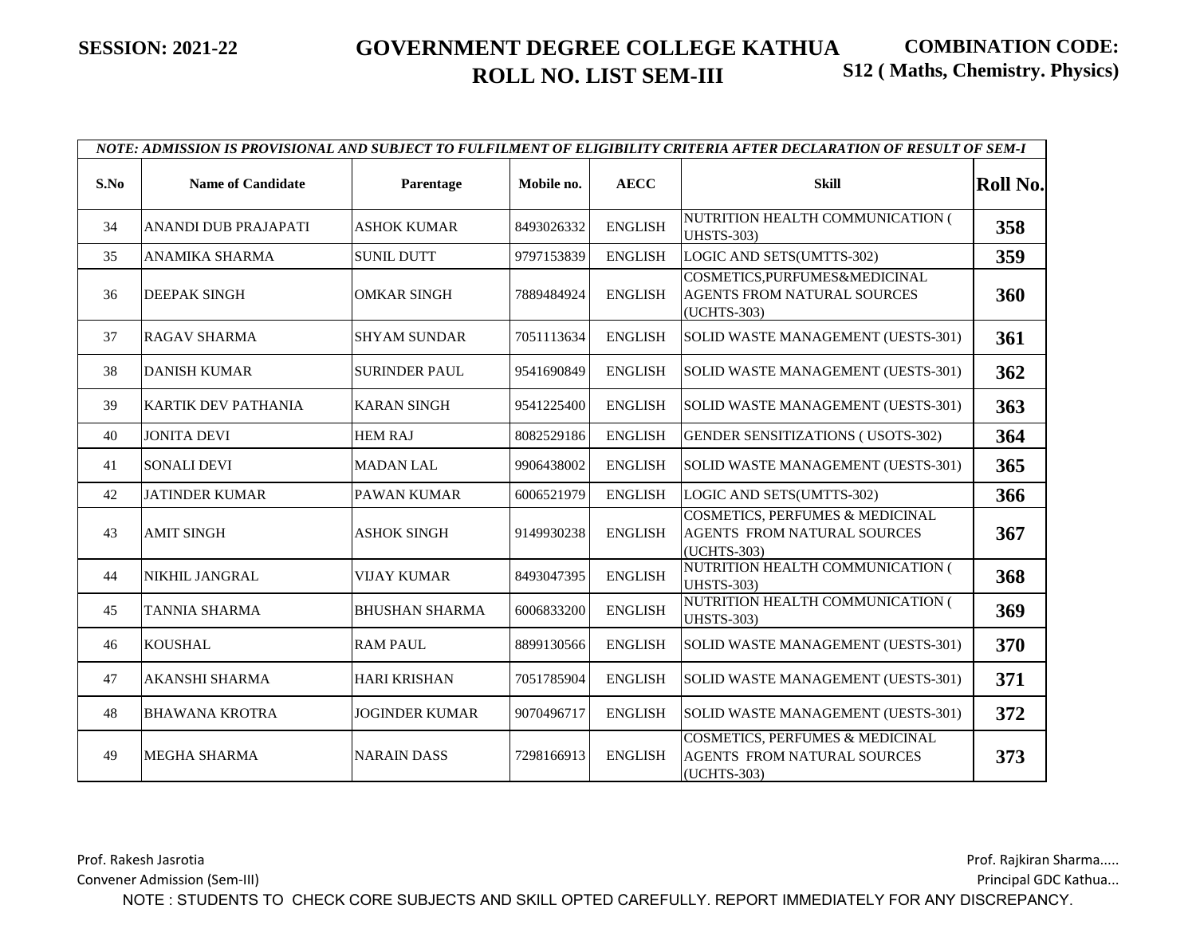|      | NOTE: ADMISSION IS PROVISIONAL AND SUBJECT TO FULFILMENT OF ELIGIBILITY CRITERIA AFTER DECLARATION OF RESULT OF SEM-I |                       |            |                |                                                                                          |                 |  |  |  |  |
|------|-----------------------------------------------------------------------------------------------------------------------|-----------------------|------------|----------------|------------------------------------------------------------------------------------------|-----------------|--|--|--|--|
| S.No | <b>Name of Candidate</b>                                                                                              | Parentage             | Mobile no. | <b>AECC</b>    | <b>Skill</b>                                                                             | <b>Roll No.</b> |  |  |  |  |
| 34   | <b>ANANDI DUB PRAJAPATI</b>                                                                                           | <b>ASHOK KUMAR</b>    | 8493026332 | <b>ENGLISH</b> | NUTRITION HEALTH COMMUNICATION (<br><b>UHSTS-303)</b>                                    | 358             |  |  |  |  |
| 35   | ANAMIKA SHARMA                                                                                                        | <b>SUNIL DUTT</b>     | 9797153839 | <b>ENGLISH</b> | LOGIC AND SETS(UMTTS-302)                                                                | 359             |  |  |  |  |
| 36   | <b>DEEPAK SINGH</b>                                                                                                   | <b>OMKAR SINGH</b>    | 7889484924 | <b>ENGLISH</b> | COSMETICS, PURFUMES&MEDICINAL<br><b>AGENTS FROM NATURAL SOURCES</b><br>(UCHTS-303)       | 360             |  |  |  |  |
| 37   | <b>RAGAV SHARMA</b>                                                                                                   | <b>SHYAM SUNDAR</b>   | 7051113634 | <b>ENGLISH</b> | SOLID WASTE MANAGEMENT (UESTS-301)                                                       | 361             |  |  |  |  |
| 38   | <b>DANISH KUMAR</b>                                                                                                   | <b>SURINDER PAUL</b>  | 9541690849 | <b>ENGLISH</b> | SOLID WASTE MANAGEMENT (UESTS-301)                                                       | 362             |  |  |  |  |
| 39   | <b>KARTIK DEV PATHANIA</b>                                                                                            | <b>KARAN SINGH</b>    | 9541225400 | <b>ENGLISH</b> | SOLID WASTE MANAGEMENT (UESTS-301)                                                       | 363             |  |  |  |  |
| 40   | <b>JONITA DEVI</b>                                                                                                    | <b>HEM RAJ</b>        | 8082529186 | <b>ENGLISH</b> | <b>GENDER SENSITIZATIONS (USOTS-302)</b>                                                 | 364             |  |  |  |  |
| 41   | <b>SONALI DEVI</b>                                                                                                    | <b>MADAN LAL</b>      | 9906438002 | <b>ENGLISH</b> | SOLID WASTE MANAGEMENT (UESTS-301)                                                       | 365             |  |  |  |  |
| 42   | <b>JATINDER KUMAR</b>                                                                                                 | PAWAN KUMAR           | 6006521979 | <b>ENGLISH</b> | LOGIC AND SETS(UMTTS-302)                                                                | 366             |  |  |  |  |
| 43   | <b>AMIT SINGH</b>                                                                                                     | <b>ASHOK SINGH</b>    | 9149930238 | <b>ENGLISH</b> | <b>COSMETICS, PERFUMES &amp; MEDICINAL</b><br>AGENTS FROM NATURAL SOURCES<br>(UCHTS-303) | 367             |  |  |  |  |
| 44   | <b>NIKHIL JANGRAL</b>                                                                                                 | <b>VIJAY KUMAR</b>    | 8493047395 | <b>ENGLISH</b> | NUTRITION HEALTH COMMUNICATION (<br><b>UHSTS-303)</b>                                    | 368             |  |  |  |  |
| 45   | <b>TANNIA SHARMA</b>                                                                                                  | <b>BHUSHAN SHARMA</b> | 6006833200 | <b>ENGLISH</b> | NUTRITION HEALTH COMMUNICATION (<br><b>UHSTS-303)</b>                                    | 369             |  |  |  |  |
| 46   | <b>KOUSHAL</b>                                                                                                        | <b>RAM PAUL</b>       | 8899130566 | <b>ENGLISH</b> | SOLID WASTE MANAGEMENT (UESTS-301)                                                       | 370             |  |  |  |  |
| 47   | <b>AKANSHI SHARMA</b>                                                                                                 | <b>HARI KRISHAN</b>   | 7051785904 | <b>ENGLISH</b> | SOLID WASTE MANAGEMENT (UESTS-301)                                                       | 371             |  |  |  |  |
| 48   | <b>BHAWANA KROTRA</b>                                                                                                 | <b>JOGINDER KUMAR</b> | 9070496717 | <b>ENGLISH</b> | SOLID WASTE MANAGEMENT (UESTS-301)                                                       | 372             |  |  |  |  |
| 49   | <b>MEGHA SHARMA</b>                                                                                                   | <b>NARAIN DASS</b>    | 7298166913 | <b>ENGLISH</b> | <b>COSMETICS, PERFUMES &amp; MEDICINAL</b><br>AGENTS FROM NATURAL SOURCES<br>(UCHTS-303) | 373             |  |  |  |  |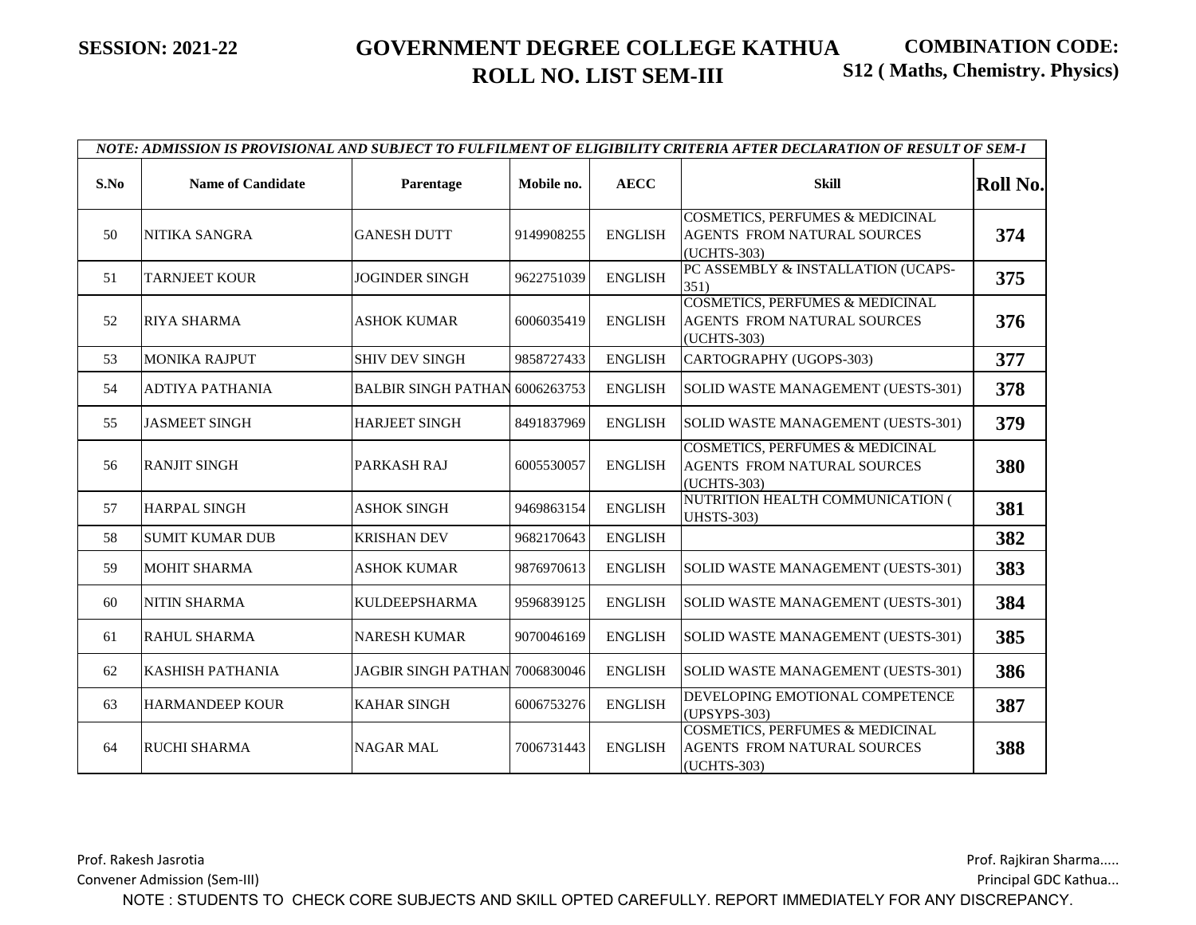|      | NOTE: ADMISSION IS PROVISIONAL AND SUBJECT TO FULFILMENT OF ELIGIBILITY CRITERIA AFTER DECLARATION OF RESULT OF SEM-I |                                       |            |                |                                                                                          |          |  |  |  |  |
|------|-----------------------------------------------------------------------------------------------------------------------|---------------------------------------|------------|----------------|------------------------------------------------------------------------------------------|----------|--|--|--|--|
| S.No | <b>Name of Candidate</b>                                                                                              | Parentage                             | Mobile no. | <b>AECC</b>    | <b>Skill</b>                                                                             | Roll No. |  |  |  |  |
| 50   | NITIKA SANGRA                                                                                                         | <b>GANESH DUTT</b>                    | 9149908255 | <b>ENGLISH</b> | <b>COSMETICS, PERFUMES &amp; MEDICINAL</b><br>AGENTS FROM NATURAL SOURCES<br>(UCHTS-303) | 374      |  |  |  |  |
| 51   | <b>TARNJEET KOUR</b>                                                                                                  | <b>JOGINDER SINGH</b>                 | 9622751039 | <b>ENGLISH</b> | PC ASSEMBLY & INSTALLATION (UCAPS-<br>351)                                               | 375      |  |  |  |  |
| 52   | <b>RIYA SHARMA</b>                                                                                                    | ASHOK KUMAR                           | 6006035419 | <b>ENGLISH</b> | COSMETICS, PERFUMES & MEDICINAL<br>AGENTS FROM NATURAL SOURCES<br>(UCHTS-303)            | 376      |  |  |  |  |
| 53   | <b>MONIKA RAJPUT</b>                                                                                                  | <b>SHIV DEV SINGH</b>                 | 9858727433 | <b>ENGLISH</b> | CARTOGRAPHY (UGOPS-303)                                                                  | 377      |  |  |  |  |
| 54   | <b>ADTIYA PATHANIA</b>                                                                                                | <b>BALBIR SINGH PATHAN 6006263753</b> |            | <b>ENGLISH</b> | SOLID WASTE MANAGEMENT (UESTS-301)                                                       | 378      |  |  |  |  |
| 55   | <b>JASMEET SINGH</b>                                                                                                  | <b>HARJEET SINGH</b>                  | 8491837969 | <b>ENGLISH</b> | SOLID WASTE MANAGEMENT (UESTS-301)                                                       | 379      |  |  |  |  |
| 56   | <b>RANJIT SINGH</b>                                                                                                   | PARKASH RAJ                           | 6005530057 | <b>ENGLISH</b> | <b>COSMETICS, PERFUMES &amp; MEDICINAL</b><br>AGENTS FROM NATURAL SOURCES<br>(UCHTS-303) | 380      |  |  |  |  |
| 57   | <b>HARPAL SINGH</b>                                                                                                   | <b>ASHOK SINGH</b>                    | 9469863154 | <b>ENGLISH</b> | NUTRITION HEALTH COMMUNICATION (<br><b>UHSTS-303)</b>                                    | 381      |  |  |  |  |
| 58   | <b>SUMIT KUMAR DUB</b>                                                                                                | <b>KRISHAN DEV</b>                    | 9682170643 | <b>ENGLISH</b> |                                                                                          | 382      |  |  |  |  |
| 59   | <b>MOHIT SHARMA</b>                                                                                                   | ASHOK KUMAR                           | 9876970613 | <b>ENGLISH</b> | SOLID WASTE MANAGEMENT (UESTS-301)                                                       | 383      |  |  |  |  |
| 60   | <b>NITIN SHARMA</b>                                                                                                   | <b>KULDEEPSHARMA</b>                  | 9596839125 | <b>ENGLISH</b> | SOLID WASTE MANAGEMENT (UESTS-301)                                                       | 384      |  |  |  |  |
| 61   | <b>RAHUL SHARMA</b>                                                                                                   | <b>NARESH KUMAR</b>                   | 9070046169 | <b>ENGLISH</b> | SOLID WASTE MANAGEMENT (UESTS-301)                                                       | 385      |  |  |  |  |
| 62   | <b>KASHISH PATHANIA</b>                                                                                               | JAGBIR SINGH PATHAN 7006830046        |            | <b>ENGLISH</b> | SOLID WASTE MANAGEMENT (UESTS-301)                                                       | 386      |  |  |  |  |
| 63   | <b>HARMANDEEP KOUR</b>                                                                                                | <b>KAHAR SINGH</b>                    | 6006753276 | <b>ENGLISH</b> | DEVELOPING EMOTIONAL COMPETENCE<br>(UPSYPS-303)                                          | 387      |  |  |  |  |
| 64   | <b>RUCHI SHARMA</b>                                                                                                   | <b>NAGAR MAL</b>                      | 7006731443 | <b>ENGLISH</b> | <b>COSMETICS, PERFUMES &amp; MEDICINAL</b><br>AGENTS FROM NATURAL SOURCES<br>(UCHTS-303) | 388      |  |  |  |  |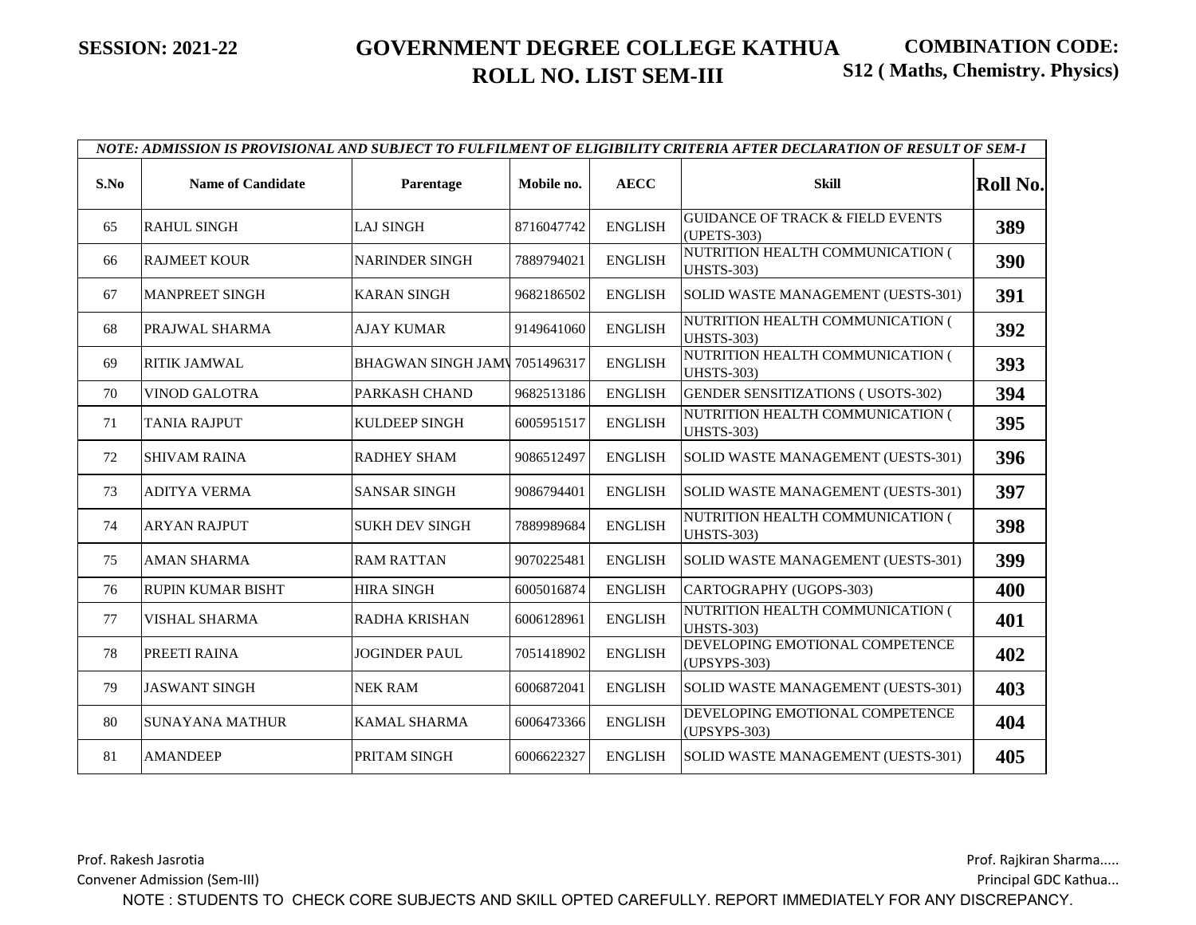|      | NOTE: ADMISSION IS PROVISIONAL AND SUBJECT TO FULFILMENT OF ELIGIBILITY CRITERIA AFTER DECLARATION OF RESULT OF SEM-I |                              |            |                |                                                            |                 |  |  |  |  |
|------|-----------------------------------------------------------------------------------------------------------------------|------------------------------|------------|----------------|------------------------------------------------------------|-----------------|--|--|--|--|
| S.No | <b>Name of Candidate</b>                                                                                              | Parentage                    | Mobile no. | <b>AECC</b>    | <b>Skill</b>                                               | <b>Roll No.</b> |  |  |  |  |
| 65   | <b>RAHUL SINGH</b>                                                                                                    | <b>LAJ SINGH</b>             | 8716047742 | <b>ENGLISH</b> | <b>GUIDANCE OF TRACK &amp; FIELD EVENTS</b><br>(UPETS-303) | 389             |  |  |  |  |
| 66   | <b>RAJMEET KOUR</b>                                                                                                   | <b>NARINDER SINGH</b>        | 7889794021 | <b>ENGLISH</b> | NUTRITION HEALTH COMMUNICATION (<br><b>UHSTS-303)</b>      | 390             |  |  |  |  |
| 67   | <b>MANPREET SINGH</b>                                                                                                 | <b>KARAN SINGH</b>           | 9682186502 | <b>ENGLISH</b> | SOLID WASTE MANAGEMENT (UESTS-301)                         | 391             |  |  |  |  |
| 68   | PRAJWAL SHARMA                                                                                                        | AJAY KUMAR                   | 9149641060 | <b>ENGLISH</b> | NUTRITION HEALTH COMMUNICATION (<br><b>UHSTS-303)</b>      | 392             |  |  |  |  |
| 69   | <b>RITIK JAMWAL</b>                                                                                                   | BHAGWAN SINGH JAM 7051496317 |            | <b>ENGLISH</b> | NUTRITION HEALTH COMMUNICATION (<br><b>UHSTS-303)</b>      | 393             |  |  |  |  |
| 70   | <b>VINOD GALOTRA</b>                                                                                                  | PARKASH CHAND                | 9682513186 | <b>ENGLISH</b> | <b>GENDER SENSITIZATIONS (USOTS-302)</b>                   | 394             |  |  |  |  |
| 71   | <b>TANIA RAJPUT</b>                                                                                                   | <b>KULDEEP SINGH</b>         | 6005951517 | <b>ENGLISH</b> | NUTRITION HEALTH COMMUNICATION (<br><b>UHSTS-303)</b>      | 395             |  |  |  |  |
| 72   | <b>SHIVAM RAINA</b>                                                                                                   | <b>RADHEY SHAM</b>           | 9086512497 | <b>ENGLISH</b> | SOLID WASTE MANAGEMENT (UESTS-301)                         | 396             |  |  |  |  |
| 73   | <b>ADITYA VERMA</b>                                                                                                   | <b>SANSAR SINGH</b>          | 9086794401 | <b>ENGLISH</b> | SOLID WASTE MANAGEMENT (UESTS-301)                         | 397             |  |  |  |  |
| 74   | <b>ARYAN RAJPUT</b>                                                                                                   | <b>SUKH DEV SINGH</b>        | 7889989684 | <b>ENGLISH</b> | NUTRITION HEALTH COMMUNICATION (<br><b>UHSTS-303)</b>      | 398             |  |  |  |  |
| 75   | <b>AMAN SHARMA</b>                                                                                                    | <b>RAM RATTAN</b>            | 9070225481 | <b>ENGLISH</b> | SOLID WASTE MANAGEMENT (UESTS-301)                         | 399             |  |  |  |  |
| 76   | <b>RUPIN KUMAR BISHT</b>                                                                                              | <b>HIRA SINGH</b>            | 6005016874 | <b>ENGLISH</b> | CARTOGRAPHY (UGOPS-303)                                    | 400             |  |  |  |  |
| 77   | <b>VISHAL SHARMA</b>                                                                                                  | RADHA KRISHAN                | 6006128961 | <b>ENGLISH</b> | NUTRITION HEALTH COMMUNICATION (<br><b>UHSTS-303)</b>      | 401             |  |  |  |  |
| 78   | PREETI RAINA                                                                                                          | <b>JOGINDER PAUL</b>         | 7051418902 | <b>ENGLISH</b> | DEVELOPING EMOTIONAL COMPETENCE<br>(UPSYPS-303)            | 402             |  |  |  |  |
| 79   | <b>JASWANT SINGH</b>                                                                                                  | <b>NEK RAM</b>               | 6006872041 | <b>ENGLISH</b> | SOLID WASTE MANAGEMENT (UESTS-301)                         | 403             |  |  |  |  |
| 80   | <b>SUNAYANA MATHUR</b>                                                                                                | <b>KAMAL SHARMA</b>          | 6006473366 | <b>ENGLISH</b> | DEVELOPING EMOTIONAL COMPETENCE<br>(UPSYPS-303)            | 404             |  |  |  |  |
| 81   | <b>AMANDEEP</b>                                                                                                       | PRITAM SINGH                 | 6006622327 | <b>ENGLISH</b> | SOLID WASTE MANAGEMENT (UESTS-301)                         | 405             |  |  |  |  |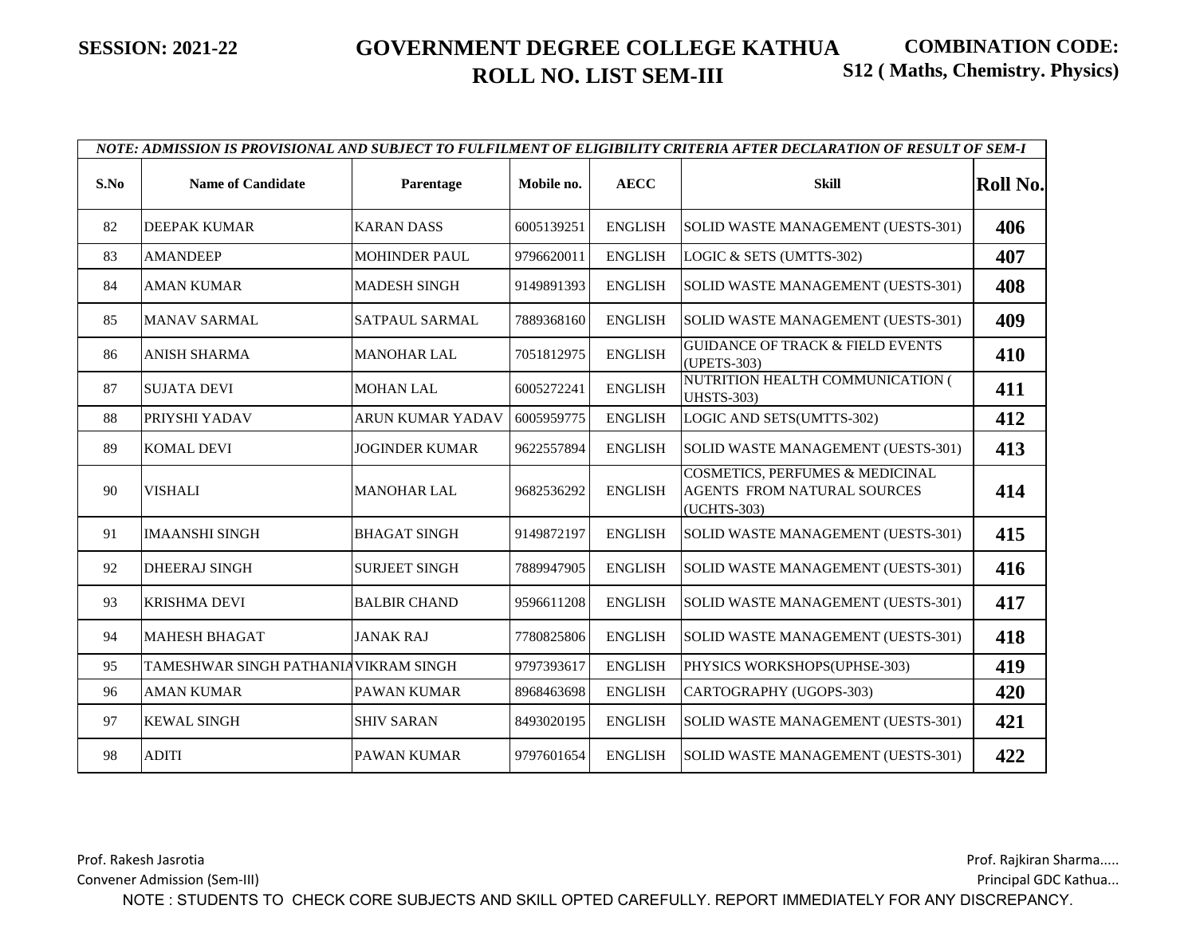|      | NOTE: ADMISSION IS PROVISIONAL AND SUBJECT TO FULFILMENT OF ELIGIBILITY CRITERIA AFTER DECLARATION OF RESULT OF SEM-I |                         |            |                |                                                                                          |                 |  |  |  |  |
|------|-----------------------------------------------------------------------------------------------------------------------|-------------------------|------------|----------------|------------------------------------------------------------------------------------------|-----------------|--|--|--|--|
| S.No | <b>Name of Candidate</b>                                                                                              | Parentage               | Mobile no. | <b>AECC</b>    | <b>Skill</b>                                                                             | <b>Roll No.</b> |  |  |  |  |
| 82   | <b>DEEPAK KUMAR</b>                                                                                                   | <b>KARAN DASS</b>       | 6005139251 | <b>ENGLISH</b> | SOLID WASTE MANAGEMENT (UESTS-301)                                                       | 406             |  |  |  |  |
| 83   | <b>AMANDEEP</b>                                                                                                       | <b>MOHINDER PAUL</b>    | 9796620011 | <b>ENGLISH</b> | LOGIC & SETS (UMTTS-302)                                                                 | 407             |  |  |  |  |
| 84   | <b>AMAN KUMAR</b>                                                                                                     | <b>MADESH SINGH</b>     | 9149891393 | <b>ENGLISH</b> | SOLID WASTE MANAGEMENT (UESTS-301)                                                       | 408             |  |  |  |  |
| 85   | <b>MANAV SARMAL</b>                                                                                                   | SATPAUL SARMAL          | 7889368160 | <b>ENGLISH</b> | SOLID WASTE MANAGEMENT (UESTS-301)                                                       | 409             |  |  |  |  |
| 86   | <b>ANISH SHARMA</b>                                                                                                   | <b>MANOHAR LAL</b>      | 7051812975 | <b>ENGLISH</b> | <b>GUIDANCE OF TRACK &amp; FIELD EVENTS</b><br>(UPETS-303)                               | 410             |  |  |  |  |
| 87   | <b>SUJATA DEVI</b>                                                                                                    | <b>MOHAN LAL</b>        | 6005272241 | <b>ENGLISH</b> | NUTRITION HEALTH COMMUNICATION (<br><b>UHSTS-303)</b>                                    | 411             |  |  |  |  |
| 88   | PRIYSHI YADAV                                                                                                         | <b>ARUN KUMAR YADAV</b> | 6005959775 | <b>ENGLISH</b> | LOGIC AND SETS(UMTTS-302)                                                                | 412             |  |  |  |  |
| 89   | <b>KOMAL DEVI</b>                                                                                                     | JOGINDER KUMAR          | 9622557894 | <b>ENGLISH</b> | SOLID WASTE MANAGEMENT (UESTS-301)                                                       | 413             |  |  |  |  |
| 90   | <b>VISHALI</b>                                                                                                        | <b>MANOHAR LAL</b>      | 9682536292 | <b>ENGLISH</b> | <b>COSMETICS, PERFUMES &amp; MEDICINAL</b><br>AGENTS FROM NATURAL SOURCES<br>(UCHTS-303) | 414             |  |  |  |  |
| 91   | <b>IMAANSHI SINGH</b>                                                                                                 | <b>BHAGAT SINGH</b>     | 9149872197 | <b>ENGLISH</b> | SOLID WASTE MANAGEMENT (UESTS-301)                                                       | 415             |  |  |  |  |
| 92   | <b>DHEERAJ SINGH</b>                                                                                                  | <b>SURJEET SINGH</b>    | 7889947905 | <b>ENGLISH</b> | SOLID WASTE MANAGEMENT (UESTS-301)                                                       | 416             |  |  |  |  |
| 93   | <b>KRISHMA DEVI</b>                                                                                                   | <b>BALBIR CHAND</b>     | 9596611208 | <b>ENGLISH</b> | SOLID WASTE MANAGEMENT (UESTS-301)                                                       | 417             |  |  |  |  |
| 94   | <b>MAHESH BHAGAT</b>                                                                                                  | <b>JANAK RAJ</b>        | 7780825806 | <b>ENGLISH</b> | SOLID WASTE MANAGEMENT (UESTS-301)                                                       | 418             |  |  |  |  |
| 95   | TAMESHWAR SINGH PATHANIA VIKRAM SINGH                                                                                 |                         | 9797393617 | <b>ENGLISH</b> | PHYSICS WORKSHOPS(UPHSE-303)                                                             | 419             |  |  |  |  |
| 96   | <b>AMAN KUMAR</b>                                                                                                     | PAWAN KUMAR             | 8968463698 | <b>ENGLISH</b> | CARTOGRAPHY (UGOPS-303)                                                                  | 420             |  |  |  |  |
| 97   | <b>KEWAL SINGH</b>                                                                                                    | <b>SHIV SARAN</b>       | 8493020195 | <b>ENGLISH</b> | SOLID WASTE MANAGEMENT (UESTS-301)                                                       | 421             |  |  |  |  |
| 98   | <b>ADITI</b>                                                                                                          | <b>PAWAN KUMAR</b>      | 9797601654 | <b>ENGLISH</b> | SOLID WASTE MANAGEMENT (UESTS-301)                                                       | 422             |  |  |  |  |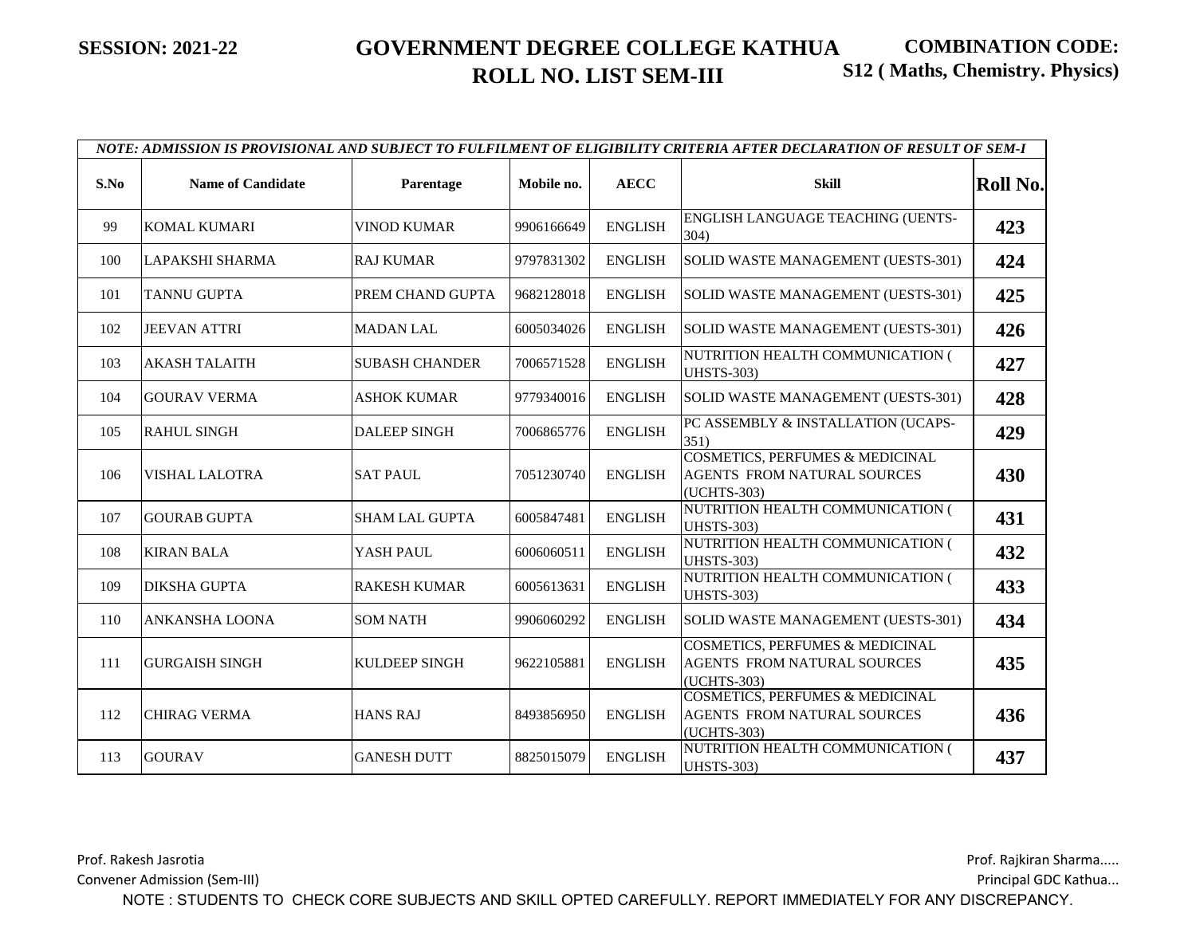|      |                          |                       |            |                | NOTE: ADMISSION IS PROVISIONAL AND SUBJECT TO FULFILMENT OF ELIGIBILITY CRITERIA AFTER DECLARATION OF RESULT OF SEM-I |                 |
|------|--------------------------|-----------------------|------------|----------------|-----------------------------------------------------------------------------------------------------------------------|-----------------|
| S.No | <b>Name of Candidate</b> | Parentage             | Mobile no. | <b>AECC</b>    | <b>Skill</b>                                                                                                          | <b>Roll No.</b> |
| 99   | KOMAL KUMARI             | <b>VINOD KUMAR</b>    | 9906166649 | <b>ENGLISH</b> | ENGLISH LANGUAGE TEACHING (UENTS-<br>304)                                                                             | 423             |
| 100  | LAPAKSHI SHARMA          | <b>RAJ KUMAR</b>      | 9797831302 | <b>ENGLISH</b> | SOLID WASTE MANAGEMENT (UESTS-301)                                                                                    | 424             |
| 101  | <b>TANNU GUPTA</b>       | PREM CHAND GUPTA      | 9682128018 | <b>ENGLISH</b> | SOLID WASTE MANAGEMENT (UESTS-301)                                                                                    | 425             |
| 102  | <b>JEEVAN ATTRI</b>      | <b>MADAN LAL</b>      | 6005034026 | <b>ENGLISH</b> | SOLID WASTE MANAGEMENT (UESTS-301)                                                                                    | 426             |
| 103  | <b>AKASH TALAITH</b>     | <b>SUBASH CHANDER</b> | 7006571528 | <b>ENGLISH</b> | NUTRITION HEALTH COMMUNICATION (<br><b>UHSTS-303)</b>                                                                 | 427             |
| 104  | <b>GOURAV VERMA</b>      | ASHOK KUMAR           | 9779340016 | <b>ENGLISH</b> | SOLID WASTE MANAGEMENT (UESTS-301)                                                                                    | 428             |
| 105  | <b>RAHUL SINGH</b>       | <b>DALEEP SINGH</b>   | 7006865776 | <b>ENGLISH</b> | PC ASSEMBLY & INSTALLATION (UCAPS-<br>351)                                                                            | 429             |
| 106  | <b>VISHAL LALOTRA</b>    | <b>SAT PAUL</b>       | 7051230740 | <b>ENGLISH</b> | <b>COSMETICS, PERFUMES &amp; MEDICINAL</b><br><b>AGENTS FROM NATURAL SOURCES</b><br>(UCHTS-303)                       | 430             |
| 107  | <b>GOURAB GUPTA</b>      | <b>SHAM LAL GUPTA</b> | 6005847481 | <b>ENGLISH</b> | NUTRITION HEALTH COMMUNICATION (<br><b>UHSTS-303)</b>                                                                 | 431             |
| 108  | <b>KIRAN BALA</b>        | YASH PAUL             | 6006060511 | <b>ENGLISH</b> | NUTRITION HEALTH COMMUNICATION (<br><b>UHSTS-303)</b>                                                                 | 432             |
| 109  | <b>DIKSHA GUPTA</b>      | <b>RAKESH KUMAR</b>   | 6005613631 | <b>ENGLISH</b> | NUTRITION HEALTH COMMUNICATION (<br><b>UHSTS-303)</b>                                                                 | 433             |
| 110  | <b>ANKANSHA LOONA</b>    | <b>SOM NATH</b>       | 9906060292 | <b>ENGLISH</b> | SOLID WASTE MANAGEMENT (UESTS-301)                                                                                    | 434             |
| 111  | <b>GURGAISH SINGH</b>    | KULDEEP SINGH         | 9622105881 | <b>ENGLISH</b> | <b>COSMETICS, PERFUMES &amp; MEDICINAL</b><br><b>AGENTS FROM NATURAL SOURCES</b><br>(UCHTS-303)                       | 435             |
| 112  | <b>CHIRAG VERMA</b>      | <b>HANS RAJ</b>       | 8493856950 | <b>ENGLISH</b> | <b>COSMETICS, PERFUMES &amp; MEDICINAL</b><br>AGENTS FROM NATURAL SOURCES<br>(UCHTS-303)                              | 436             |
| 113  | <b>GOURAV</b>            | <b>GANESH DUTT</b>    | 8825015079 | <b>ENGLISH</b> | NUTRITION HEALTH COMMUNICATION (<br><b>UHSTS-303)</b>                                                                 | 437             |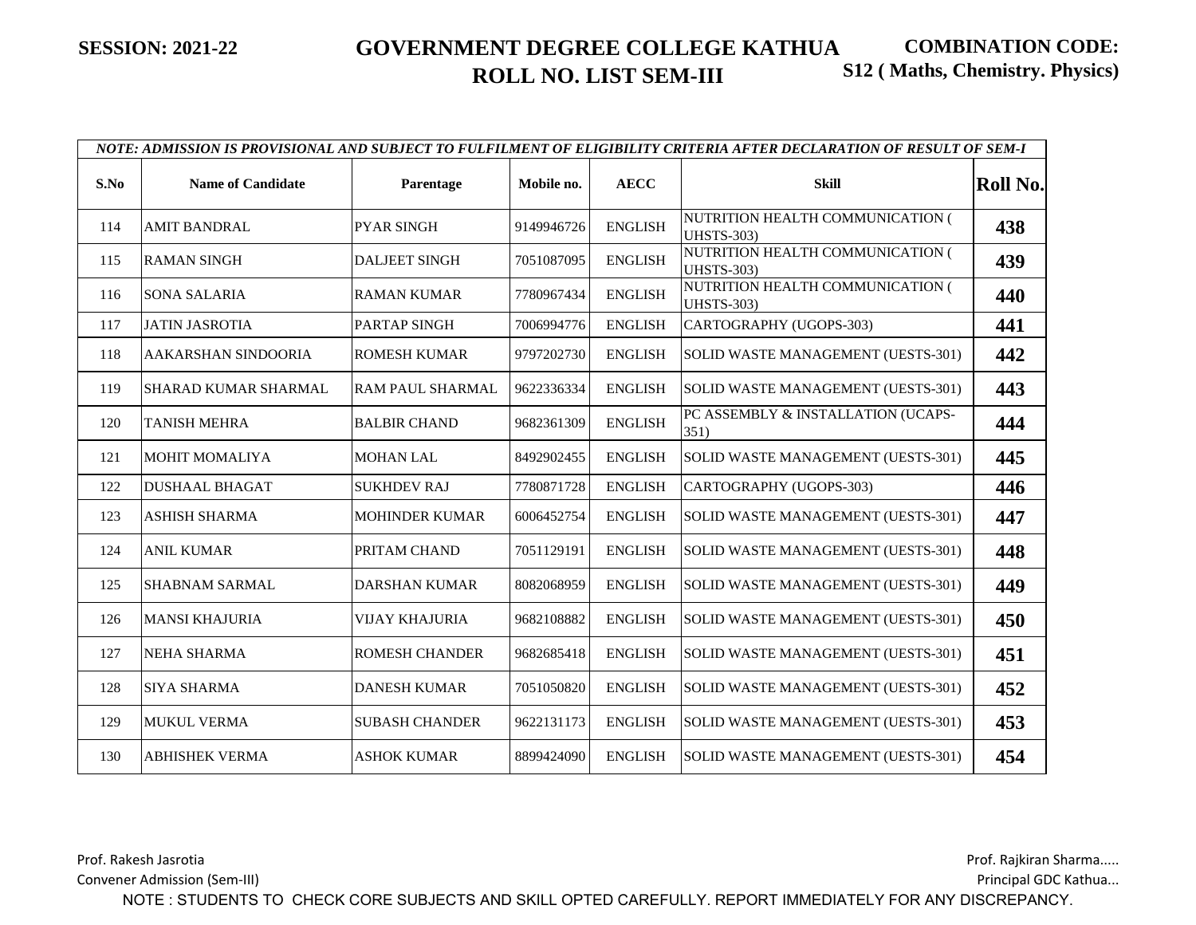|      |                            |                       |            |                | NOTE: ADMISSION IS PROVISIONAL AND SUBJECT TO FULFILMENT OF ELIGIBILITY CRITERIA AFTER DECLARATION OF RESULT OF SEM-I |          |
|------|----------------------------|-----------------------|------------|----------------|-----------------------------------------------------------------------------------------------------------------------|----------|
| S.No | <b>Name of Candidate</b>   | Parentage             | Mobile no. | <b>AECC</b>    | <b>Skill</b>                                                                                                          | Roll No. |
| 114  | <b>AMIT BANDRAL</b>        | <b>PYAR SINGH</b>     | 9149946726 | <b>ENGLISH</b> | NUTRITION HEALTH COMMUNICATION (<br><b>UHSTS-303)</b>                                                                 | 438      |
| 115  | <b>RAMAN SINGH</b>         | <b>DALJEET SINGH</b>  | 7051087095 | <b>ENGLISH</b> | NUTRITION HEALTH COMMUNICATION (<br><b>UHSTS-303)</b>                                                                 | 439      |
| 116  | <b>SONA SALARIA</b>        | <b>RAMAN KUMAR</b>    | 7780967434 | <b>ENGLISH</b> | NUTRITION HEALTH COMMUNICATION (<br><b>UHSTS-303)</b>                                                                 | 440      |
| 117  | <b>JATIN JASROTIA</b>      | PARTAP SINGH          | 7006994776 | <b>ENGLISH</b> | CARTOGRAPHY (UGOPS-303)                                                                                               | 441      |
| 118  | <b>AAKARSHAN SINDOORIA</b> | <b>ROMESH KUMAR</b>   | 9797202730 | <b>ENGLISH</b> | SOLID WASTE MANAGEMENT (UESTS-301)                                                                                    | 442      |
| 119  | SHARAD KUMAR SHARMAL       | RAM PAUL SHARMAL      | 9622336334 | <b>ENGLISH</b> | SOLID WASTE MANAGEMENT (UESTS-301)                                                                                    | 443      |
| 120  | <b>TANISH MEHRA</b>        | <b>BALBIR CHAND</b>   | 9682361309 | <b>ENGLISH</b> | PC ASSEMBLY & INSTALLATION (UCAPS-<br>351)                                                                            | 444      |
| 121  | <b>MOHIT MOMALIYA</b>      | <b>MOHAN LAL</b>      | 8492902455 | <b>ENGLISH</b> | SOLID WASTE MANAGEMENT (UESTS-301)                                                                                    | 445      |
| 122  | <b>DUSHAAL BHAGAT</b>      | <b>SUKHDEV RAJ</b>    | 7780871728 | <b>ENGLISH</b> | CARTOGRAPHY (UGOPS-303)                                                                                               | 446      |
| 123  | <b>ASHISH SHARMA</b>       | <b>MOHINDER KUMAR</b> | 6006452754 | <b>ENGLISH</b> | SOLID WASTE MANAGEMENT (UESTS-301)                                                                                    | 447      |
| 124  | <b>ANIL KUMAR</b>          | PRITAM CHAND          | 7051129191 | <b>ENGLISH</b> | SOLID WASTE MANAGEMENT (UESTS-301)                                                                                    | 448      |
| 125  | <b>SHABNAM SARMAL</b>      | <b>DARSHAN KUMAR</b>  | 8082068959 | <b>ENGLISH</b> | SOLID WASTE MANAGEMENT (UESTS-301)                                                                                    | 449      |
| 126  | <b>MANSI KHAJURIA</b>      | <b>VIJAY KHAJURIA</b> | 9682108882 | <b>ENGLISH</b> | SOLID WASTE MANAGEMENT (UESTS-301)                                                                                    | 450      |
| 127  | <b>NEHA SHARMA</b>         | <b>ROMESH CHANDER</b> | 9682685418 | <b>ENGLISH</b> | SOLID WASTE MANAGEMENT (UESTS-301)                                                                                    | 451      |
| 128  | <b>SIYA SHARMA</b>         | <b>DANESH KUMAR</b>   | 7051050820 | <b>ENGLISH</b> | SOLID WASTE MANAGEMENT (UESTS-301)                                                                                    | 452      |
| 129  | <b>MUKUL VERMA</b>         | <b>SUBASH CHANDER</b> | 9622131173 | <b>ENGLISH</b> | SOLID WASTE MANAGEMENT (UESTS-301)                                                                                    | 453      |
| 130  | <b>ABHISHEK VERMA</b>      | <b>ASHOK KUMAR</b>    | 8899424090 | <b>ENGLISH</b> | SOLID WASTE MANAGEMENT (UESTS-301)                                                                                    | 454      |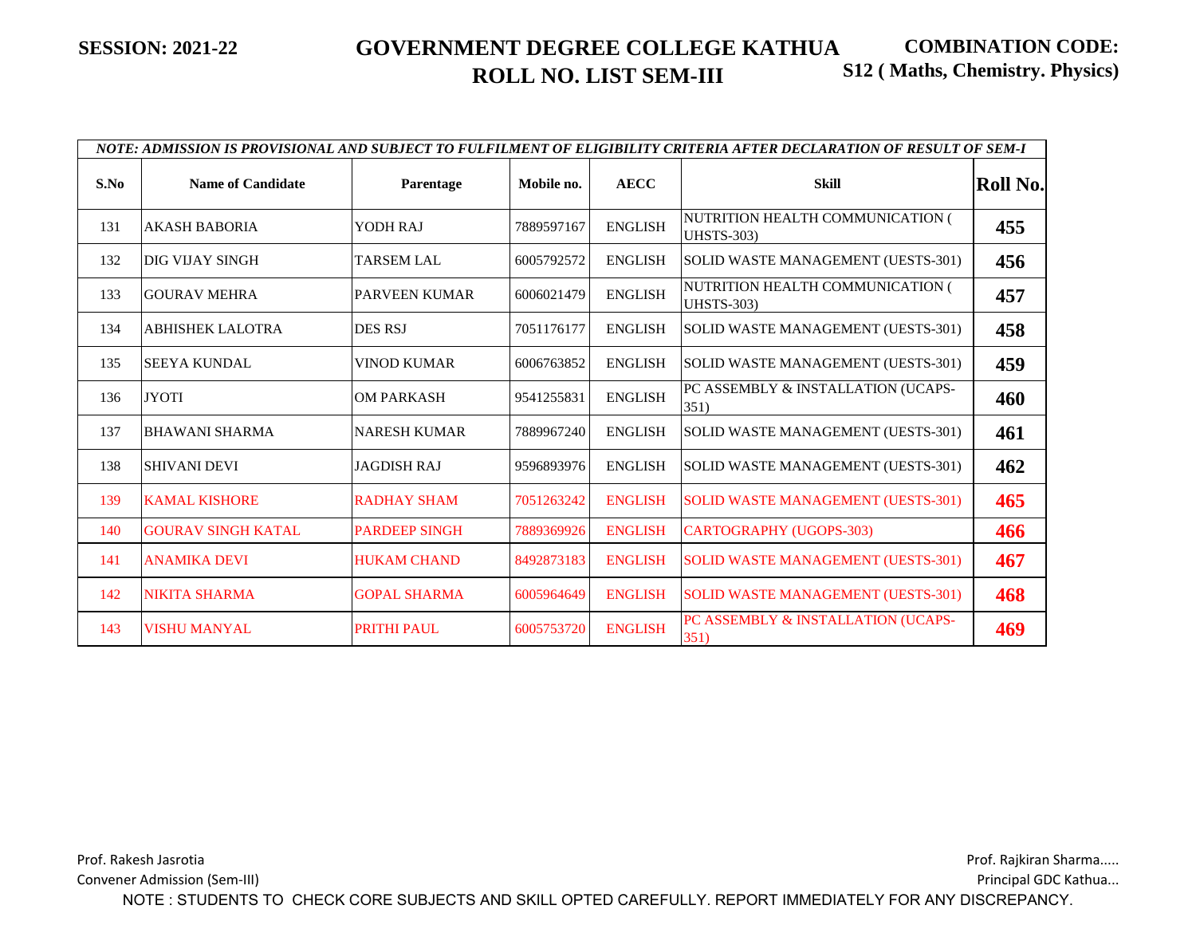|      | NOTE: ADMISSION IS PROVISIONAL AND SUBJECT TO FULFILMENT OF ELIGIBILITY CRITERIA AFTER DECLARATION OF RESULT OF SEM-I |                      |            |                |                                                       |                 |  |  |  |
|------|-----------------------------------------------------------------------------------------------------------------------|----------------------|------------|----------------|-------------------------------------------------------|-----------------|--|--|--|
| S.No | <b>Name of Candidate</b>                                                                                              | Parentage            | Mobile no. | <b>AECC</b>    | <b>Skill</b>                                          | <b>Roll No.</b> |  |  |  |
| 131  | <b>AKASH BABORIA</b>                                                                                                  | YODH RAJ             | 7889597167 | <b>ENGLISH</b> | NUTRITION HEALTH COMMUNICATION (<br><b>UHSTS-303)</b> | 455             |  |  |  |
| 132  | DIG VIJAY SINGH                                                                                                       | <b>TARSEM LAL</b>    | 6005792572 | <b>ENGLISH</b> | SOLID WASTE MANAGEMENT (UESTS-301)                    | 456             |  |  |  |
| 133  | <b>GOURAV MEHRA</b>                                                                                                   | <b>PARVEEN KUMAR</b> | 6006021479 | <b>ENGLISH</b> | NUTRITION HEALTH COMMUNICATION (<br><b>UHSTS-303)</b> | 457             |  |  |  |
| 134  | <b>ABHISHEK LALOTRA</b>                                                                                               | <b>DES RSJ</b>       | 7051176177 | <b>ENGLISH</b> | SOLID WASTE MANAGEMENT (UESTS-301)                    | 458             |  |  |  |
| 135  | <b>SEEYA KUNDAL</b>                                                                                                   | <b>VINOD KUMAR</b>   | 6006763852 | <b>ENGLISH</b> | SOLID WASTE MANAGEMENT (UESTS-301)                    | 459             |  |  |  |
| 136  | <b>JYOTI</b>                                                                                                          | <b>OM PARKASH</b>    | 9541255831 | <b>ENGLISH</b> | PC ASSEMBLY & INSTALLATION (UCAPS-<br>351)            | 460             |  |  |  |
| 137  | <b>BHAWANI SHARMA</b>                                                                                                 | <b>NARESH KUMAR</b>  | 7889967240 | <b>ENGLISH</b> | SOLID WASTE MANAGEMENT (UESTS-301)                    | 461             |  |  |  |
| 138  | <b>SHIVANI DEVI</b>                                                                                                   | <b>JAGDISH RAJ</b>   | 9596893976 | <b>ENGLISH</b> | SOLID WASTE MANAGEMENT (UESTS-301)                    | 462             |  |  |  |
| 139  | <b>KAMAL KISHORE</b>                                                                                                  | <b>RADHAY SHAM</b>   | 7051263242 | <b>ENGLISH</b> | <b>SOLID WASTE MANAGEMENT (UESTS-301)</b>             | 465             |  |  |  |
| 140  | <b>GOURAV SINGH KATAL</b>                                                                                             | <b>PARDEEP SINGH</b> | 7889369926 | <b>ENGLISH</b> | CARTOGRAPHY (UGOPS-303)                               | 466             |  |  |  |
| 141  | <b>ANAMIKA DEVI</b>                                                                                                   | <b>HUKAM CHAND</b>   | 8492873183 | <b>ENGLISH</b> | SOLID WASTE MANAGEMENT (UESTS-301)                    | 467             |  |  |  |
| 142  | <b>NIKITA SHARMA</b>                                                                                                  | <b>GOPAL SHARMA</b>  | 6005964649 | <b>ENGLISH</b> | SOLID WASTE MANAGEMENT (UESTS-301)                    | 468             |  |  |  |
| 143  | <b>VISHU MANYAL</b>                                                                                                   | <b>PRITHI PAUL</b>   | 6005753720 | <b>ENGLISH</b> | PC ASSEMBLY & INSTALLATION (UCAPS-<br>351)            | 469             |  |  |  |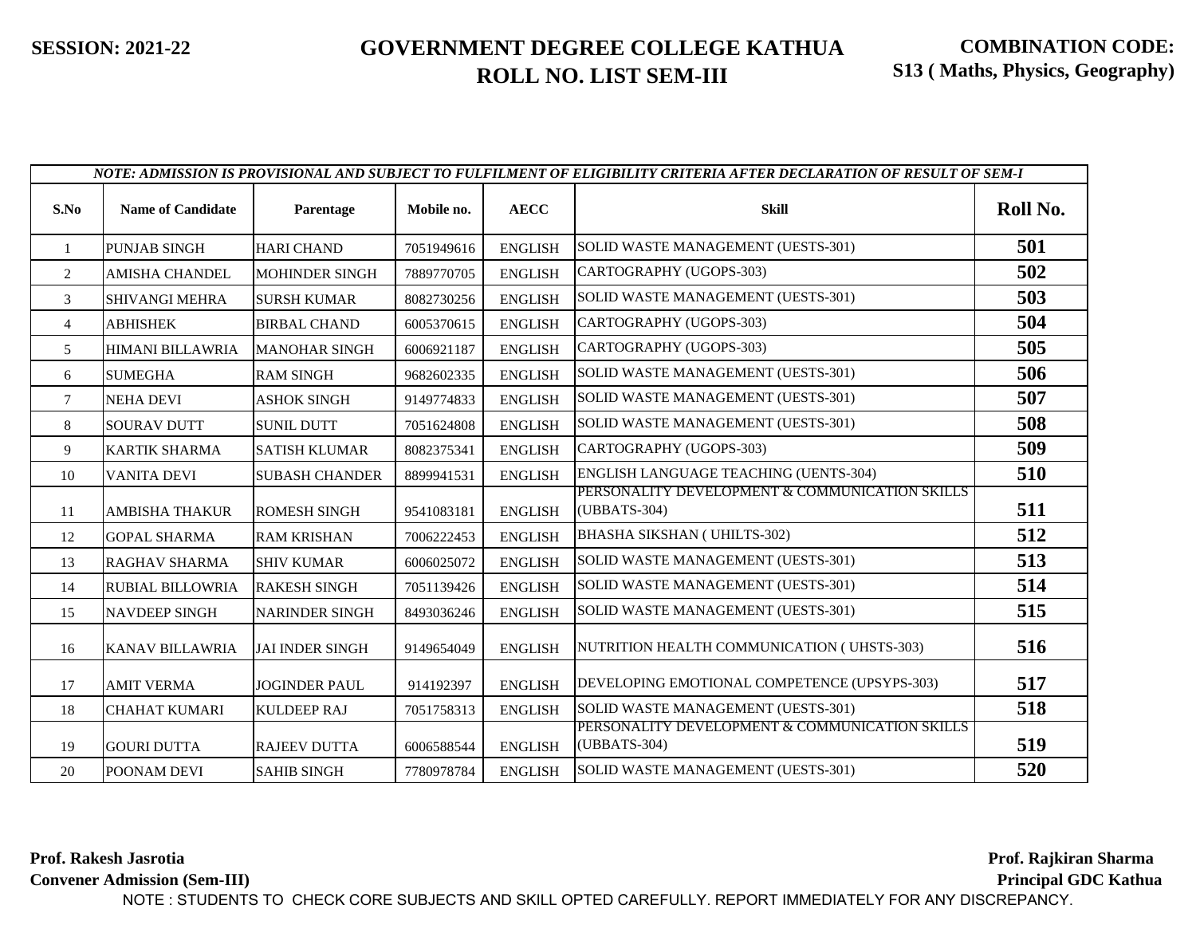|                | NOTE: ADMISSION IS PROVISIONAL AND SUBJECT TO FULFILMENT OF ELIGIBILITY CRITERIA AFTER DECLARATION OF RESULT OF SEM-I |                        |            |                |                                                                |          |  |
|----------------|-----------------------------------------------------------------------------------------------------------------------|------------------------|------------|----------------|----------------------------------------------------------------|----------|--|
| S.No           | <b>Name of Candidate</b>                                                                                              | Parentage              | Mobile no. | <b>AECC</b>    | <b>Skill</b>                                                   | Roll No. |  |
| -1             | <b>PUNJAB SINGH</b>                                                                                                   | <b>HARI CHAND</b>      | 7051949616 | <b>ENGLISH</b> | SOLID WASTE MANAGEMENT (UESTS-301)                             | 501      |  |
| 2              | AMISHA CHANDEL                                                                                                        | <b>MOHINDER SINGH</b>  | 7889770705 | <b>ENGLISH</b> | CARTOGRAPHY (UGOPS-303)                                        | 502      |  |
| 3              | <b>SHIVANGI MEHRA</b>                                                                                                 | <b>SURSH KUMAR</b>     | 8082730256 | <b>ENGLISH</b> | SOLID WASTE MANAGEMENT (UESTS-301)                             | 503      |  |
| $\overline{4}$ | ABHISHEK                                                                                                              | <b>BIRBAL CHAND</b>    | 6005370615 | <b>ENGLISH</b> | CARTOGRAPHY (UGOPS-303)                                        | 504      |  |
| 5              | <b>HIMANI BILLAWRIA</b>                                                                                               | <b>MANOHAR SINGH</b>   | 6006921187 | <b>ENGLISH</b> | CARTOGRAPHY (UGOPS-303)                                        | 505      |  |
| 6              | <b>SUMEGHA</b>                                                                                                        | <b>RAM SINGH</b>       | 9682602335 | <b>ENGLISH</b> | SOLID WASTE MANAGEMENT (UESTS-301)                             | 506      |  |
| $\tau$         | <b>NEHA DEVI</b>                                                                                                      | <b>ASHOK SINGH</b>     | 9149774833 | <b>ENGLISH</b> | SOLID WASTE MANAGEMENT (UESTS-301)                             | 507      |  |
| 8              | <b>SOURAV DUTT</b>                                                                                                    | <b>SUNIL DUTT</b>      | 7051624808 | <b>ENGLISH</b> | SOLID WASTE MANAGEMENT (UESTS-301)                             | 508      |  |
| 9              | <b>KARTIK SHARMA</b>                                                                                                  | <b>SATISH KLUMAR</b>   | 8082375341 | <b>ENGLISH</b> | CARTOGRAPHY (UGOPS-303)                                        | 509      |  |
| 10             | <b>VANITA DEVI</b>                                                                                                    | <b>SUBASH CHANDER</b>  | 8899941531 | <b>ENGLISH</b> | ENGLISH LANGUAGE TEACHING (UENTS-304)                          | 510      |  |
| 11             | <b>AMBISHA THAKUR</b>                                                                                                 | <b>ROMESH SINGH</b>    | 9541083181 | <b>ENGLISH</b> | PERSONALITY DEVELOPMENT & COMMUNICATION SKILLS<br>(UBBATS-304) | 511      |  |
| 12             | <b>GOPAL SHARMA</b>                                                                                                   | <b>RAM KRISHAN</b>     | 7006222453 | <b>ENGLISH</b> | <b>BHASHA SIKSHAN ( UHILTS-302)</b>                            | 512      |  |
| 13             | <b>RAGHAV SHARMA</b>                                                                                                  | <b>SHIV KUMAR</b>      | 6006025072 | <b>ENGLISH</b> | SOLID WASTE MANAGEMENT (UESTS-301)                             | 513      |  |
| 14             | <b>RUBIAL BILLOWRIA</b>                                                                                               | <b>RAKESH SINGH</b>    | 7051139426 | <b>ENGLISH</b> | SOLID WASTE MANAGEMENT (UESTS-301)                             | 514      |  |
| 15             | <b>NAVDEEP SINGH</b>                                                                                                  | <b>NARINDER SINGH</b>  | 8493036246 | <b>ENGLISH</b> | SOLID WASTE MANAGEMENT (UESTS-301)                             | 515      |  |
| 16             | <b>KANAV BILLAWRIA</b>                                                                                                | <b>JAI INDER SINGH</b> | 9149654049 | <b>ENGLISH</b> | NUTRITION HEALTH COMMUNICATION (UHSTS-303)                     | 516      |  |
| 17             | <b>AMIT VERMA</b>                                                                                                     | <b>JOGINDER PAUL</b>   | 914192397  | <b>ENGLISH</b> | DEVELOPING EMOTIONAL COMPETENCE (UPSYPS-303)                   | 517      |  |
| 18             | <b>CHAHAT KUMARI</b>                                                                                                  | <b>KULDEEP RAJ</b>     | 7051758313 | <b>ENGLISH</b> | SOLID WASTE MANAGEMENT (UESTS-301)                             | 518      |  |
| 19             | <b>GOURI DUTTA</b>                                                                                                    | <b>RAJEEV DUTTA</b>    | 6006588544 | <b>ENGLISH</b> | PERSONALITY DEVELOPMENT & COMMUNICATION SKILLS<br>(UBBATS-304) | 519      |  |
| 20             | POONAM DEVI                                                                                                           | <b>SAHIB SINGH</b>     | 7780978784 | <b>ENGLISH</b> | SOLID WASTE MANAGEMENT (UESTS-301)                             | 520      |  |

**Prof. Rakesh Jasrotia Convener Admission (Sem-III)** **Prof. Rajkiran Sharma..... Principal GDC Kathua...**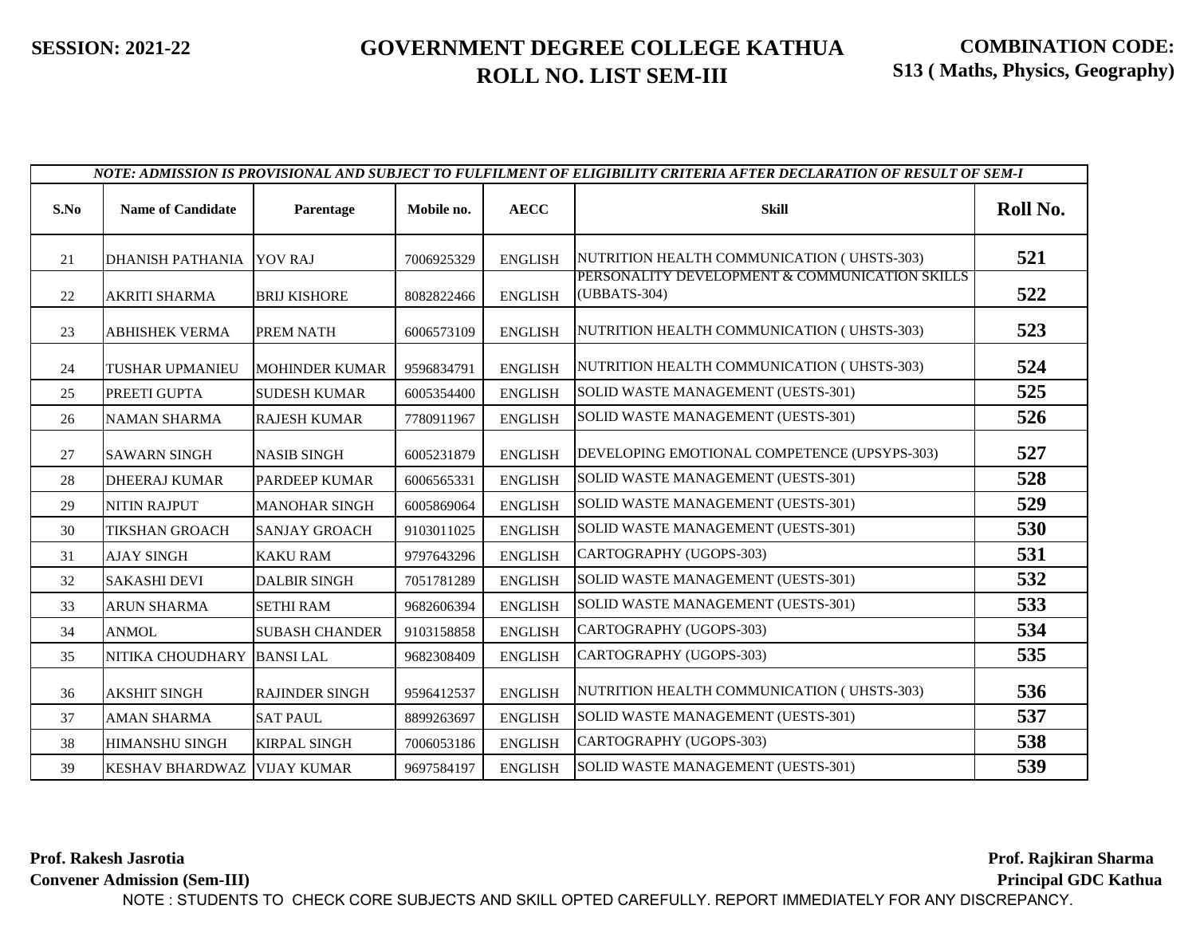| NOTE: ADMISSION IS PROVISIONAL AND SUBJECT TO FULFILMENT OF ELIGIBILITY CRITERIA AFTER DECLARATION OF RESULT OF SEM-I |                             |                       |            |                |                                                                |          |
|-----------------------------------------------------------------------------------------------------------------------|-----------------------------|-----------------------|------------|----------------|----------------------------------------------------------------|----------|
| S.No                                                                                                                  | <b>Name of Candidate</b>    | Parentage             | Mobile no. | <b>AECC</b>    | <b>Skill</b>                                                   | Roll No. |
| 21                                                                                                                    | DHANISH PATHANIA YOV RAJ    |                       | 7006925329 | <b>ENGLISH</b> | NUTRITION HEALTH COMMUNICATION (UHSTS-303)                     | 521      |
| 22                                                                                                                    | <b>AKRITI SHARMA</b>        | <b>BRIJ KISHORE</b>   | 8082822466 | <b>ENGLISH</b> | PERSONALITY DEVELOPMENT & COMMUNICATION SKILLS<br>(UBBATS-304) | 522      |
| 23                                                                                                                    | <b>ABHISHEK VERMA</b>       | PREM NATH             | 6006573109 | <b>ENGLISH</b> | NUTRITION HEALTH COMMUNICATION (UHSTS-303)                     | 523      |
| 24                                                                                                                    | TUSHAR UPMANIEU             | <b>MOHINDER KUMAR</b> | 9596834791 | <b>ENGLISH</b> | NUTRITION HEALTH COMMUNICATION (UHSTS-303)                     | 524      |
| 25                                                                                                                    | PREETI GUPTA                | <b>SUDESH KUMAR</b>   | 6005354400 | <b>ENGLISH</b> | SOLID WASTE MANAGEMENT (UESTS-301)                             | 525      |
| 26                                                                                                                    | <b>NAMAN SHARMA</b>         | <b>RAJESH KUMAR</b>   | 7780911967 | <b>ENGLISH</b> | SOLID WASTE MANAGEMENT (UESTS-301)                             | 526      |
| 27                                                                                                                    | <b>SAWARN SINGH</b>         | <b>NASIB SINGH</b>    | 6005231879 | <b>ENGLISH</b> | DEVELOPING EMOTIONAL COMPETENCE (UPSYPS-303)                   | 527      |
| 28                                                                                                                    | <b>DHEERAJ KUMAR</b>        | <b>PARDEEP KUMAR</b>  | 6006565331 | <b>ENGLISH</b> | SOLID WASTE MANAGEMENT (UESTS-301)                             | 528      |
| 29                                                                                                                    | <b>NITIN RAJPUT</b>         | <b>MANOHAR SINGH</b>  | 6005869064 | <b>ENGLISH</b> | SOLID WASTE MANAGEMENT (UESTS-301)                             | 529      |
| 30                                                                                                                    | <b>TIKSHAN GROACH</b>       | <b>SANJAY GROACH</b>  | 9103011025 | <b>ENGLISH</b> | SOLID WASTE MANAGEMENT (UESTS-301)                             | 530      |
| 31                                                                                                                    | <b>AJAY SINGH</b>           | <b>KAKU RAM</b>       | 9797643296 | <b>ENGLISH</b> | CARTOGRAPHY (UGOPS-303)                                        | 531      |
| 32                                                                                                                    | <b>SAKASHI DEVI</b>         | <b>DALBIR SINGH</b>   | 7051781289 | <b>ENGLISH</b> | SOLID WASTE MANAGEMENT (UESTS-301)                             | 532      |
| 33                                                                                                                    | <b>ARUN SHARMA</b>          | <b>SETHI RAM</b>      | 9682606394 | <b>ENGLISH</b> | SOLID WASTE MANAGEMENT (UESTS-301)                             | 533      |
| 34                                                                                                                    | <b>ANMOL</b>                | <b>SUBASH CHANDER</b> | 9103158858 | <b>ENGLISH</b> | CARTOGRAPHY (UGOPS-303)                                        | 534      |
| 35                                                                                                                    | NITIKA CHOUDHARY            | <b>BANSILAL</b>       | 9682308409 | <b>ENGLISH</b> | CARTOGRAPHY (UGOPS-303)                                        | 535      |
| 36                                                                                                                    | <b>AKSHIT SINGH</b>         | <b>RAJINDER SINGH</b> | 9596412537 | <b>ENGLISH</b> | NUTRITION HEALTH COMMUNICATION (UHSTS-303)                     | 536      |
| 37                                                                                                                    | <b>AMAN SHARMA</b>          | <b>SAT PAUL</b>       | 8899263697 | <b>ENGLISH</b> | SOLID WASTE MANAGEMENT (UESTS-301)                             | 537      |
| 38                                                                                                                    | <b>HIMANSHU SINGH</b>       | <b>KIRPAL SINGH</b>   | 7006053186 | <b>ENGLISH</b> | CARTOGRAPHY (UGOPS-303)                                        | 538      |
| 39                                                                                                                    | KESHAV BHARDWAZ VIJAY KUMAR |                       | 9697584197 | <b>ENGLISH</b> | SOLID WASTE MANAGEMENT (UESTS-301)                             | 539      |

**Prof. Rakesh Jasrotia**

**Convener Admission (Sem-III)**

**Prof. Rajkiran Sharma..... Principal GDC Kathua...**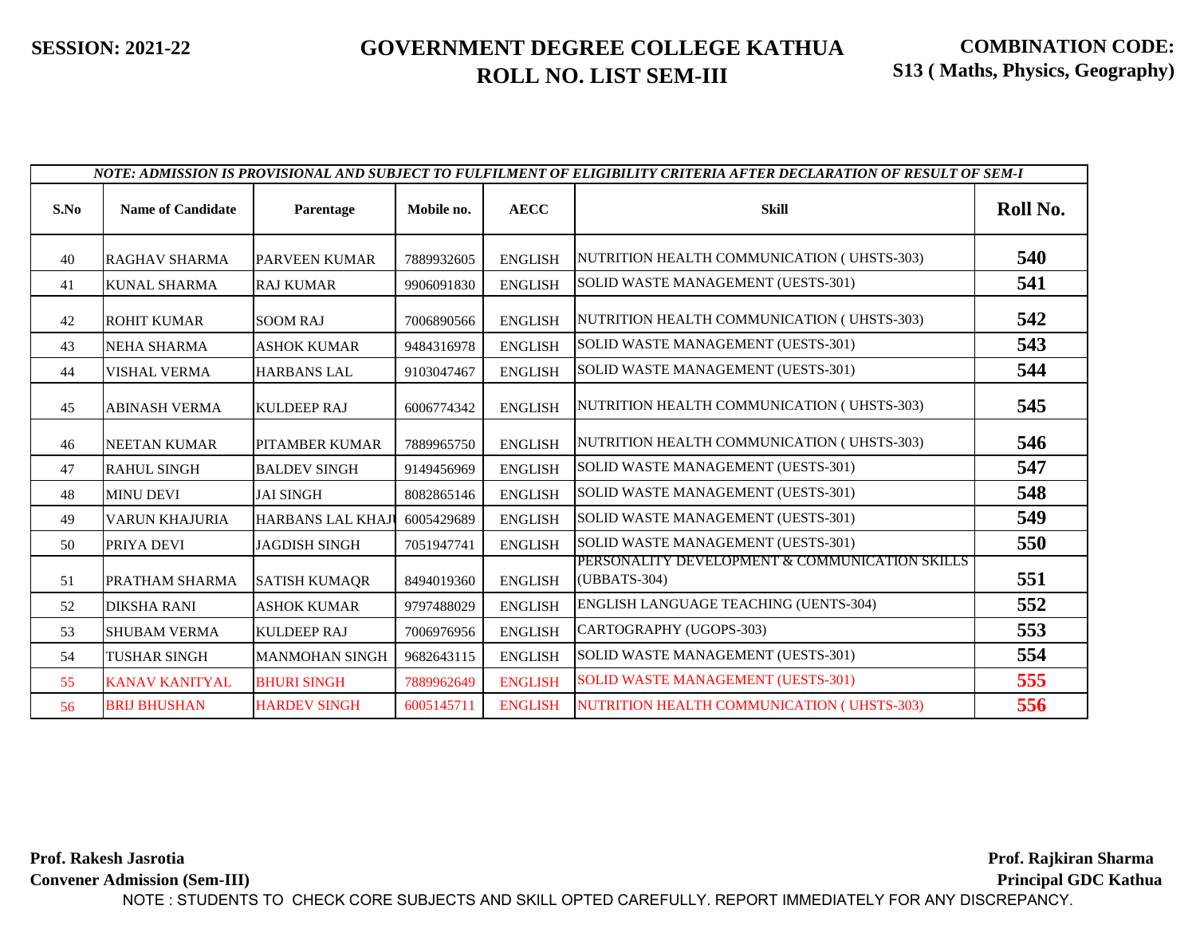|      |                          |                          |            | NOTE: ADMISSION IS PROVISIONAL AND SUBJECT TO FULFILMENT OF ELIGIBILITY CRITERIA AFTER DECLARATION OF RESULT OF SEM-I |                                                                |          |
|------|--------------------------|--------------------------|------------|-----------------------------------------------------------------------------------------------------------------------|----------------------------------------------------------------|----------|
| S.No | <b>Name of Candidate</b> | Parentage                | Mobile no. | <b>AECC</b>                                                                                                           | <b>Skill</b>                                                   | Roll No. |
| 40   | <b>RAGHAV SHARMA</b>     | <b>PARVEEN KUMAR</b>     | 7889932605 | <b>ENGLISH</b>                                                                                                        | NUTRITION HEALTH COMMUNICATION (UHSTS-303)                     | 540      |
| 41   | <b>KUNAL SHARMA</b>      | <b>RAJ KUMAR</b>         | 9906091830 | <b>ENGLISH</b>                                                                                                        | SOLID WASTE MANAGEMENT (UESTS-301)                             | 541      |
| 42   | <b>ROHIT KUMAR</b>       | <b>SOOM RAJ</b>          | 7006890566 | <b>ENGLISH</b>                                                                                                        | NUTRITION HEALTH COMMUNICATION (UHSTS-303)                     | 542      |
| 43   | <b>NEHA SHARMA</b>       | <b>ASHOK KUMAR</b>       | 9484316978 | <b>ENGLISH</b>                                                                                                        | SOLID WASTE MANAGEMENT (UESTS-301)                             | 543      |
| 44   | <b>VISHAL VERMA</b>      | <b>HARBANS LAL</b>       | 9103047467 | <b>ENGLISH</b>                                                                                                        | SOLID WASTE MANAGEMENT (UESTS-301)                             | 544      |
| 45   | <b>ABINASH VERMA</b>     | <b>KULDEEP RAJ</b>       | 6006774342 | <b>ENGLISH</b>                                                                                                        | NUTRITION HEALTH COMMUNICATION (UHSTS-303)                     | 545      |
| 46   | <b>NEETAN KUMAR</b>      | <b>PITAMBER KUMAR</b>    | 7889965750 | <b>ENGLISH</b>                                                                                                        | NUTRITION HEALTH COMMUNICATION (UHSTS-303)                     | 546      |
| 47   | <b>RAHUL SINGH</b>       | <b>BALDEV SINGH</b>      | 9149456969 | <b>ENGLISH</b>                                                                                                        | SOLID WASTE MANAGEMENT (UESTS-301)                             | 547      |
| 48   | <b>MINU DEVI</b>         | <b>JAI SINGH</b>         | 8082865146 | <b>ENGLISH</b>                                                                                                        | SOLID WASTE MANAGEMENT (UESTS-301)                             | 548      |
| 49   | <b>VARUN KHAJURIA</b>    | <b>HARBANS LAL KHAJI</b> | 6005429689 | <b>ENGLISH</b>                                                                                                        | SOLID WASTE MANAGEMENT (UESTS-301)                             | 549      |
| 50   | PRIYA DEVI               | <b>JAGDISH SINGH</b>     | 7051947741 | <b>ENGLISH</b>                                                                                                        | SOLID WASTE MANAGEMENT (UESTS-301)                             | 550      |
| 51   | PRATHAM SHARMA           | <b>SATISH KUMAQR</b>     | 8494019360 | <b>ENGLISH</b>                                                                                                        | PERSONALITY DEVELOPMENT & COMMUNICATION SKILLS<br>(UBBATS-304) | 551      |
| 52   | <b>DIKSHA RANI</b>       | <b>ASHOK KUMAR</b>       | 9797488029 | <b>ENGLISH</b>                                                                                                        | ENGLISH LANGUAGE TEACHING (UENTS-304)                          | 552      |
| 53   | <b>SHUBAM VERMA</b>      | <b>KULDEEP RAJ</b>       | 7006976956 | <b>ENGLISH</b>                                                                                                        | CARTOGRAPHY (UGOPS-303)                                        | 553      |
| 54   | <b>TUSHAR SINGH</b>      | <b>MANMOHAN SINGH</b>    | 9682643115 | <b>ENGLISH</b>                                                                                                        | SOLID WASTE MANAGEMENT (UESTS-301)                             | 554      |
| 55   | <b>KANAV KANITYAL</b>    | <b>BHURI SINGH</b>       | 7889962649 | <b>ENGLISH</b>                                                                                                        | <b>SOLID WASTE MANAGEMENT (UESTS-301)</b>                      | 555      |
| 56   | <b>BRIJ BHUSHAN</b>      | <b>HARDEV SINGH</b>      | 6005145711 | <b>ENGLISH</b>                                                                                                        | NUTRITION HEALTH COMMUNICATION (UHSTS-303)                     | 556      |

**Prof. Rakesh Jasrotia Convener Admission (Sem-III) Prof. Rajkiran Sharma..... Principal GDC Kathua...** NOTE : STUDENTS TO CHECK CORE SUBJECTS AND SKILL OPTED CAREFULLY. REPORT IMMEDIATELY FOR ANY DISCREPANCY.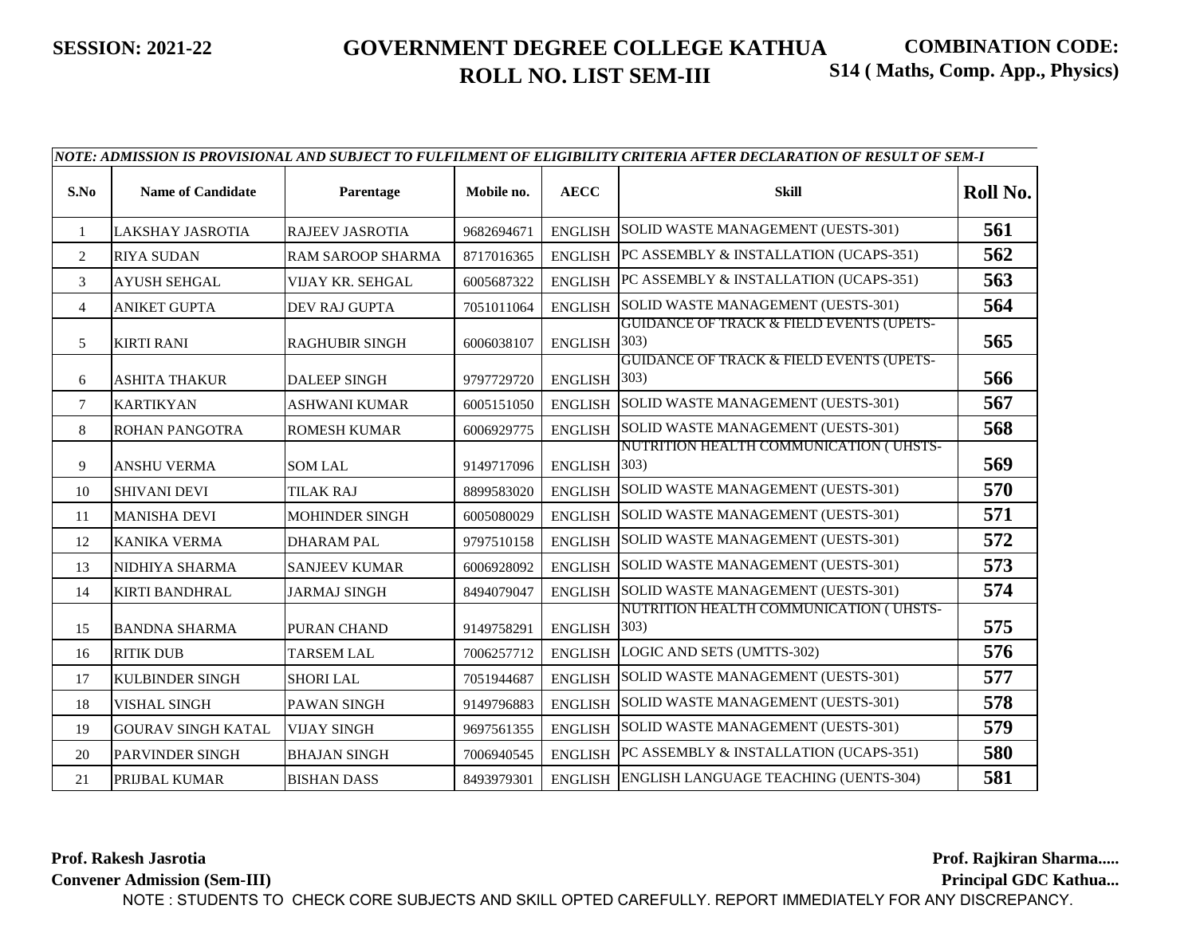| S.No           | <b>Name of Candidate</b>  | Parentage                | Mobile no. | <b>AECC</b>    | <b>Skill</b>                                                | Roll No. |
|----------------|---------------------------|--------------------------|------------|----------------|-------------------------------------------------------------|----------|
| 1              | <b>LAKSHAY JASROTIA</b>   | <b>RAJEEV JASROTIA</b>   | 9682694671 | <b>ENGLISH</b> | SOLID WASTE MANAGEMENT (UESTS-301)                          | 561      |
| $\overline{2}$ | <b>RIYA SUDAN</b>         | <b>RAM SAROOP SHARMA</b> | 8717016365 | <b>ENGLISH</b> | PC ASSEMBLY & INSTALLATION (UCAPS-351)                      | 562      |
| 3              | <b>AYUSH SEHGAL</b>       | VIJAY KR. SEHGAL         | 6005687322 | <b>ENGLISH</b> | PC ASSEMBLY & INSTALLATION (UCAPS-351)                      | 563      |
| $\overline{4}$ | <b>ANIKET GUPTA</b>       | <b>DEV RAJ GUPTA</b>     | 7051011064 | <b>ENGLISH</b> | SOLID WASTE MANAGEMENT (UESTS-301)                          | 564      |
| 5              | <b>KIRTI RANI</b>         | <b>RAGHUBIR SINGH</b>    | 6006038107 | <b>ENGLISH</b> | <b>GUIDANCE OF TRACK &amp; FIELD EVENTS (UPETS-</b><br>303) | 565      |
| 6              | <b>ASHITA THAKUR</b>      | <b>DALEEP SINGH</b>      | 9797729720 | <b>ENGLISH</b> | <b>GUIDANCE OF TRACK &amp; FIELD EVENTS (UPETS-</b><br>303) | 566      |
| 7              | <b>KARTIKYAN</b>          | <b>ASHWANI KUMAR</b>     | 6005151050 | <b>ENGLISH</b> | SOLID WASTE MANAGEMENT (UESTS-301)                          | 567      |
| 8              | <b>ROHAN PANGOTRA</b>     | <b>ROMESH KUMAR</b>      | 6006929775 | <b>ENGLISH</b> | SOLID WASTE MANAGEMENT (UESTS-301)                          | 568      |
| 9              | <b>ANSHU VERMA</b>        | <b>SOM LAL</b>           | 9149717096 | <b>ENGLISH</b> | NUTRITION HEALTH COMMUNICATION (UHSTS-<br>303)              | 569      |
| 10             | <b>SHIVANI DEVI</b>       | <b>TILAK RAJ</b>         | 8899583020 | <b>ENGLISH</b> | SOLID WASTE MANAGEMENT (UESTS-301)                          | 570      |
| 11             | <b>MANISHA DEVI</b>       | <b>MOHINDER SINGH</b>    | 6005080029 | <b>ENGLISH</b> | SOLID WASTE MANAGEMENT (UESTS-301)                          | 571      |
| 12             | <b>KANIKA VERMA</b>       | <b>DHARAM PAL</b>        | 9797510158 | <b>ENGLISH</b> | SOLID WASTE MANAGEMENT (UESTS-301)                          | 572      |
| 13             | NIDHIYA SHARMA            | <b>SANJEEV KUMAR</b>     | 6006928092 | <b>ENGLISH</b> | SOLID WASTE MANAGEMENT (UESTS-301)                          | 573      |
| 14             | <b>KIRTI BANDHRAL</b>     | <b>JARMAJ SINGH</b>      | 8494079047 | <b>ENGLISH</b> | SOLID WASTE MANAGEMENT (UESTS-301)                          | 574      |
| 15             | <b>BANDNA SHARMA</b>      | PURAN CHAND              | 9149758291 | <b>ENGLISH</b> | NUTRITION HEALTH COMMUNICATION (UHSTS-<br>303)              | 575      |
| 16             | <b>RITIK DUB</b>          | <b>TARSEM LAL</b>        | 7006257712 | <b>ENGLISH</b> | LOGIC AND SETS (UMTTS-302)                                  | 576      |
| 17             | <b>KULBINDER SINGH</b>    | <b>SHORI LAL</b>         | 7051944687 | <b>ENGLISH</b> | SOLID WASTE MANAGEMENT (UESTS-301)                          | 577      |
| 18             | <b>VISHAL SINGH</b>       | PAWAN SINGH              | 9149796883 | <b>ENGLISH</b> | SOLID WASTE MANAGEMENT (UESTS-301)                          | 578      |
| 19             | <b>GOURAV SINGH KATAL</b> | <b>VIJAY SINGH</b>       | 9697561355 | <b>ENGLISH</b> | SOLID WASTE MANAGEMENT (UESTS-301)                          | 579      |
| 20             | <b>PARVINDER SINGH</b>    | <b>BHAJAN SINGH</b>      | 7006940545 | <b>ENGLISH</b> | PC ASSEMBLY & INSTALLATION (UCAPS-351)                      | 580      |
| 21             | PRIJBAL KUMAR             | <b>BISHAN DASS</b>       | 8493979301 | <b>ENGLISH</b> | ENGLISH LANGUAGE TEACHING (UENTS-304)                       | 581      |

*NOTE: ADMISSION IS PROVISIONAL AND SUBJECT TO FULFILMENT OF ELIGIBILITY CRITERIA AFTER DECLARATION OF RESULT OF SEM-I*

**Prof. Rakesh Jasrotia Convener Admission (Sem-III)** **Prof. Rajkiran Sharma.....**

**Principal GDC Kathua...**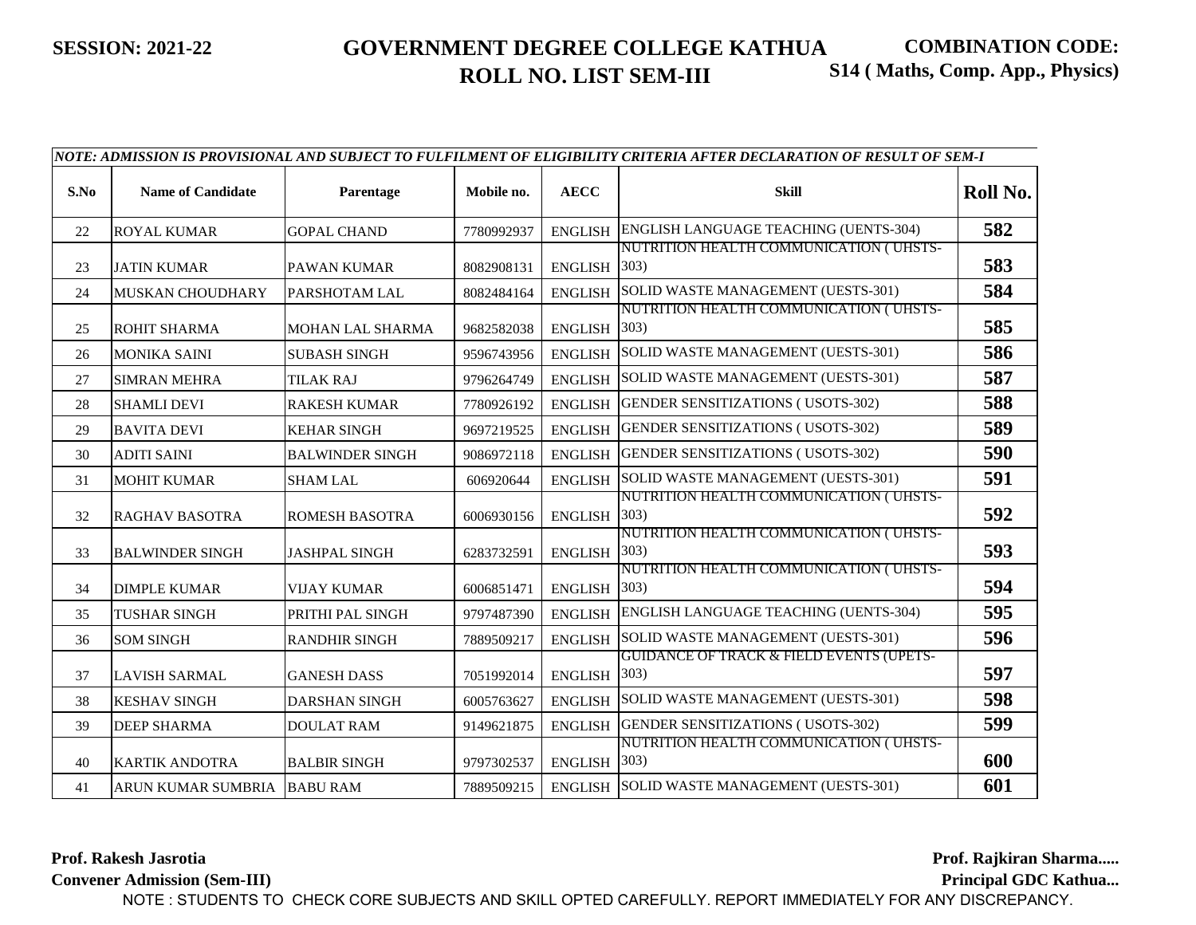| S.No | <b>Name of Candidate</b>    | Parentage               | Mobile no. | <b>AECC</b>    | Skill                                                       | Roll No. |
|------|-----------------------------|-------------------------|------------|----------------|-------------------------------------------------------------|----------|
| 22   | <b>ROYAL KUMAR</b>          | <b>GOPAL CHAND</b>      | 7780992937 | <b>ENGLISH</b> | ENGLISH LANGUAGE TEACHING (UENTS-304)                       | 582      |
| 23   | <b>JATIN KUMAR</b>          | <b>PAWAN KUMAR</b>      | 8082908131 | <b>ENGLISH</b> | NUTRITION HEALTH COMMUNICATION (UHSTS-<br>(303)             | 583      |
| 24   | <b>MUSKAN CHOUDHARY</b>     | PARSHOTAM LAL           | 8082484164 | <b>ENGLISH</b> | SOLID WASTE MANAGEMENT (UESTS-301)                          | 584      |
| 25   | <b>ROHIT SHARMA</b>         | <b>MOHAN LAL SHARMA</b> | 9682582038 | <b>ENGLISH</b> | NUTRITION HEALTH COMMUNICATION (UHSTS-<br>303)              | 585      |
| 26   | <b>MONIKA SAINI</b>         | <b>SUBASH SINGH</b>     | 9596743956 | <b>ENGLISH</b> | SOLID WASTE MANAGEMENT (UESTS-301)                          | 586      |
| 27   | <b>SIMRAN MEHRA</b>         | <b>TILAK RAJ</b>        | 9796264749 | <b>ENGLISH</b> | SOLID WASTE MANAGEMENT (UESTS-301)                          | 587      |
| 28   | <b>SHAMLI DEVI</b>          | <b>RAKESH KUMAR</b>     | 7780926192 | <b>ENGLISH</b> | <b>GENDER SENSITIZATIONS (USOTS-302)</b>                    | 588      |
| 29   | <b>BAVITA DEVI</b>          | <b>KEHAR SINGH</b>      | 9697219525 | <b>ENGLISH</b> | <b>GENDER SENSITIZATIONS (USOTS-302)</b>                    | 589      |
| 30   | <b>ADITI SAINI</b>          | <b>BALWINDER SINGH</b>  | 9086972118 | <b>ENGLISH</b> | GENDER SENSITIZATIONS (USOTS-302)                           | 590      |
| 31   | <b>MOHIT KUMAR</b>          | <b>SHAM LAL</b>         | 606920644  | <b>ENGLISH</b> | SOLID WASTE MANAGEMENT (UESTS-301)                          | 591      |
| 32   | <b>RAGHAV BASOTRA</b>       | <b>ROMESH BASOTRA</b>   | 6006930156 | <b>ENGLISH</b> | NUTRITION HEALTH COMMUNICATION (UHSTS-<br>303)              | 592      |
| 33   | <b>BALWINDER SINGH</b>      | <b>JASHPAL SINGH</b>    | 6283732591 | <b>ENGLISH</b> | NUTRITION HEALTH COMMUNICATION (UHSTS-<br>303)              | 593      |
| 34   | <b>DIMPLE KUMAR</b>         | <b>VIJAY KUMAR</b>      | 6006851471 | <b>ENGLISH</b> | NUTRITION HEALTH COMMUNICATION (UHSTS-<br>303)              | 594      |
| 35   | <b>TUSHAR SINGH</b>         | PRITHI PAL SINGH        | 9797487390 | <b>ENGLISH</b> | ENGLISH LANGUAGE TEACHING (UENTS-304)                       | 595      |
| 36   | <b>SOM SINGH</b>            | <b>RANDHIR SINGH</b>    | 7889509217 | <b>ENGLISH</b> | SOLID WASTE MANAGEMENT (UESTS-301)                          | 596      |
| 37   | <b>LAVISH SARMAL</b>        | <b>GANESH DASS</b>      | 7051992014 | <b>ENGLISH</b> | <b>GUIDANCE OF TRACK &amp; FIELD EVENTS (UPETS-</b><br>303) | 597      |
| 38   | <b>KESHAV SINGH</b>         | <b>DARSHAN SINGH</b>    | 6005763627 | <b>ENGLISH</b> | SOLID WASTE MANAGEMENT (UESTS-301)                          | 598      |
| 39   | <b>DEEP SHARMA</b>          | <b>DOULAT RAM</b>       | 9149621875 | <b>ENGLISH</b> | <b>GENDER SENSITIZATIONS (USOTS-302)</b>                    | 599      |
| 40   | <b>KARTIK ANDOTRA</b>       | <b>BALBIR SINGH</b>     | 9797302537 | <b>ENGLISH</b> | NUTRITION HEALTH COMMUNICATION (UHSTS-<br>303)              | 600      |
| 41   | ARUN KUMAR SUMBRIA BABU RAM |                         | 7889509215 | <b>ENGLISH</b> | SOLID WASTE MANAGEMENT (UESTS-301)                          | 601      |

**Prof. Rakesh Jasrotia**

**Convener Admission (Sem-III)**

**Prof. Rajkiran Sharma.....**

**Principal GDC Kathua...**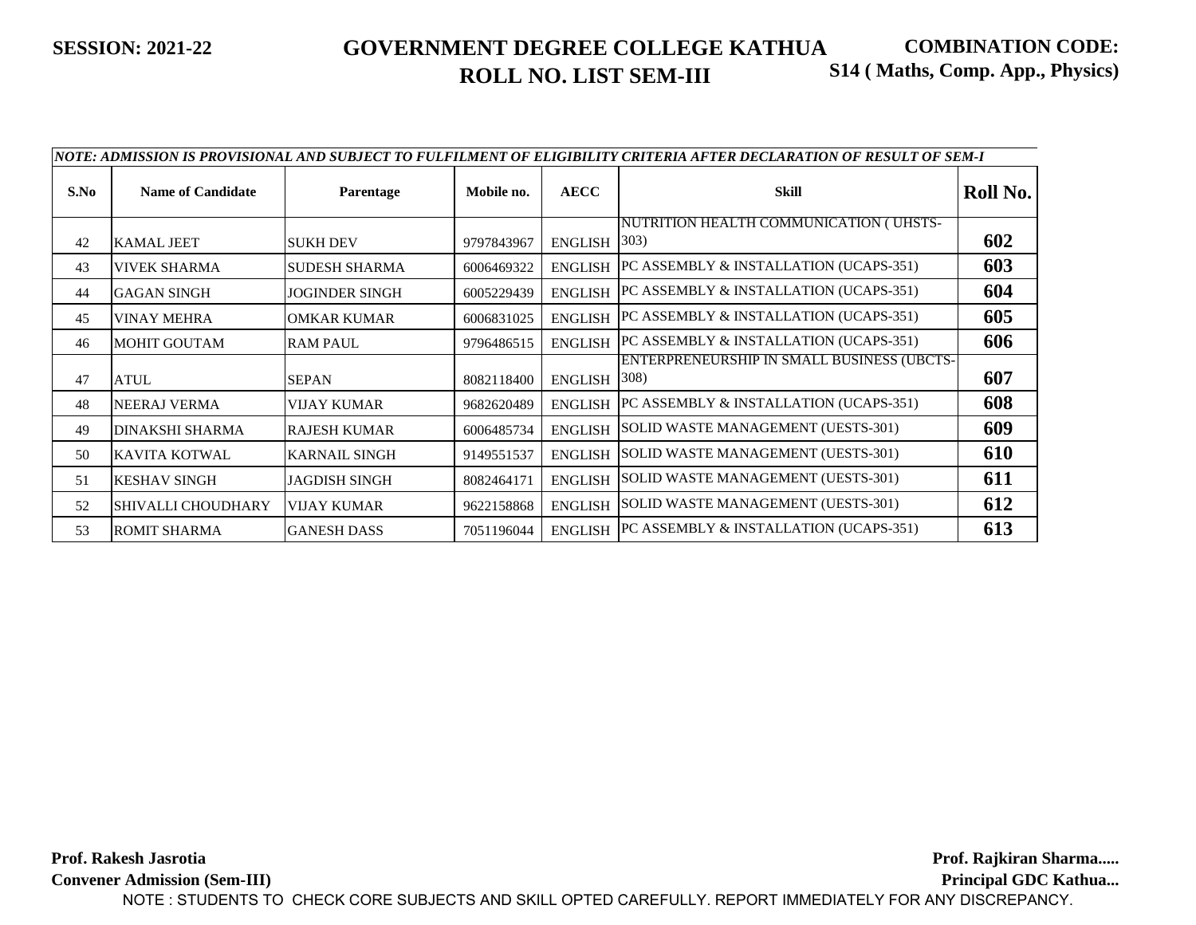|      | NOTE: ADMISSION IS PROVISIONAL AND SUBJECT TO FULFILMENT OF ELIGIBILITY CRITERIA AFTER DECLARATION OF RESULT OF SEM-I |                      |            |                |                                                             |          |  |  |
|------|-----------------------------------------------------------------------------------------------------------------------|----------------------|------------|----------------|-------------------------------------------------------------|----------|--|--|
| S.No | <b>Name of Candidate</b>                                                                                              | <b>Parentage</b>     | Mobile no. | <b>AECC</b>    | <b>Skill</b>                                                | Roll No. |  |  |
| 42   | <b>KAMAL JEET</b>                                                                                                     | <b>SUKH DEV</b>      | 9797843967 | <b>ENGLISH</b> | NUTRITION HEALTH COMMUNICATION (UHSTS-<br>$ 303\rangle$     | 602      |  |  |
| 43   | <b>VIVEK SHARMA</b>                                                                                                   | <b>SUDESH SHARMA</b> | 6006469322 | <b>ENGLISH</b> | PC ASSEMBLY & INSTALLATION (UCAPS-351)                      | 603      |  |  |
| 44   | <b>GAGAN SINGH</b>                                                                                                    | JOGINDER SINGH       | 6005229439 | <b>ENGLISH</b> | PC ASSEMBLY & INSTALLATION (UCAPS-351)                      | 604      |  |  |
| 45   | <b>VINAY MEHRA</b>                                                                                                    | <b>OMKAR KUMAR</b>   | 6006831025 | <b>ENGLISH</b> | PC ASSEMBLY & INSTALLATION (UCAPS-351)                      | 605      |  |  |
| 46   | <b>MOHIT GOUTAM</b>                                                                                                   | <b>RAM PAUL</b>      | 9796486515 | <b>ENGLISH</b> | PC ASSEMBLY & INSTALLATION (UCAPS-351)                      | 606      |  |  |
| 47   | <b>ATUL</b>                                                                                                           | <b>SEPAN</b>         | 8082118400 | <b>ENGLISH</b> | ENTERPRENEURSHIP IN SMALL BUSINESS (UBCTS-<br>$ 308\rangle$ | 607      |  |  |
| 48   | <b>NEERAJ VERMA</b>                                                                                                   | <b>VIJAY KUMAR</b>   | 9682620489 | <b>ENGLISH</b> | PC ASSEMBLY & INSTALLATION (UCAPS-351)                      | 608      |  |  |
| 49   | <b>DINAKSHI SHARMA</b>                                                                                                | <b>RAJESH KUMAR</b>  | 6006485734 | <b>ENGLISH</b> | SOLID WASTE MANAGEMENT (UESTS-301)                          | 609      |  |  |
| 50   | KAVITA KOTWAL                                                                                                         | <b>KARNAIL SINGH</b> | 9149551537 | <b>ENGLISH</b> | SOLID WASTE MANAGEMENT (UESTS-301)                          | 610      |  |  |
| 51   | <b>KESHAV SINGH</b>                                                                                                   | <b>JAGDISH SINGH</b> | 8082464171 | <b>ENGLISH</b> | SOLID WASTE MANAGEMENT (UESTS-301)                          | 611      |  |  |
| 52   | SHIVALLI CHOUDHARY                                                                                                    | <b>VIJAY KUMAR</b>   | 9622158868 | <b>ENGLISH</b> | SOLID WASTE MANAGEMENT (UESTS-301)                          | 612      |  |  |
| 53   | <b>ROMIT SHARMA</b>                                                                                                   | <b>GANESH DASS</b>   | 7051196044 | <b>ENGLISH</b> | PC ASSEMBLY & INSTALLATION (UCAPS-351)                      | 613      |  |  |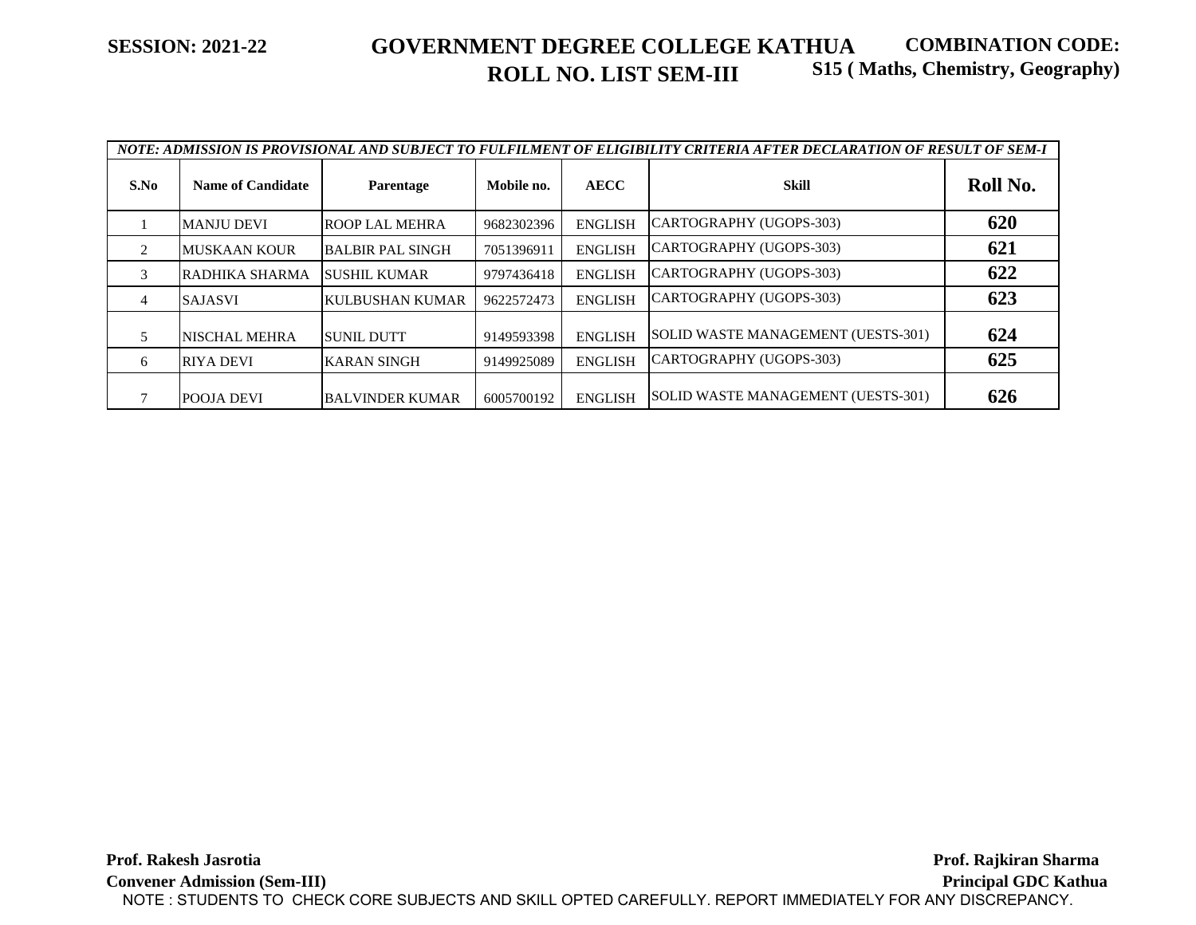| NOTE: ADMISSION IS PROVISIONAL AND SUBJECT TO FULFILMENT OF ELIGIBILITY CRITERIA AFTER DECLARATION OF RESULT OF SEM-I |                          |                         |            |                |                                    |          |
|-----------------------------------------------------------------------------------------------------------------------|--------------------------|-------------------------|------------|----------------|------------------------------------|----------|
| S.No                                                                                                                  | <b>Name of Candidate</b> | Parentage               | Mobile no. | <b>AECC</b>    | Skill                              | Roll No. |
|                                                                                                                       | <b>MANJU DEVI</b>        | ROOP LAL MEHRA          | 9682302396 | <b>ENGLISH</b> | CARTOGRAPHY (UGOPS-303)            | 620      |
| $\mathfrak{D}$                                                                                                        | <b>MUSKAAN KOUR</b>      | <b>BALBIR PAL SINGH</b> | 7051396911 | <b>ENGLISH</b> | CARTOGRAPHY (UGOPS-303)            | 621      |
| 3                                                                                                                     | RADHIKA SHARMA           | ISUSHIL KUMAR           | 9797436418 | <b>ENGLISH</b> | CARTOGRAPHY (UGOPS-303)            | 622      |
| 4                                                                                                                     | <b>SAJASVI</b>           | <b>KULBUSHAN KUMAR</b>  | 9622572473 | <b>ENGLISH</b> | CARTOGRAPHY (UGOPS-303)            | 623      |
|                                                                                                                       | NISCHAL MEHRA            | <b>SUNIL DUTT</b>       | 9149593398 | <b>ENGLISH</b> | SOLID WASTE MANAGEMENT (UESTS-301) | 624      |
| 6                                                                                                                     | <b>RIYA DEVI</b>         | <b>KARAN SINGH</b>      | 9149925089 | <b>ENGLISH</b> | ICARTOGRAPHY (UGOPS-303)           | 625      |
|                                                                                                                       | <b>POOJA DEVI</b>        | <b>BALVINDER KUMAR</b>  | 6005700192 | <b>ENGLISH</b> | SOLID WASTE MANAGEMENT (UESTS-301) | 626      |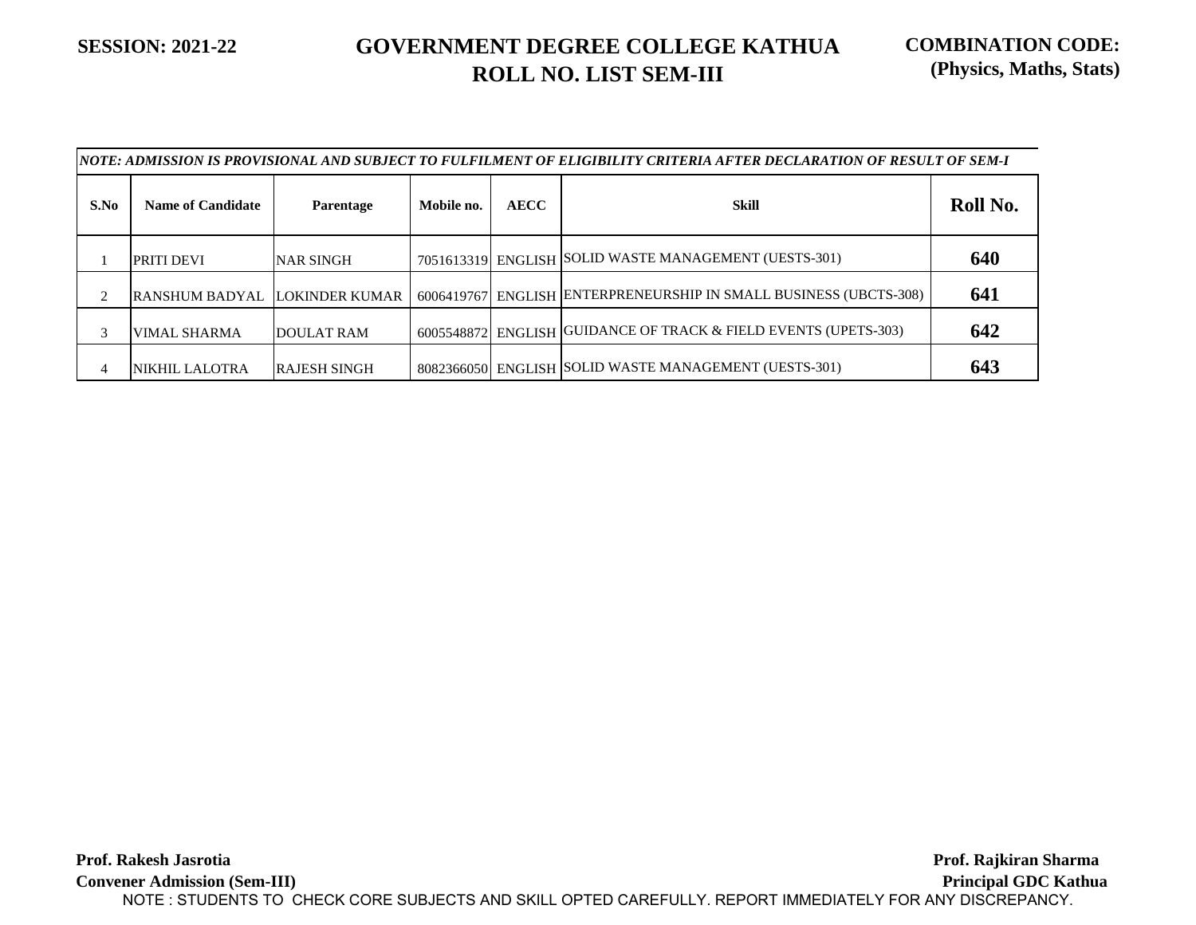|      | NOTE: ADMISSION IS PROVISIONAL AND SUBJECT TO FULFILMENT OF ELIGIBILITY CRITERIA AFTER DECLARATION OF RESULT OF SEM-I |                     |            |             |                                                                   |          |  |
|------|-----------------------------------------------------------------------------------------------------------------------|---------------------|------------|-------------|-------------------------------------------------------------------|----------|--|
| S.No | <b>Name of Candidate</b>                                                                                              | <b>Parentage</b>    | Mobile no. | <b>AECC</b> | Skill                                                             | Roll No. |  |
|      | <b>PRITI DEVI</b>                                                                                                     | <b>NAR SINGH</b>    |            |             | 7051613319 ENGLISH SOLID WASTE MANAGEMENT (UESTS-301)             | 640      |  |
| 2    | RANSHUM BADYAL LOKINDER KUMAR                                                                                         |                     |            |             | 6006419767 ENGLISH ENTERPRENEURSHIP IN SMALL BUSINESS (UBCTS-308) | 641      |  |
| 3    | <b>VIMAL SHARMA</b>                                                                                                   | <b>DOULAT RAM</b>   |            |             | 6005548872 ENGLISH GUIDANCE OF TRACK & FIELD EVENTS (UPETS-303)   | 642      |  |
| 4    | <b>NIKHIL LALOTRA</b>                                                                                                 | <b>RAJESH SINGH</b> |            |             | 8082366050 ENGLISH SOLID WASTE MANAGEMENT (UESTS-301)             | 643      |  |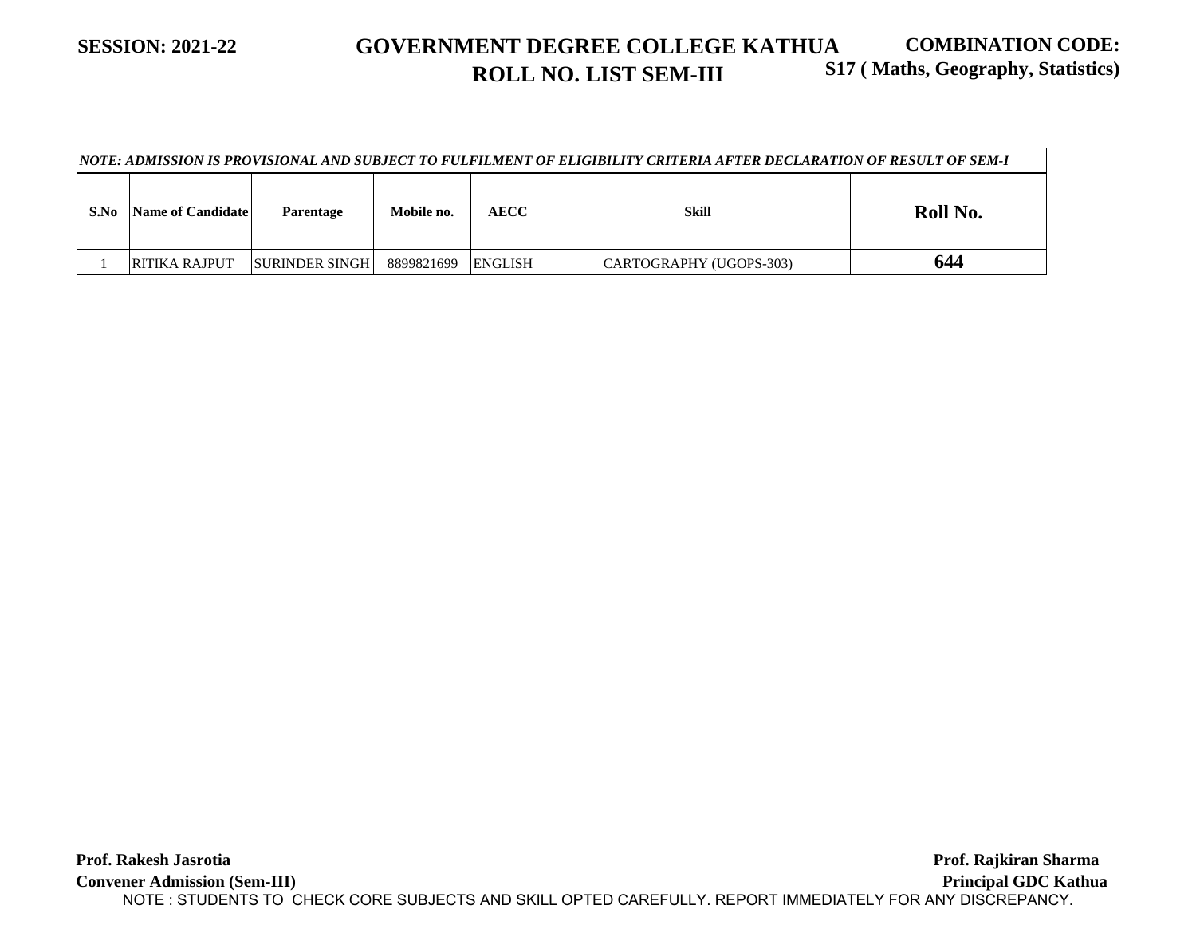#### **SESSION: 2021-22 GOVERNMENT DEGREE COLLEGE KATHUA ROLL NO. LIST SEM-III COMBINATION CODE: S17 ( Maths, Geography, Statistics)**

|      | <u> NOTE: ADMISSION IS PROVISIONAL AND SUBJECT TO FULFILMENT OF ELIGIBILITY CRITERIA AFTER DECLARATION OF RESULT OF SEM-I</u> |                         |            |             |                         |          |  |
|------|-------------------------------------------------------------------------------------------------------------------------------|-------------------------|------------|-------------|-------------------------|----------|--|
| S.No | Name of Candidate                                                                                                             | Parentage               | Mobile no. | <b>AECC</b> | Skill                   | Roll No. |  |
|      | <b>RITIKA RAJPUT</b>                                                                                                          | <b>ISURINDER SINGHI</b> | 8899821699 | ENGLISH     | CARTOGRAPHY (UGOPS-303) | 644      |  |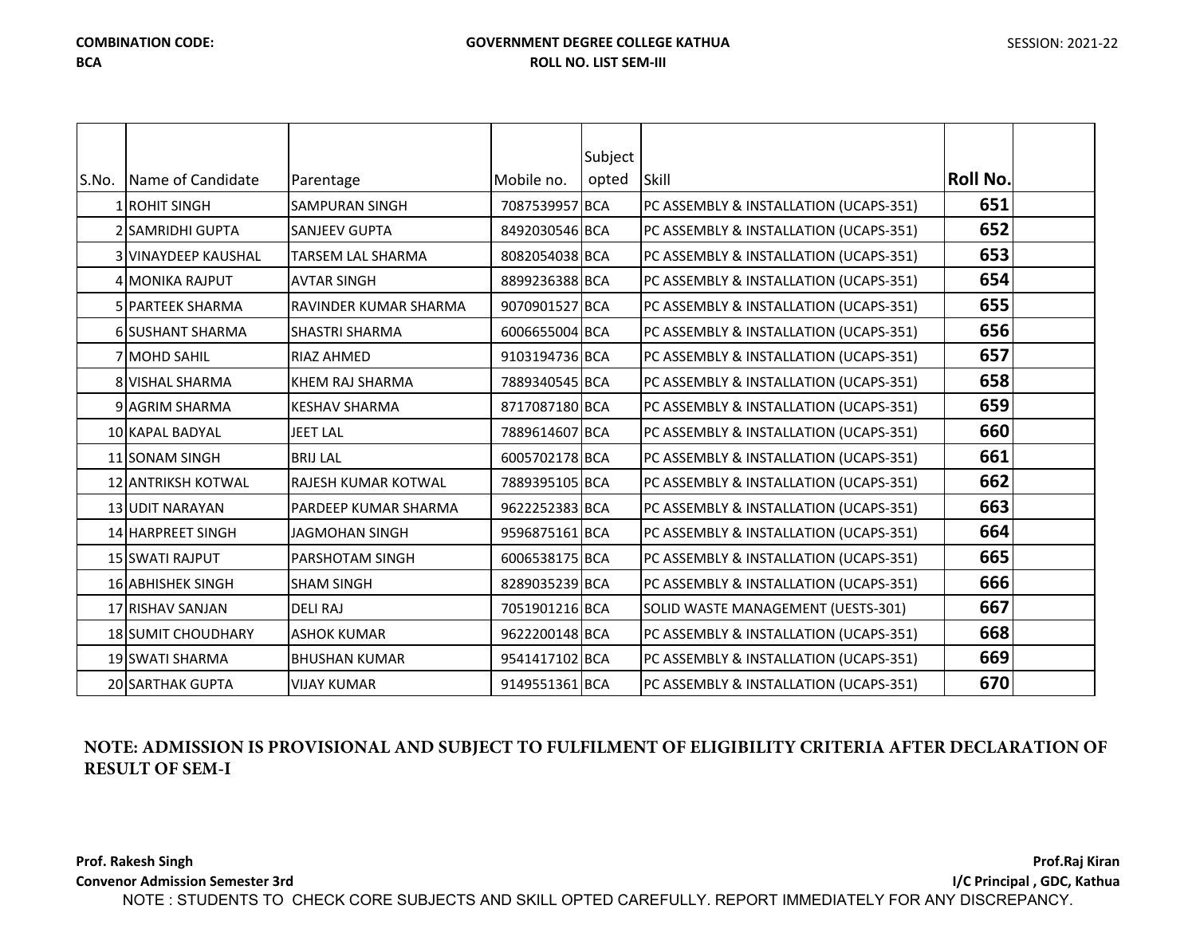### **GOVERNMENT DEGREE COLLEGE KATHUA ROLL NO. LIST SEM-III**

| SESSION: 2021-22 |  |
|------------------|--|
|------------------|--|

|       |                           |                            |                | Subject |                                        |          |  |
|-------|---------------------------|----------------------------|----------------|---------|----------------------------------------|----------|--|
| S.No. | Name of Candidate         | Parentage                  | Mobile no.     | opted   | Skill                                  | Roll No. |  |
|       | 1 ROHIT SINGH             | <b>SAMPURAN SINGH</b>      | 7087539957 BCA |         | PC ASSEMBLY & INSTALLATION (UCAPS-351) | 651      |  |
|       | 2 SAMRIDHI GUPTA          | <b>SANJEEV GUPTA</b>       | 8492030546 BCA |         | PC ASSEMBLY & INSTALLATION (UCAPS-351) | 652      |  |
|       | 3 VINAYDEEP KAUSHAL       | <b>TARSEM LAL SHARMA</b>   | 8082054038 BCA |         | PC ASSEMBLY & INSTALLATION (UCAPS-351) | 653      |  |
|       | 4 MONIKA RAJPUT           | <b>AVTAR SINGH</b>         | 8899236388 BCA |         | PC ASSEMBLY & INSTALLATION (UCAPS-351) | 654      |  |
|       | <b>5 PARTEEK SHARMA</b>   | RAVINDER KUMAR SHARMA      | 9070901527 BCA |         | PC ASSEMBLY & INSTALLATION (UCAPS-351) | 655      |  |
|       | 6 SUSHANT SHARMA          | <b>SHASTRI SHARMA</b>      | 6006655004 BCA |         | PC ASSEMBLY & INSTALLATION (UCAPS-351) | 656      |  |
|       | 7 MOHD SAHIL              | <b>RIAZ AHMED</b>          | 9103194736 BCA |         | PC ASSEMBLY & INSTALLATION (UCAPS-351) | 657      |  |
|       | <b>8 VISHAL SHARMA</b>    | KHEM RAJ SHARMA            | 7889340545 BCA |         | PC ASSEMBLY & INSTALLATION (UCAPS-351) | 658      |  |
|       | 9 AGRIM SHARMA            | <b>KESHAV SHARMA</b>       | 8717087180 BCA |         | PC ASSEMBLY & INSTALLATION (UCAPS-351) | 659      |  |
|       | 10 KAPAL BADYAL           | <b>JEET LAL</b>            | 7889614607 BCA |         | PC ASSEMBLY & INSTALLATION (UCAPS-351) | 660      |  |
|       | 11 SONAM SINGH            | <b>BRIJ LAL</b>            | 6005702178 BCA |         | PC ASSEMBLY & INSTALLATION (UCAPS-351) | 661      |  |
|       | <b>12 ANTRIKSH KOTWAL</b> | <b>RAJESH KUMAR KOTWAL</b> | 7889395105 BCA |         | PC ASSEMBLY & INSTALLATION (UCAPS-351) | 662      |  |
|       | <b>13 UDIT NARAYAN</b>    | PARDEEP KUMAR SHARMA       | 9622252383 BCA |         | PC ASSEMBLY & INSTALLATION (UCAPS-351) | 663      |  |
|       | 14 HARPREET SINGH         | <b>JAGMOHAN SINGH</b>      | 9596875161 BCA |         | PC ASSEMBLY & INSTALLATION (UCAPS-351) | 664      |  |
|       | 15 SWATI RAJPUT           | <b>PARSHOTAM SINGH</b>     | 6006538175 BCA |         | PC ASSEMBLY & INSTALLATION (UCAPS-351) | 665      |  |
|       | <b>16 ABHISHEK SINGH</b>  | <b>SHAM SINGH</b>          | 8289035239 BCA |         | PC ASSEMBLY & INSTALLATION (UCAPS-351) | 666      |  |
|       | 17 RISHAV SANJAN          | <b>DELI RAJ</b>            | 7051901216 BCA |         | SOLID WASTE MANAGEMENT (UESTS-301)     | 667      |  |
|       | 18 SUMIT CHOUDHARY        | <b>ASHOK KUMAR</b>         | 9622200148 BCA |         | PC ASSEMBLY & INSTALLATION (UCAPS-351) | 668      |  |
|       | 19 SWATI SHARMA           | <b>BHUSHAN KUMAR</b>       | 9541417102 BCA |         | PC ASSEMBLY & INSTALLATION (UCAPS-351) | 669      |  |
|       | 20 SARTHAK GUPTA          | <b>VIJAY KUMAR</b>         | 9149551361 BCA |         | PC ASSEMBLY & INSTALLATION (UCAPS-351) | 670      |  |

### **NOTE: ADMISSION IS PROVISIONAL AND SUBJECT TO FULFILMENT OF ELIGIBILITY CRITERIA AFTER DECLARATION OF RESULT OF SEM-I**

**Prof. Rakesh Singh Convenor Admission Semester 3rd Prof.Raj Kiran I/C Principal , GDC, Kathua**  NOTE : STUDENTS TO CHECK CORE SUBJECTS AND SKILL OPTED CAREFULLY. REPORT IMMEDIATELY FOR ANY DISCREPANCY.